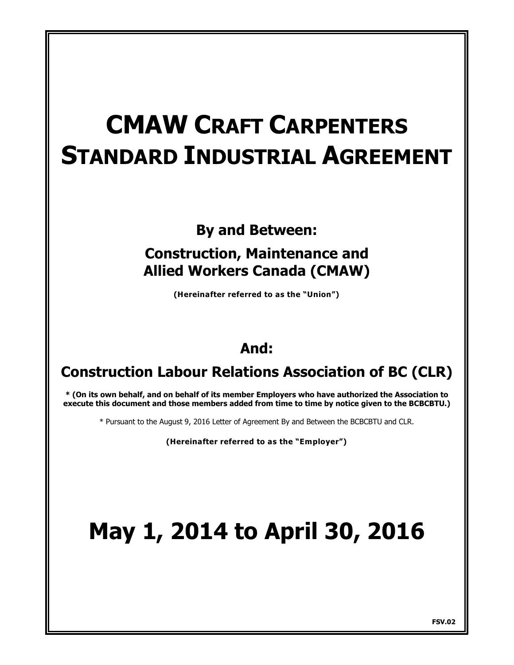# **CMAW CRAFT CARPENTERS STANDARD INDUSTRIAL AGREEMENT**

**By and Between:**

## **Construction, Maintenance and Allied Workers Canada (CMAW)**

**(Hereinafter referred to as the "Union")**

# **And:**

## **Construction Labour Relations Association of BC (CLR)**

**\* (On its own behalf, and on behalf of its member Employers who have authorized the Association to execute this document and those members added from time to time by notice given to the BCBCBTU.)**

\* Pursuant to the August 9, 2016 Letter of Agreement By and Between the BCBCBTU and CLR.

**(Hereinafter referred to as the "Employer")**

# **May 1, 2014 to April 30, 2016**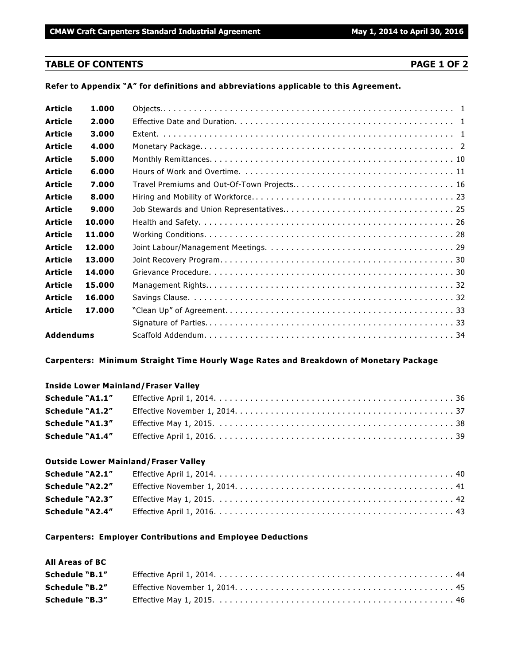#### **TABLE OF CONTENTS PAGE 1 OF 2**

**Refer to Appendix "A" for definitions and abbreviations applicable to this Agreement.**

| <b>Article</b>   | 1.000  |                                             |
|------------------|--------|---------------------------------------------|
| <b>Article</b>   | 2.000  |                                             |
| <b>Article</b>   | 3.000  |                                             |
| <b>Article</b>   | 4.000  |                                             |
| <b>Article</b>   | 5.000  |                                             |
| <b>Article</b>   | 6.000  |                                             |
| <b>Article</b>   | 7.000  | Travel Premiums and Out-Of-Town Projects 16 |
| <b>Article</b>   | 8.000  |                                             |
| <b>Article</b>   | 9.000  |                                             |
| <b>Article</b>   | 10.000 |                                             |
| <b>Article</b>   | 11.000 |                                             |
| <b>Article</b>   | 12.000 |                                             |
| Article          | 13.000 |                                             |
| <b>Article</b>   | 14.000 |                                             |
| <b>Article</b>   | 15.000 |                                             |
| Article          | 16.000 |                                             |
| <b>Article</b>   | 17.000 |                                             |
|                  |        |                                             |
| <b>Addendums</b> |        |                                             |

#### **Carpenters: Minimum Straight Time Hourly Wage Rates and Breakdown of Monetary Package**

#### **Inside Lower Mainland/Fraser Valley**

| <b>Schedule "A1.4"</b> |  |
|------------------------|--|

#### **Outside Lower Mainland/Fraser Valley**

| <b>Schedule "A2.1"</b> |  |
|------------------------|--|
| Schedule "A2.2"        |  |
|                        |  |
| <b>Schedule "A2.4"</b> |  |

#### **Carpenters: Employer Contributions and Employee Deductions**

#### **All Areas of BC**

| Schedule "B.1"        |  |
|-----------------------|--|
| Schedule "B.2"        |  |
| <b>Schedule "B.3"</b> |  |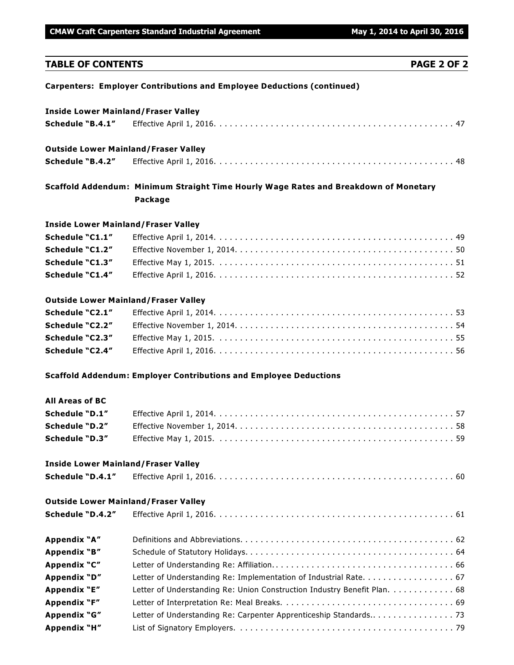**CMAW Craft Carpenters Standard Industrial Agreement May 1, 2014 to April 30, 2016** 

#### **TABLE OF CONTENTS PAGE 2 OF 2**

**Carpenters: Employer Contributions and Employee Deductions (continued)**

#### **Inside Lower Mainland/Fraser Valley**

| <b>Outside Lower Mainland/Fraser Valley</b> |  |
|---------------------------------------------|--|
|                                             |  |

#### **Outside Lower Mainland/Fraser Valley**

|--|--|--|

### **Scaffold Addendum: Minimum Straight Time Hourly Wage Rates and Breakdown of Monetary Package**

#### **Inside Lower Mainland/Fraser Valley**

| Schedule "C1.4" |  |
|-----------------|--|

#### **Outside Lower Mainland/Fraser Valley**

| Schedule "C2.1" |  |
|-----------------|--|
| Schedule "C2.2" |  |
| Schedule "C2.3" |  |
| Schedule "C2.4" |  |

#### **Scaffold Addendum: Employer Contributions and Employee Deductions**

#### **All Areas of BC**

| Schedule "D.1"        |                                                                                                                     |  |
|-----------------------|---------------------------------------------------------------------------------------------------------------------|--|
| Schedule "D.2"        |                                                                                                                     |  |
| <b>Schedule "D.3"</b> | Effective May 1, 2015. $\dots\dots\dots\dots\dots\dots\dots\dots\dots\dots\dots\dots\dots\dots\dots\dots\dots\dots$ |  |

#### **Inside Lower Mainland/Fraser Valley**

| Schedule "D.4.1" |  |
|------------------|--|
|                  |  |

#### **Outside Lower Mainland/Fraser Valley**

| Schedule "D.4.2" |                                                                          |
|------------------|--------------------------------------------------------------------------|
| Appendix "A"     |                                                                          |
| Appendix "B"     |                                                                          |
| Appendix "C"     |                                                                          |
| Appendix "D"     | Letter of Understanding Re: Implementation of Industrial Rate. 67        |
| Appendix "E"     | Letter of Understanding Re: Union Construction Industry Benefit Plan. 68 |
| Appendix "F"     |                                                                          |
| Appendix "G"     |                                                                          |
| Appendix "H"     |                                                                          |
|                  |                                                                          |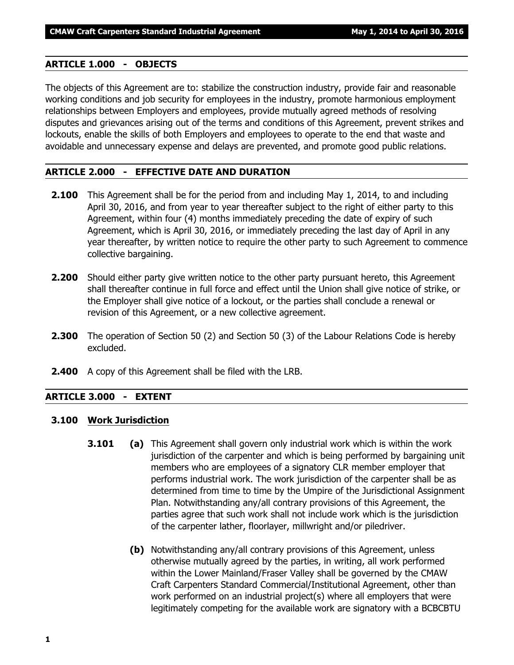#### **ARTICLE 1.000 - OBJECTS**

The objects of this Agreement are to: stabilize the construction industry, provide fair and reasonable working conditions and job security for employees in the industry, promote harmonious employment relationships between Employers and employees, provide mutually agreed methods of resolving disputes and grievances arising out of the terms and conditions of this Agreement, prevent strikes and lockouts, enable the skills of both Employers and employees to operate to the end that waste and avoidable and unnecessary expense and delays are prevented, and promote good public relations.

#### **ARTICLE 2.000 - EFFECTIVE DATE AND DURATION**

- **2.100** This Agreement shall be for the period from and including May 1, 2014, to and including April 30, 2016, and from year to year thereafter subject to the right of either party to this Agreement, within four (4) months immediately preceding the date of expiry of such Agreement, which is April 30, 2016, or immediately preceding the last day of April in any year thereafter, by written notice to require the other party to such Agreement to commence collective bargaining.
- **2.200** Should either party give written notice to the other party pursuant hereto, this Agreement shall thereafter continue in full force and effect until the Union shall give notice of strike, or the Employer shall give notice of a lockout, or the parties shall conclude a renewal or revision of this Agreement, or a new collective agreement.
- **2.300** The operation of Section 50 (2) and Section 50 (3) of the *Labour Relations Code* is hereby excluded.
- **2.400** A copy of this Agreement shall be filed with the LRB.

#### **ARTICLE 3.000 - EXTENT**

#### **3.100 Work Jurisdiction**

- **3.101 (a)** This Agreement shall govern only industrial work which is within the work jurisdiction of the carpenter and which is being performed by bargaining unit members who are employees of a signatory CLR member employer that performs industrial work. The work jurisdiction of the carpenter shall be as determined from time to time by the Umpire of the Jurisdictional Assignment Plan. Notwithstanding any/all contrary provisions of this Agreement, the parties agree that such work shall not include work which is the jurisdiction of the carpenter lather, floorlayer, millwright and/or piledriver.
	- **(b)** Notwithstanding any/all contrary provisions of this Agreement, unless otherwise mutually agreed by the parties, in writing, all work performed within the Lower Mainland/Fraser Valley shall be governed by the CMAW Craft Carpenters Standard Commercial/Institutional Agreement, other than work performed on an industrial project(s) where all employers that were legitimately competing for the available work are signatory with a BCBCBTU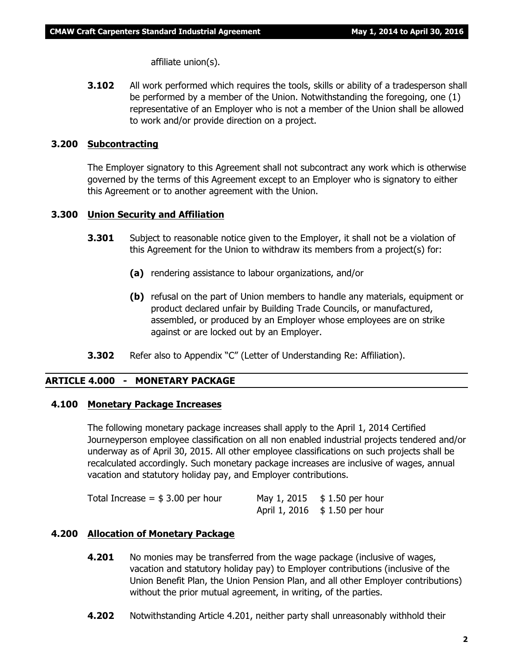affiliate union(s).

**3.102** All work performed which requires the tools, skills or ability of a tradesperson shall be performed by a member of the Union. Notwithstanding the foregoing, one (1) representative of an Employer who is not a member of the Union shall be allowed to work and/or provide direction on a project.

#### **3.200 Subcontracting**

The Employer signatory to this Agreement shall not subcontract any work which is otherwise governed by the terms of this Agreement except to an Employer who is signatory to either this Agreement or to another agreement with the Union.

#### **3.300 Union Security and Affiliation**

- **3.301** Subject to reasonable notice given to the Employer, it shall not be a violation of this Agreement for the Union to withdraw its members from a project(s) for:
	- **(a)** rendering assistance to labour organizations, and/or
	- **(b)** refusal on the part of Union members to handle any materials, equipment or product declared unfair by Building Trade Councils, or manufactured, assembled, or produced by an Employer whose employees are on strike against or are locked out by an Employer.
- **3.302** Refer also to Appendix "C" (Letter of Understanding Re: Affiliation).

#### **ARTICLE 4.000 - MONETARY PACKAGE**

#### **4.100 Monetary Package Increases**

The following monetary package increases shall apply to the April 1, 2014 Certified Journeyperson employee classification on all non enabled industrial projects tendered and/or underway as of April 30, 2015. All other employee classifications on such projects shall be recalculated accordingly. Such monetary package increases are inclusive of wages, annual vacation and statutory holiday pay, and Employer contributions.

| Total Increase $=$ \$ 3.00 per hour | May 1, 2015 $$1.50$ per hour        |
|-------------------------------------|-------------------------------------|
|                                     | April 1, 2016 $\;$ \$ 1.50 per hour |

#### **4.200 Allocation of Monetary Package**

- **4.201** No monies may be transferred from the wage package (inclusive of wages, vacation and statutory holiday pay) to Employer contributions (inclusive of the Union Benefit Plan, the Union Pension Plan, and all other Employer contributions) without the prior mutual agreement, in writing, of the parties.
- **4.202** Notwithstanding Article 4.201, neither party shall unreasonably withhold their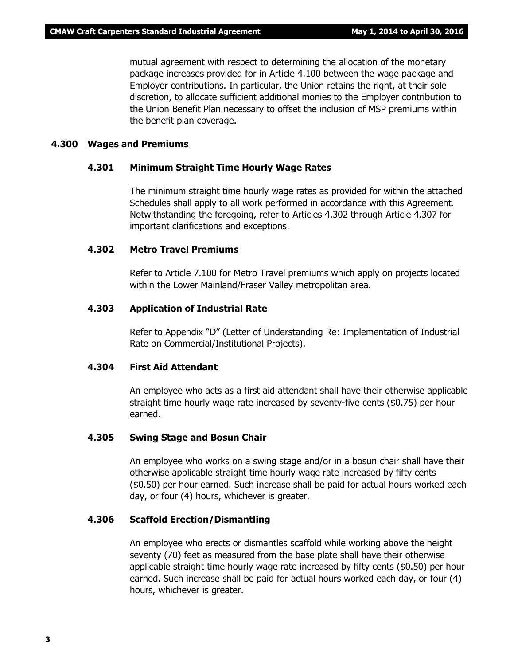mutual agreement with respect to determining the allocation of the monetary package increases provided for in Article 4.100 between the wage package and Employer contributions. In particular, the Union retains the right, at their sole discretion, to allocate sufficient additional monies to the Employer contribution to the Union Benefit Plan necessary to offset the inclusion of MSP premiums within the benefit plan coverage.

#### **4.300 Wages and Premiums**

#### **4.301 Minimum Straight Time Hourly Wage Rates**

The minimum straight time hourly wage rates as provided for within the attached Schedules shall apply to all work performed in accordance with this Agreement. Notwithstanding the foregoing, refer to Articles 4.302 through Article 4.307 for important clarifications and exceptions.

#### **4.302 Metro Travel Premiums**

Refer to Article 7.100 for Metro Travel premiums which apply on projects located within the Lower Mainland/Fraser Valley metropolitan area.

#### **4.303 Application of Industrial Rate**

Refer to Appendix "D" (Letter of Understanding Re: Implementation of Industrial Rate on Commercial/Institutional Projects).

#### **4.304 First Aid Attendant**

An employee who acts as a first aid attendant shall have their otherwise applicable straight time hourly wage rate increased by seventy-five cents (\$0.75) per hour earned.

#### **4.305 Swing Stage and Bosun Chair**

An employee who works on a swing stage and/or in a bosun chair shall have their otherwise applicable straight time hourly wage rate increased by fifty cents (\$0.50) per hour earned. Such increase shall be paid for actual hours worked each day, or four (4) hours, whichever is greater.

#### **4.306 Scaffold Erection/Dismantling**

An employee who erects or dismantles scaffold while working above the height seventy (70) feet as measured from the base plate shall have their otherwise applicable straight time hourly wage rate increased by fifty cents (\$0.50) per hour earned. Such increase shall be paid for actual hours worked each day, or four (4) hours, whichever is greater.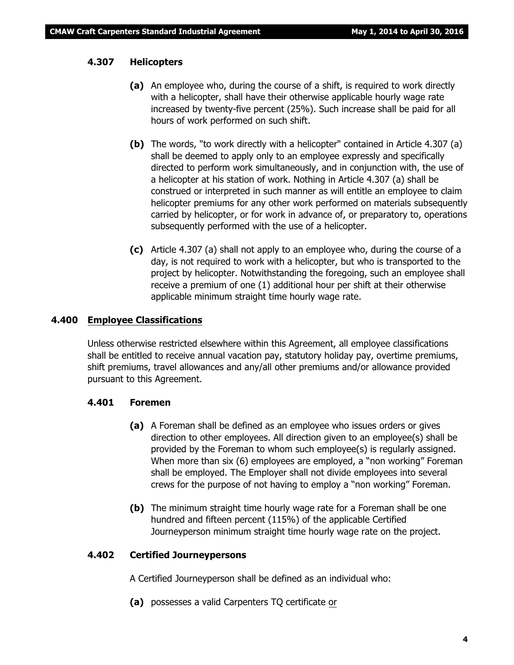#### **4.307 Helicopters**

- **(a)** An employee who, during the course of a shift, is required to work directly with a helicopter, shall have their otherwise applicable hourly wage rate increased by twenty-five percent (25%). Such increase shall be paid for all hours of work performed on such shift.
- **(b)** The words, "to work directly with a helicopter" contained in Article 4.307 (a) shall be deemed to apply only to an employee expressly and specifically directed to perform work simultaneously, and in conjunction with, the use of a helicopter at his station of work. Nothing in Article 4.307 (a) shall be construed or interpreted in such manner as will entitle an employee to claim helicopter premiums for any other work performed on materials subsequently carried by helicopter, or for work in advance of, or preparatory to, operations subsequently performed with the use of a helicopter.
- **(c)** Article 4.307 (a) shall not apply to an employee who, during the course of a day, is not required to work with a helicopter, but who is transported to the project by helicopter. Notwithstanding the foregoing, such an employee shall receive a premium of one (1) additional hour per shift at their otherwise applicable minimum straight time hourly wage rate.

#### **4.400 Employee Classifications**

Unless otherwise restricted elsewhere within this Agreement, all employee classifications shall be entitled to receive annual vacation pay, statutory holiday pay, overtime premiums, shift premiums, travel allowances and any/all other premiums and/or allowance provided pursuant to this Agreement.

#### **4.401 Foremen**

- **(a)** A Foreman shall be defined as an employee who issues orders or gives direction to other employees. All direction given to an employee(s) shall be provided by the Foreman to whom such employee(s) is regularly assigned. When more than six (6) employees are employed, a "non working" Foreman shall be employed. The Employer shall not divide employees into several crews for the purpose of not having to employ a "non working" Foreman.
- **(b)** The minimum straight time hourly wage rate for a Foreman shall be one hundred and fifteen percent (115%) of the applicable Certified Journeyperson minimum straight time hourly wage rate on the project.

#### **4.402 Certified Journeypersons**

A Certified Journeyperson shall be defined as an individual who:

**(a)** possesses a valid Carpenters TQ certificate or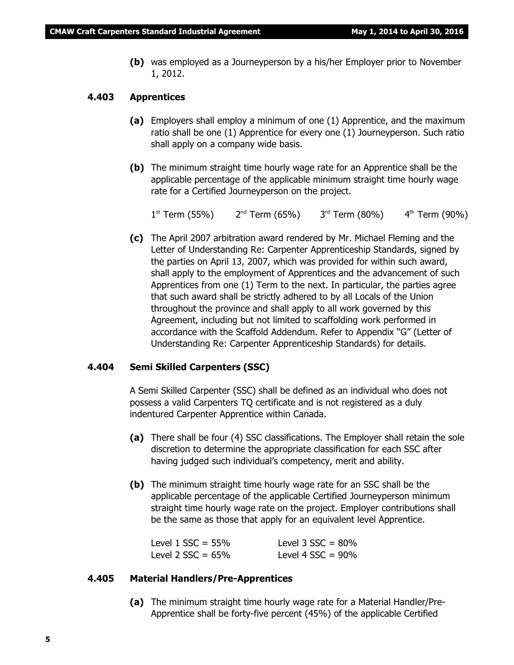**(b)** was employed as a Journeyperson by a his/her Employer prior to November 1, 2012.

#### **4.403 Apprentices**

- **(a)** Employers shall employ a minimum of one (1) Apprentice, and the maximum ratio shall be one (1) Apprentice for every one (1) Journeyperson. Such ratio shall apply on a company wide basis.
- **(b)** The minimum straight time hourly wage rate for an Apprentice shall be the applicable percentage of the applicable minimum straight time hourly wage rate for a Certified Journeyperson on the project.

 $1^{\text{st}}$  Term (55%)  $2^{\text{nd}}$  Term (65%)  $3^{\text{rd}}$  Term (80%)  $4^{\text{th}}$  Term (90%)

**(c)** The April 2007 arbitration award rendered by Mr. Michael Fleming and the Letter of Understanding Re: Carpenter Apprenticeship Standards, signed by the parties on April 13, 2007, which was provided for within such award, shall apply to the employment of Apprentices and the advancement of such Apprentices from one (1) Term to the next. In particular, the parties agree that such award shall be strictly adhered to by all Locals of the Union throughout the province and shall apply to all work governed by this Agreement, including but not limited to scaffolding work performed in accordance with the Scaffold Addendum. Refer to Appendix "G" (Letter of Understanding Re: Carpenter Apprenticeship Standards) for details.

#### **4.404 Semi Skilled Carpenters (SSC)**

A Semi Skilled Carpenter (SSC) shall be defined as an individual who does not possess a valid Carpenters TQ certificate and is not registered as a duly indentured Carpenter Apprentice within Canada.

- **(a)** There shall be four (4) SSC classifications. The Employer shall retain the sole discretion to determine the appropriate classification for each SSC after having judged such individual's competency, merit and ability.
- **(b)** The minimum straight time hourly wage rate for an SSC shall be the applicable percentage of the applicable Certified Journeyperson minimum straight time hourly wage rate on the project. Employer contributions shall be the same as those that apply for an equivalent level Apprentice.

| Level $1$ SSC = 55% | Level $3$ SSC = $80\%$ |
|---------------------|------------------------|
| Level 2 $SSC = 65%$ | Level 4 $SSC = 90\%$   |

#### **4.405 Material Handlers/Pre-Apprentices**

**(a)** The minimum straight time hourly wage rate for a Material Handler/Pre-Apprentice shall be forty-five percent (45%) of the applicable Certified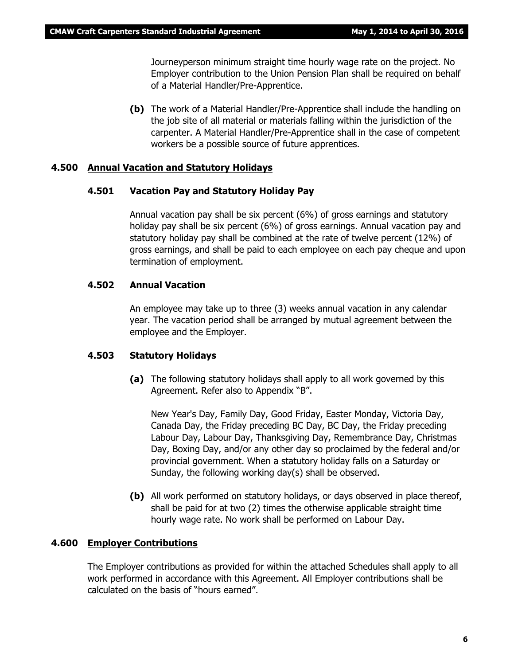Journeyperson minimum straight time hourly wage rate on the project. No Employer contribution to the Union Pension Plan shall be required on behalf of a Material Handler/Pre-Apprentice.

**(b)** The work of a Material Handler/Pre-Apprentice shall include the handling on the job site of all material or materials falling within the jurisdiction of the carpenter. A Material Handler/Pre-Apprentice shall in the case of competent workers be a possible source of future apprentices.

#### **4.500 Annual Vacation and Statutory Holidays**

#### **4.501 Vacation Pay and Statutory Holiday Pay**

Annual vacation pay shall be six percent (6%) of gross earnings and statutory holiday pay shall be six percent (6%) of gross earnings. Annual vacation pay and statutory holiday pay shall be combined at the rate of twelve percent (12%) of gross earnings, and shall be paid to each employee on each pay cheque and upon termination of employment.

#### **4.502 Annual Vacation**

An employee may take up to three (3) weeks annual vacation in any calendar year. The vacation period shall be arranged by mutual agreement between the employee and the Employer.

#### **4.503 Statutory Holidays**

**(a)** The following statutory holidays shall apply to all work governed by this Agreement. Refer also to Appendix "B".

New Year's Day, Family Day, Good Friday, Easter Monday, Victoria Day, Canada Day, the Friday preceding BC Day, BC Day, the Friday preceding Labour Day, Labour Day, Thanksgiving Day, Remembrance Day, Christmas Day, Boxing Day, and/or any other day so proclaimed by the federal and/or provincial government. When a statutory holiday falls on a Saturday or Sunday, the following working day(s) shall be observed.

**(b)** All work performed on statutory holidays, or days observed in place thereof, shall be paid for at two (2) times the otherwise applicable straight time hourly wage rate. No work shall be performed on Labour Day.

#### **4.600 Employer Contributions**

The Employer contributions as provided for within the attached Schedules shall apply to all work performed in accordance with this Agreement. All Employer contributions shall be calculated on the basis of "hours earned".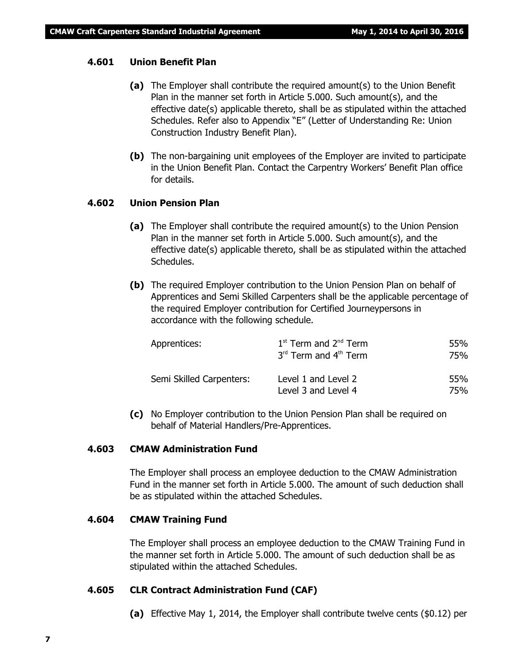#### **4.601 Union Benefit Plan**

- **(a)** The Employer shall contribute the required amount(s) to the Union Benefit Plan in the manner set forth in Article 5.000. Such amount(s), and the effective date(s) applicable thereto, shall be as stipulated within the attached Schedules. Refer also to Appendix "E" (Letter of Understanding Re: Union Construction Industry Benefit Plan).
- **(b)** The non-bargaining unit employees of the Employer are invited to participate in the Union Benefit Plan. Contact the Carpentry Workers' Benefit Plan office for details.

#### **4.602 Union Pension Plan**

- **(a)** The Employer shall contribute the required amount(s) to the Union Pension Plan in the manner set forth in Article 5.000. Such amount(s), and the effective date(s) applicable thereto, shall be as stipulated within the attached Schedules.
- **(b)** The required Employer contribution to the Union Pension Plan on behalf of Apprentices and Semi Skilled Carpenters shall be the applicable percentage of the required Employer contribution for Certified Journeypersons in accordance with the following schedule.

| Apprentices:             | $1st$ Term and $2nd$ Term<br>3rd Term and 4th Term | 55%<br>75% |
|--------------------------|----------------------------------------------------|------------|
| Semi Skilled Carpenters: | Level 1 and Level 2<br>Level 3 and Level 4         | 55%<br>75% |

**(c)** No Employer contribution to the Union Pension Plan shall be required on behalf of Material Handlers/Pre-Apprentices.

#### **4.603 CMAW Administration Fund**

The Employer shall process an employee deduction to the CMAW Administration Fund in the manner set forth in Article 5.000. The amount of such deduction shall be as stipulated within the attached Schedules.

#### **4.604 CMAW Training Fund**

The Employer shall process an employee deduction to the CMAW Training Fund in the manner set forth in Article 5.000. The amount of such deduction shall be as stipulated within the attached Schedules.

#### **4.605 CLR Contract Administration Fund (CAF)**

**(a)** Effective May 1, 2014, the Employer shall contribute twelve cents (\$0.12) per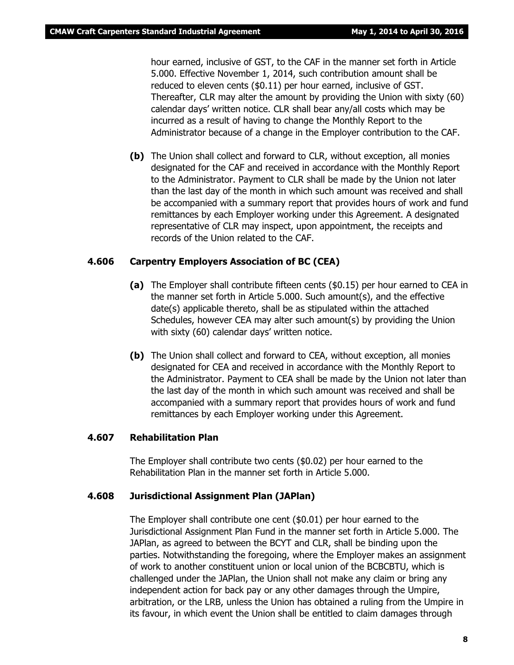hour earned, inclusive of GST, to the CAF in the manner set forth in Article 5.000. Effective November 1, 2014, such contribution amount shall be reduced to eleven cents (\$0.11) per hour earned, inclusive of GST. Thereafter, CLR may alter the amount by providing the Union with sixty (60) calendar days' written notice. CLR shall bear any/all costs which may be incurred as a result of having to change the Monthly Report to the Administrator because of a change in the Employer contribution to the CAF.

**(b)** The Union shall collect and forward to CLR, without exception, all monies designated for the CAF and received in accordance with the Monthly Report to the Administrator. Payment to CLR shall be made by the Union not later than the last day of the month in which such amount was received and shall be accompanied with a summary report that provides hours of work and fund remittances by each Employer working under this Agreement. A designated representative of CLR may inspect, upon appointment, the receipts and records of the Union related to the CAF.

#### **4.606 Carpentry Employers Association of BC (CEA)**

- **(a)** The Employer shall contribute fifteen cents (\$0.15) per hour earned to CEA in the manner set forth in Article 5.000. Such amount(s), and the effective date(s) applicable thereto, shall be as stipulated within the attached Schedules, however CEA may alter such amount(s) by providing the Union with sixty (60) calendar days' written notice.
- **(b)** The Union shall collect and forward to CEA, without exception, all monies designated for CEA and received in accordance with the Monthly Report to the Administrator. Payment to CEA shall be made by the Union not later than the last day of the month in which such amount was received and shall be accompanied with a summary report that provides hours of work and fund remittances by each Employer working under this Agreement.

#### **4.607 Rehabilitation Plan**

The Employer shall contribute two cents (\$0.02) per hour earned to the Rehabilitation Plan in the manner set forth in Article 5.000.

#### **4.608 Jurisdictional Assignment Plan (JAPlan)**

The Employer shall contribute one cent (\$0.01) per hour earned to the Jurisdictional Assignment Plan Fund in the manner set forth in Article 5.000. The JAPlan, as agreed to between the BCYT and CLR, shall be binding upon the parties. Notwithstanding the foregoing, where the Employer makes an assignment of work to another constituent union or local union of the BCBCBTU, which is challenged under the JAPlan, the Union shall not make any claim or bring any independent action for back pay or any other damages through the Umpire, arbitration, or the LRB, unless the Union has obtained a ruling from the Umpire in its favour, in which event the Union shall be entitled to claim damages through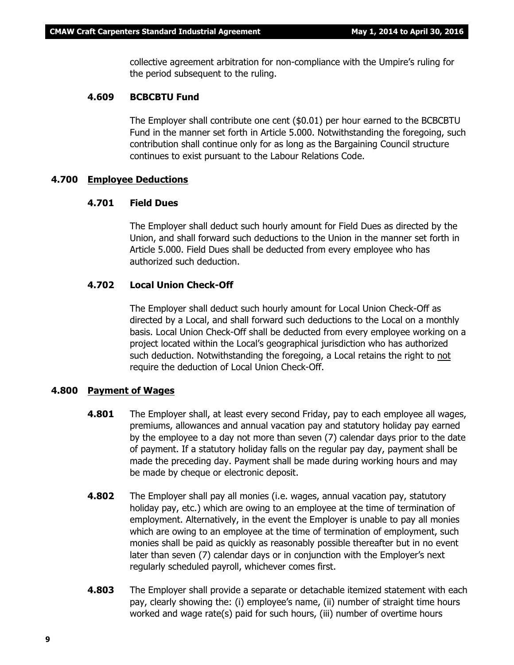collective agreement arbitration for non-compliance with the Umpire's ruling for the period subsequent to the ruling.

#### **4.609 BCBCBTU Fund**

The Employer shall contribute one cent (\$0.01) per hour earned to the BCBCBTU Fund in the manner set forth in Article 5.000. Notwithstanding the foregoing, such contribution shall continue only for as long as the Bargaining Council structure continues to exist pursuant to the *Labour Relations Code*.

#### **4.700 Employee Deductions**

#### **4.701 Field Dues**

The Employer shall deduct such hourly amount for Field Dues as directed by the Union, and shall forward such deductions to the Union in the manner set forth in Article 5.000. Field Dues shall be deducted from every employee who has authorized such deduction.

#### **4.702 Local Union Check-Off**

The Employer shall deduct such hourly amount for Local Union Check-Off as directed by a Local, and shall forward such deductions to the Local on a monthly basis. Local Union Check-Off shall be deducted from every employee working on a project located within the Local's geographical jurisdiction who has authorized such deduction. Notwithstanding the foregoing, a Local retains the right to not require the deduction of Local Union Check-Off.

#### **4.800 Payment of Wages**

- **4.801** The Employer shall, at least every second Friday, pay to each employee all wages, premiums, allowances and annual vacation pay and statutory holiday pay earned by the employee to a day not more than seven (7) calendar days prior to the date of payment. If a statutory holiday falls on the regular pay day, payment shall be made the preceding day. Payment shall be made during working hours and may be made by cheque or electronic deposit.
- **4.802** The Employer shall pay all monies (i.e. wages, annual vacation pay, statutory holiday pay, etc.) which are owing to an employee at the time of termination of employment. Alternatively, in the event the Employer is unable to pay all monies which are owing to an employee at the time of termination of employment, such monies shall be paid as quickly as reasonably possible thereafter but in no event later than seven (7) calendar days or in conjunction with the Employer's next regularly scheduled payroll, whichever comes first.
- **4.803** The Employer shall provide a separate or detachable itemized statement with each pay, clearly showing the: (i) employee's name, (ii) number of straight time hours worked and wage rate(s) paid for such hours, (iii) number of overtime hours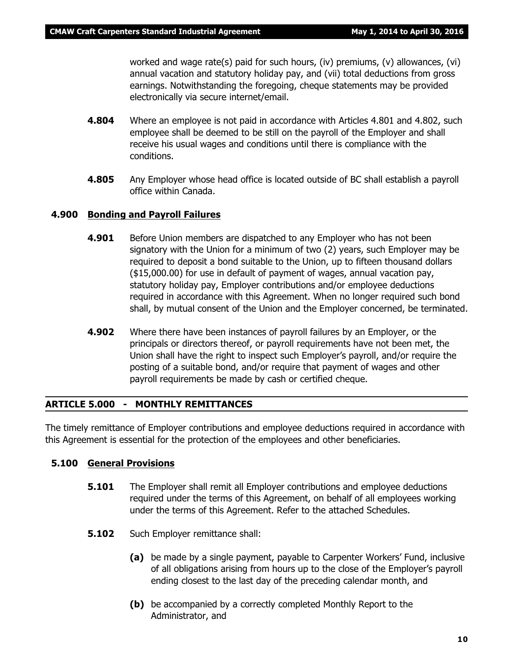worked and wage rate(s) paid for such hours, (iv) premiums, (v) allowances, (vi) annual vacation and statutory holiday pay, and (vii) total deductions from gross earnings. Notwithstanding the foregoing, cheque statements may be provided electronically via secure internet/email.

- **4.804** Where an employee is not paid in accordance with Articles 4.801 and 4.802, such employee shall be deemed to be still on the payroll of the Employer and shall receive his usual wages and conditions until there is compliance with the conditions.
- **4.805** Any Employer whose head office is located outside of BC shall establish a payroll office within Canada.

#### **4.900 Bonding and Payroll Failures**

- **4.901** Before Union members are dispatched to any Employer who has not been signatory with the Union for a minimum of two (2) years, such Employer may be required to deposit a bond suitable to the Union, up to fifteen thousand dollars (\$15,000.00) for use in default of payment of wages, annual vacation pay, statutory holiday pay, Employer contributions and/or employee deductions required in accordance with this Agreement. When no longer required such bond shall, by mutual consent of the Union and the Employer concerned, be terminated.
- **4.902** Where there have been instances of payroll failures by an Employer, or the principals or directors thereof, or payroll requirements have not been met, the Union shall have the right to inspect such Employer's payroll, and/or require the posting of a suitable bond, and/or require that payment of wages and other payroll requirements be made by cash or certified cheque.

#### **ARTICLE 5.000 - MONTHLY REMITTANCES**

The timely remittance of Employer contributions and employee deductions required in accordance with this Agreement is essential for the protection of the employees and other beneficiaries.

#### **5.100 General Provisions**

- **5.101** The Employer shall remit all Employer contributions and employee deductions required under the terms of this Agreement, on behalf of all employees working under the terms of this Agreement. Refer to the attached Schedules.
- **5.102** Such Employer remittance shall:
	- **(a)** be made by a single payment, payable to Carpenter Workers' Fund, inclusive of all obligations arising from hours up to the close of the Employer's payroll ending closest to the last day of the preceding calendar month, and
	- **(b)** be accompanied by a correctly completed Monthly Report to the Administrator, and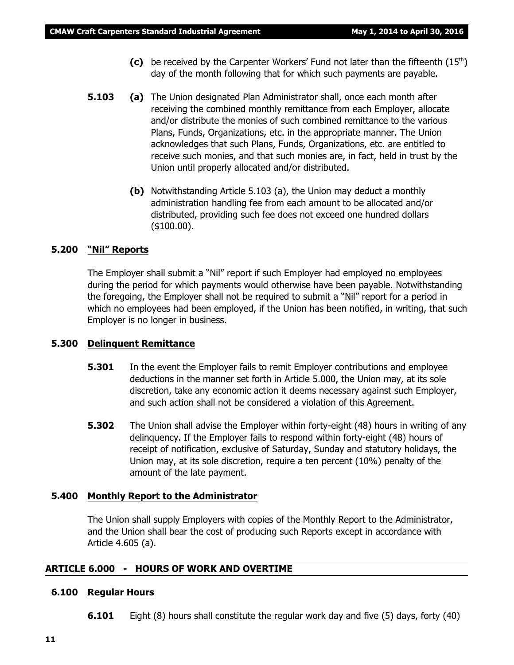- (c) be received by the Carpenter Workers' Fund not later than the fifteenth (15<sup>th</sup>) day of the month following that for which such payments are payable.
- **5.103 (a)** The Union designated Plan Administrator shall, once each month after receiving the combined monthly remittance from each Employer, allocate and/or distribute the monies of such combined remittance to the various Plans, Funds, Organizations, etc. in the appropriate manner. The Union acknowledges that such Plans, Funds, Organizations, etc. are entitled to receive such monies, and that such monies are, in fact, held in trust by the Union until properly allocated and/or distributed.
	- **(b)** Notwithstanding Article 5.103 (a), the Union may deduct a monthly administration handling fee from each amount to be allocated and/or distributed, providing such fee does not exceed one hundred dollars (\$100.00).

#### **5.200 "Nil" Reports**

The Employer shall submit a "Nil" report if such Employer had employed no employees during the period for which payments would otherwise have been payable. Notwithstanding the foregoing, the Employer shall not be required to submit a "Nil" report for a period in which no employees had been employed, if the Union has been notified, in writing, that such Employer is no longer in business.

#### **5.300 Delinquent Remittance**

- **5.301** In the event the Employer fails to remit Employer contributions and employee deductions in the manner set forth in Article 5.000, the Union may, at its sole discretion, take any economic action it deems necessary against such Employer, and such action shall not be considered a violation of this Agreement.
- **5.302** The Union shall advise the Employer within forty-eight (48) hours in writing of any delinquency. If the Employer fails to respond within forty-eight (48) hours of receipt of notification, exclusive of Saturday, Sunday and statutory holidays, the Union may, at its sole discretion, require a ten percent (10%) penalty of the amount of the late payment.

#### **5.400 Monthly Report to the Administrator**

The Union shall supply Employers with copies of the Monthly Report to the Administrator, and the Union shall bear the cost of producing such Reports except in accordance with Article 4.605 (a).

#### **ARTICLE 6.000 - HOURS OF WORK AND OVERTIME**

#### **6.100 Regular Hours**

**6.101** Eight (8) hours shall constitute the regular work day and five (5) days, forty (40)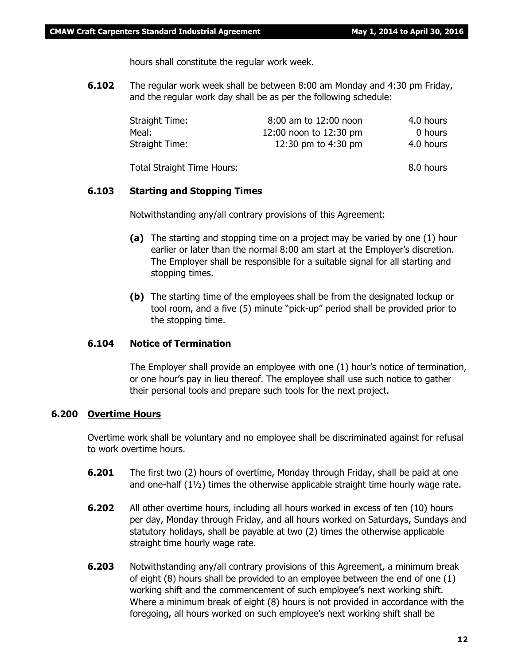hours shall constitute the regular work week.

**6.102** The regular work week shall be between 8:00 am Monday and 4:30 pm Friday, and the regular work day shall be as per the following schedule:

| Straight Time:                    | 8:00 am to 12:00 noon  | 4.0 hours |
|-----------------------------------|------------------------|-----------|
| Meal:                             | 12:00 noon to 12:30 pm | 0 hours   |
| Straight Time:                    | 12:30 pm to 4:30 pm    | 4.0 hours |
| <b>Total Straight Time Hours:</b> |                        | 8.0 hours |

#### **6.103 Starting and Stopping Times**

Notwithstanding any/all contrary provisions of this Agreement:

- **(a)** The starting and stopping time on a project may be varied by one (1) hour earlier or later than the normal 8:00 am start at the Employer's discretion. The Employer shall be responsible for a suitable signal for all starting and stopping times.
- **(b)** The starting time of the employees shall be from the designated lockup or tool room, and a five (5) minute "pick-up" period shall be provided prior to the stopping time.

#### **6.104 Notice of Termination**

The Employer shall provide an employee with one (1) hour's notice of termination, or one hour's pay in lieu thereof. The employee shall use such notice to gather their personal tools and prepare such tools for the next project.

#### **6.200 Overtime Hours**

Overtime work shall be voluntary and no employee shall be discriminated against for refusal to work overtime hours.

- **6.201** The first two (2) hours of overtime, Monday through Friday, shall be paid at one and one-half  $(1\frac{1}{2})$  times the otherwise applicable straight time hourly wage rate.
- **6.202** All other overtime hours, including all hours worked in excess of ten (10) hours per day, Monday through Friday, and all hours worked on Saturdays, Sundays and statutory holidays, shall be payable at two (2) times the otherwise applicable straight time hourly wage rate.
- **6.203** Notwithstanding any/all contrary provisions of this Agreement, a minimum break of eight (8) hours shall be provided to an employee between the end of one (1) working shift and the commencement of such employee's next working shift. Where a minimum break of eight (8) hours is not provided in accordance with the foregoing, all hours worked on such employee's next working shift shall be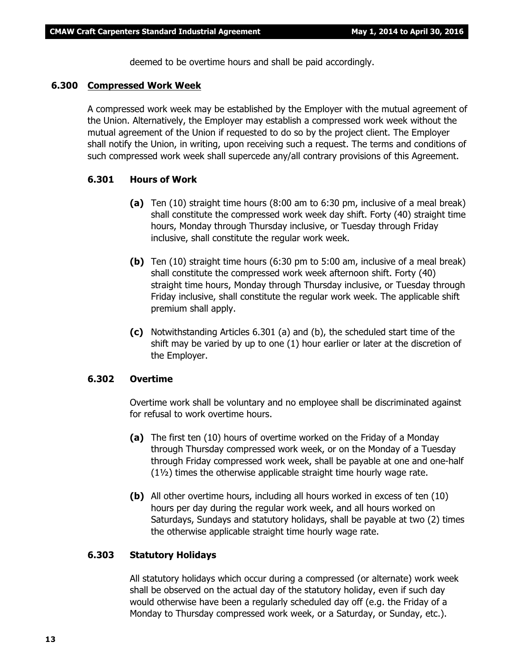deemed to be overtime hours and shall be paid accordingly.

#### **6.300 Compressed Work Week**

A compressed work week may be established by the Employer with the mutual agreement of the Union. Alternatively, the Employer may establish a compressed work week without the mutual agreement of the Union if requested to do so by the project client. The Employer shall notify the Union, in writing, upon receiving such a request. The terms and conditions of such compressed work week shall supercede any/all contrary provisions of this Agreement.

#### **6.301 Hours of Work**

- **(a)** Ten (10) straight time hours (8:00 am to 6:30 pm, inclusive of a meal break) shall constitute the compressed work week day shift. Forty (40) straight time hours, Monday through Thursday inclusive, or Tuesday through Friday inclusive, shall constitute the regular work week.
- **(b)** Ten (10) straight time hours (6:30 pm to 5:00 am, inclusive of a meal break) shall constitute the compressed work week afternoon shift. Forty (40) straight time hours, Monday through Thursday inclusive, or Tuesday through Friday inclusive, shall constitute the regular work week. The applicable shift premium shall apply.
- **(c)** Notwithstanding Articles 6.301 (a) and (b), the scheduled start time of the shift may be varied by up to one (1) hour earlier or later at the discretion of the Employer.

#### **6.302 Overtime**

Overtime work shall be voluntary and no employee shall be discriminated against for refusal to work overtime hours.

- **(a)** The first ten (10) hours of overtime worked on the Friday of a Monday through Thursday compressed work week, or on the Monday of a Tuesday through Friday compressed work week, shall be payable at one and one-half (1½) times the otherwise applicable straight time hourly wage rate.
- **(b)** All other overtime hours, including all hours worked in excess of ten (10) hours per day during the regular work week, and all hours worked on Saturdays, Sundays and statutory holidays, shall be payable at two (2) times the otherwise applicable straight time hourly wage rate.

#### **6.303 Statutory Holidays**

All statutory holidays which occur during a compressed (or alternate) work week shall be observed on the actual day of the statutory holiday, even if such day would otherwise have been a regularly scheduled day off (e.g. the Friday of a Monday to Thursday compressed work week, or a Saturday, or Sunday, etc.).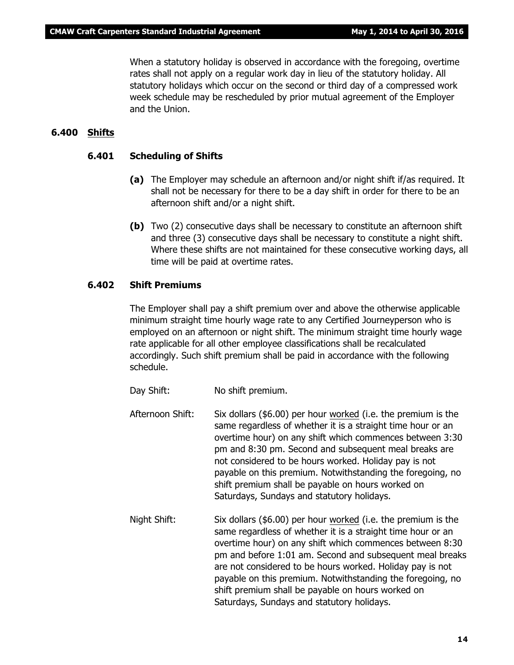When a statutory holiday is observed in accordance with the foregoing, overtime rates shall not apply on a regular work day in lieu of the statutory holiday. All statutory holidays which occur on the second or third day of a compressed work week schedule may be rescheduled by prior mutual agreement of the Employer and the Union.

#### **6.400 Shifts**

#### **6.401 Scheduling of Shifts**

- **(a)** The Employer may schedule an afternoon and/or night shift if/as required. It shall not be necessary for there to be a day shift in order for there to be an afternoon shift and/or a night shift.
- **(b)** Two (2) consecutive days shall be necessary to constitute an afternoon shift and three (3) consecutive days shall be necessary to constitute a night shift. Where these shifts are not maintained for these consecutive working days, all time will be paid at overtime rates.

#### **6.402 Shift Premiums**

The Employer shall pay a shift premium over and above the otherwise applicable minimum straight time hourly wage rate to any Certified Journeyperson who is employed on an afternoon or night shift. The minimum straight time hourly wage rate applicable for all other employee classifications shall be recalculated accordingly. Such shift premium shall be paid in accordance with the following schedule.

- Day Shift: No shift premium.
- Afternoon Shift: Six dollars (\$6.00) per hour worked (i.e. the premium is the same regardless of whether it is a straight time hour or an overtime hour) on any shift which commences between 3:30 pm and 8:30 pm. Second and subsequent meal breaks are not considered to be hours worked. Holiday pay is not payable on this premium. Notwithstanding the foregoing, no shift premium shall be payable on hours worked on Saturdays, Sundays and statutory holidays.
- Night Shift: Six dollars (\$6.00) per hour worked (i.e. the premium is the same regardless of whether it is a straight time hour or an overtime hour) on any shift which commences between 8:30 pm and before 1:01 am. Second and subsequent meal breaks are not considered to be hours worked. Holiday pay is not payable on this premium. Notwithstanding the foregoing, no shift premium shall be payable on hours worked on Saturdays, Sundays and statutory holidays.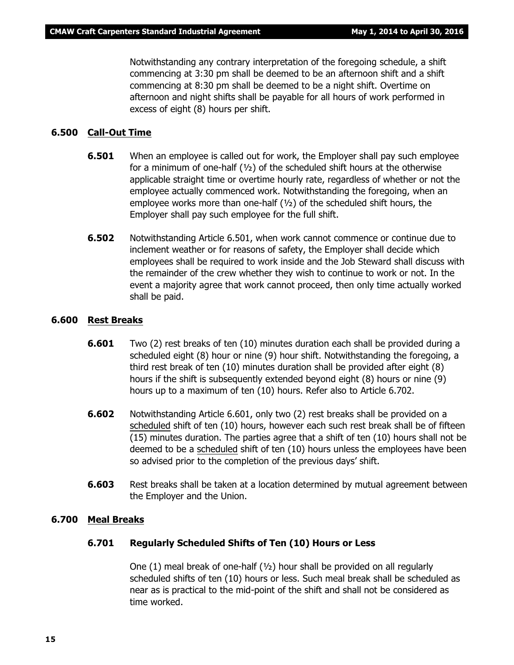Notwithstanding any contrary interpretation of the foregoing schedule, a shift commencing at 3:30 pm shall be deemed to be an afternoon shift and a shift commencing at 8:30 pm shall be deemed to be a night shift. Overtime on afternoon and night shifts shall be payable for all hours of work performed in excess of eight (8) hours per shift.

#### **6.500 Call-Out Time**

- **6.501** When an employee is called out for work, the Employer shall pay such employee for a minimum of one-half (½) of the scheduled shift hours at the otherwise applicable straight time or overtime hourly rate, regardless of whether or not the employee actually commenced work. Notwithstanding the foregoing, when an employee works more than one-half (½) of the scheduled shift hours, the Employer shall pay such employee for the full shift.
- **6.502** Notwithstanding Article 6.501, when work cannot commence or continue due to inclement weather or for reasons of safety, the Employer shall decide which employees shall be required to work inside and the Job Steward shall discuss with the remainder of the crew whether they wish to continue to work or not. In the event a majority agree that work cannot proceed, then only time actually worked shall be paid.

#### **6.600 Rest Breaks**

- **6.601** Two (2) rest breaks of ten (10) minutes duration each shall be provided during a scheduled eight (8) hour or nine (9) hour shift. Notwithstanding the foregoing, a third rest break of ten (10) minutes duration shall be provided after eight (8) hours if the shift is subsequently extended beyond eight (8) hours or nine (9) hours up to a maximum of ten (10) hours. Refer also to Article 6.702.
- **6.602** Notwithstanding Article 6.601, only two (2) rest breaks shall be provided on a scheduled shift of ten (10) hours, however each such rest break shall be of fifteen (15) minutes duration. The parties agree that a shift of ten (10) hours shall not be deemed to be a scheduled shift of ten (10) hours unless the employees have been so advised prior to the completion of the previous days' shift.
- **6.603** Rest breaks shall be taken at a location determined by mutual agreement between the Employer and the Union.

#### **6.700 Meal Breaks**

#### **6.701 Regularly Scheduled Shifts of Ten (10) Hours or Less**

One  $(1)$  meal break of one-half  $(1/2)$  hour shall be provided on all regularly scheduled shifts of ten (10) hours or less. Such meal break shall be scheduled as near as is practical to the mid-point of the shift and shall not be considered as time worked.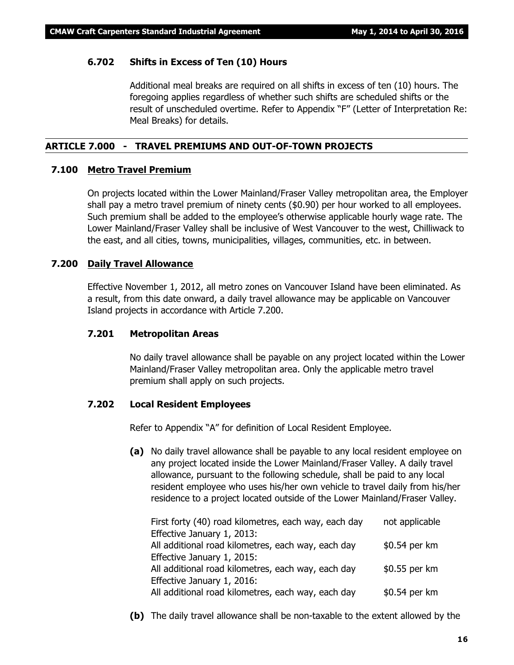#### **6.702 Shifts in Excess of Ten (10) Hours**

Additional meal breaks are required on all shifts in excess of ten (10) hours. The foregoing applies regardless of whether such shifts are scheduled shifts or the result of unscheduled overtime. Refer to Appendix "F" (Letter of Interpretation Re: Meal Breaks) for details.

#### **ARTICLE 7.000 - TRAVEL PREMIUMS AND OUT-OF-TOWN PROJECTS**

#### **7.100 Metro Travel Premium**

On projects located within the Lower Mainland/Fraser Valley metropolitan area, the Employer shall pay a metro travel premium of ninety cents (\$0.90) per hour worked to all employees. Such premium shall be added to the employee's otherwise applicable hourly wage rate. The Lower Mainland/Fraser Valley shall be inclusive of West Vancouver to the west, Chilliwack to the east, and all cities, towns, municipalities, villages, communities, etc. in between.

#### **7.200 Daily Travel Allowance**

Effective November 1, 2012, all metro zones on Vancouver Island have been eliminated. As a result, from this date onward, a daily travel allowance may be applicable on Vancouver Island projects in accordance with Article 7.200.

#### **7.201 Metropolitan Areas**

No daily travel allowance shall be payable on any project located within the Lower Mainland/Fraser Valley metropolitan area. Only the applicable metro travel premium shall apply on such projects.

#### **7.202 Local Resident Employees**

Refer to Appendix "A" for definition of Local Resident Employee.

**(a)** No daily travel allowance shall be payable to any local resident employee on any project located inside the Lower Mainland/Fraser Valley. A daily travel allowance, pursuant to the following schedule, shall be paid to any local resident employee who uses his/her own vehicle to travel daily from his/her residence to a project located outside of the Lower Mainland/Fraser Valley.

| First forty (40) road kilometres, each way, each day | not applicable |
|------------------------------------------------------|----------------|
| Effective January 1, 2013:                           |                |
| All additional road kilometres, each way, each day   | \$0.54 per km  |
| Effective January 1, 2015:                           |                |
| All additional road kilometres, each way, each day   | \$0.55 per km  |
| Effective January 1, 2016:                           |                |
| All additional road kilometres, each way, each day   | \$0.54 per km  |
|                                                      |                |

**(b)** The daily travel allowance shall be non-taxable to the extent allowed by the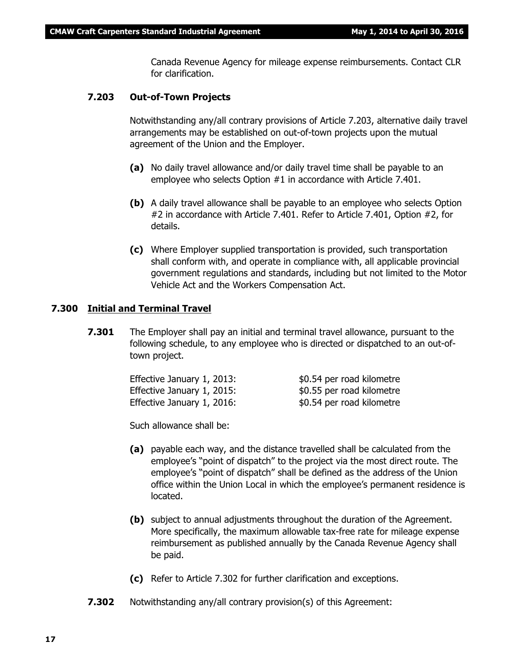Canada Revenue Agency for mileage expense reimbursements. Contact CLR for clarification.

#### **7.203 Out-of-Town Projects**

Notwithstanding any/all contrary provisions of Article 7.203, alternative daily travel arrangements may be established on out-of-town projects upon the mutual agreement of the Union and the Employer.

- **(a)** No daily travel allowance and/or daily travel time shall be payable to an employee who selects Option #1 in accordance with Article 7.401.
- **(b)** A daily travel allowance shall be payable to an employee who selects Option #2 in accordance with Article 7.401. Refer to Article 7.401, Option #2, for details.
- **(c)** Where Employer supplied transportation is provided, such transportation shall conform with, and operate in compliance with, all applicable provincial government regulations and standards, including but not limited to the *Motor Vehicle Act* and the *Workers Compensation Act*.

#### **7.300 Initial and Terminal Travel**

**7.301** The Employer shall pay an initial and terminal travel allowance, pursuant to the following schedule, to any employee who is directed or dispatched to an out-oftown project.

| Effective January 1, 2013: | \$0.54 per road kilometre |
|----------------------------|---------------------------|
| Effective January 1, 2015: | \$0.55 per road kilometre |
| Effective January 1, 2016: | \$0.54 per road kilometre |

Such allowance shall be:

- **(a)** payable each way, and the distance travelled shall be calculated from the employee's "point of dispatch" to the project via the most direct route. The employee's "point of dispatch" shall be defined as the address of the Union office within the Union Local in which the employee's permanent residence is located.
- **(b)** subject to annual adjustments throughout the duration of the Agreement. More specifically, the maximum allowable tax-free rate for mileage expense reimbursement as published annually by the Canada Revenue Agency shall be paid.
- **(c)** Refer to Article 7.302 for further clarification and exceptions.
- **7.302** Notwithstanding any/all contrary provision(s) of this Agreement: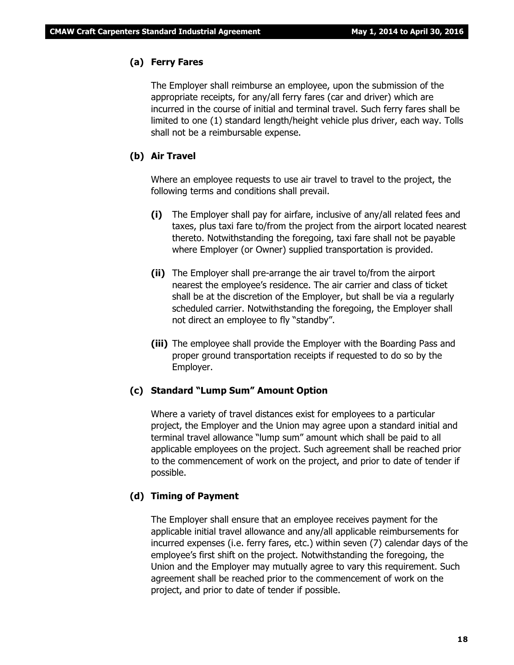#### **(a) Ferry Fares**

The Employer shall reimburse an employee, upon the submission of the appropriate receipts, for any/all ferry fares (car and driver) which are incurred in the course of initial and terminal travel. Such ferry fares shall be limited to one (1) standard length/height vehicle plus driver, each way. Tolls shall not be a reimbursable expense.

#### **(b) Air Travel**

Where an employee requests to use air travel to travel to the project, the following terms and conditions shall prevail.

- **(i)** The Employer shall pay for airfare, inclusive of any/all related fees and taxes, plus taxi fare to/from the project from the airport located nearest thereto. Notwithstanding the foregoing, taxi fare shall not be payable where Employer (or Owner) supplied transportation is provided.
- **(ii)** The Employer shall pre-arrange the air travel to/from the airport nearest the employee's residence. The air carrier and class of ticket shall be at the discretion of the Employer, but shall be via a regularly scheduled carrier. Notwithstanding the foregoing, the Employer shall not direct an employee to fly "standby".
- **(iii)** The employee shall provide the Employer with the Boarding Pass and proper ground transportation receipts if requested to do so by the Employer.

#### **(c) Standard "Lump Sum" Amount Option**

Where a variety of travel distances exist for employees to a particular project, the Employer and the Union may agree upon a standard initial and terminal travel allowance "lump sum" amount which shall be paid to all applicable employees on the project. Such agreement shall be reached prior to the commencement of work on the project, and prior to date of tender if possible.

#### **(d) Timing of Payment**

The Employer shall ensure that an employee receives payment for the applicable initial travel allowance and any/all applicable reimbursements for incurred expenses (i.e. ferry fares, etc.) within seven (7) calendar days of the employee's first shift on the project. Notwithstanding the foregoing, the Union and the Employer may mutually agree to vary this requirement. Such agreement shall be reached prior to the commencement of work on the project, and prior to date of tender if possible.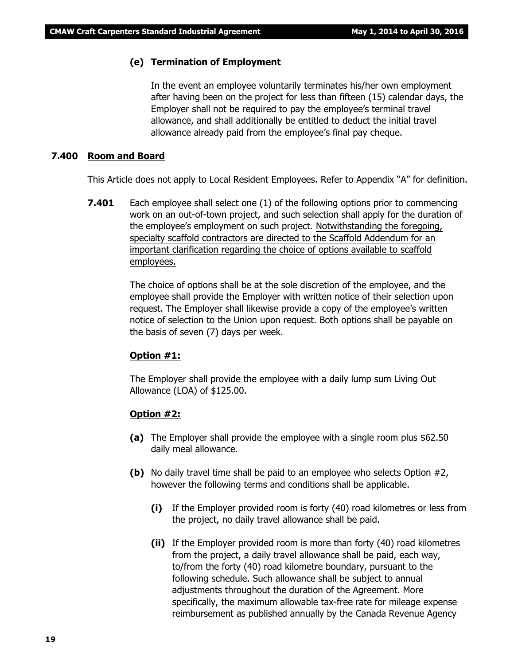#### **(e) Termination of Employment**

In the event an employee voluntarily terminates his/her own employment after having been on the project for less than fifteen (15) calendar days, the Employer shall not be required to pay the employee's terminal travel allowance, and shall additionally be entitled to deduct the initial travel allowance already paid from the employee's final pay cheque.

#### **7.400 Room and Board**

This Article does not apply to Local Resident Employees. Refer to Appendix "A" for definition.

**7.401** Each employee shall select one (1) of the following options prior to commencing work on an out-of-town project, and such selection shall apply for the duration of the employee's employment on such project. Notwithstanding the foregoing, specialty scaffold contractors are directed to the Scaffold Addendum for an important clarification regarding the choice of options available to scaffold employees.

> The choice of options shall be at the sole discretion of the employee, and the employee shall provide the Employer with written notice of their selection upon request. The Employer shall likewise provide a copy of the employee's written notice of selection to the Union upon request. Both options shall be payable on the basis of seven (7) days per week.

#### **Option #1:**

The Employer shall provide the employee with a daily lump sum Living Out Allowance (LOA) of \$125.00.

#### **Option #2:**

- **(a)** The Employer shall provide the employee with a single room plus \$62.50 daily meal allowance.
- **(b)** No daily travel time shall be paid to an employee who selects Option #2, however the following terms and conditions shall be applicable.
	- **(i)** If the Employer provided room is forty (40) road kilometres or less from the project, no daily travel allowance shall be paid.
	- **(ii)** If the Employer provided room is more than forty (40) road kilometres from the project, a daily travel allowance shall be paid, each way, to/from the forty (40) road kilometre boundary, pursuant to the following schedule. Such allowance shall be subject to annual adjustments throughout the duration of the Agreement. More specifically, the maximum allowable tax-free rate for mileage expense reimbursement as published annually by the Canada Revenue Agency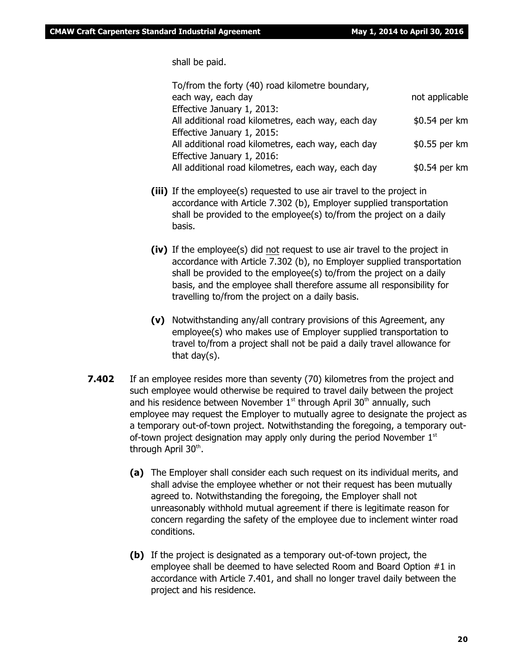shall be paid.

| To/from the forty (40) road kilometre boundary,    |                |
|----------------------------------------------------|----------------|
| each way, each day                                 | not applicable |
| Effective January 1, 2013:                         |                |
| All additional road kilometres, each way, each day | \$0.54 per km  |
| Effective January 1, 2015:                         |                |
| All additional road kilometres, each way, each day | \$0.55 per km  |
| Effective January 1, 2016:                         |                |
| All additional road kilometres, each way, each day | \$0.54 per km  |
|                                                    |                |

- **(iii)** If the employee(s) requested to use air travel to the project in accordance with Article 7.302 (b), Employer supplied transportation shall be provided to the employee(s) to/from the project on a daily basis.
- **(iv)** If the employee(s) did not request to use air travel to the project in accordance with Article 7.302 (b), no Employer supplied transportation shall be provided to the employee(s) to/from the project on a daily basis, and the employee shall therefore assume all responsibility for travelling to/from the project on a daily basis.
- **(v)** Notwithstanding any/all contrary provisions of this Agreement, any employee(s) who makes use of Employer supplied transportation to travel to/from a project shall not be paid a daily travel allowance for that day(s).
- **7.402** If an employee resides more than seventy (70) kilometres from the project and such employee would otherwise be required to travel daily between the project and his residence between November  $1<sup>st</sup>$  through April 30<sup>th</sup> annually, such employee may request the Employer to mutually agree to designate the project as a temporary out-of-town project. Notwithstanding the foregoing, a temporary outof-town project designation may apply only during the period November  $1<sup>st</sup>$ through April 30<sup>th</sup>.
	- **(a)** The Employer shall consider each such request on its individual merits, and shall advise the employee whether or not their request has been mutually agreed to. Notwithstanding the foregoing, the Employer shall not unreasonably withhold mutual agreement if there is legitimate reason for concern regarding the safety of the employee due to inclement winter road conditions.
	- **(b)** If the project is designated as a temporary out-of-town project, the employee shall be deemed to have selected Room and Board Option #1 in accordance with Article 7.401, and shall no longer travel daily between the project and his residence.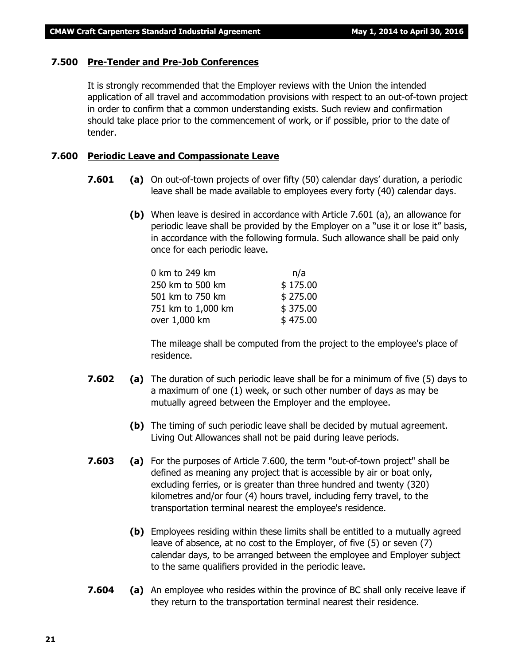#### **7.500 Pre-Tender and Pre-Job Conferences**

It is strongly recommended that the Employer reviews with the Union the intended application of all travel and accommodation provisions with respect to an out-of-town project in order to confirm that a common understanding exists. Such review and confirmation should take place prior to the commencement of work, or if possible, prior to the date of tender.

#### **7.600 Periodic Leave and Compassionate Leave**

- **7.601 (a)** On out-of-town projects of over fifty (50) calendar days' duration, a periodic leave shall be made available to employees every forty (40) calendar days.
	- **(b)** When leave is desired in accordance with Article 7.601 (a), an allowance for periodic leave shall be provided by the Employer on a "use it or lose it" basis, in accordance with the following formula. Such allowance shall be paid only once for each periodic leave.

| 0 km to 249 km     | n/a      |
|--------------------|----------|
| 250 km to 500 km   | \$175.00 |
| 501 km to 750 km   | \$275.00 |
| 751 km to 1,000 km | \$375.00 |
| over 1,000 km      | \$475.00 |

The mileage shall be computed from the project to the employee's place of residence.

- **7.602 (a)** The duration of such periodic leave shall be for a minimum of five (5) days to a maximum of one (1) week, or such other number of days as may be mutually agreed between the Employer and the employee.
	- **(b)** The timing of such periodic leave shall be decided by mutual agreement. Living Out Allowances shall not be paid during leave periods.
- **7.603 (a)** For the purposes of Article 7.600, the term "out-of-town project" shall be defined as meaning any project that is accessible by air or boat only, excluding ferries, or is greater than three hundred and twenty (320) kilometres and/or four (4) hours travel, including ferry travel, to the transportation terminal nearest the employee's residence.
	- **(b)** Employees residing within these limits shall be entitled to a mutually agreed leave of absence, at no cost to the Employer, of five (5) or seven (7) calendar days, to be arranged between the employee and Employer subject to the same qualifiers provided in the periodic leave.
- **7.604 (a)** An employee who resides within the province of BC shall only receive leave if they return to the transportation terminal nearest their residence.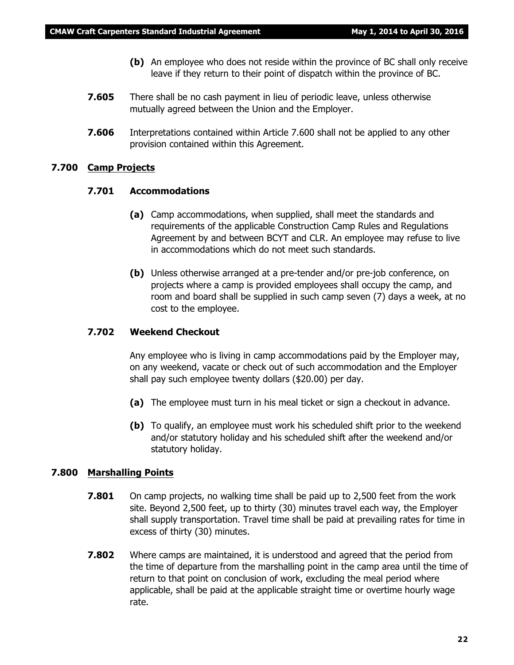- **(b)** An employee who does not reside within the province of BC shall only receive leave if they return to their point of dispatch within the province of BC.
- **7.605** There shall be no cash payment in lieu of periodic leave, unless otherwise mutually agreed between the Union and the Employer.
- **7.606** Interpretations contained within Article 7.600 shall not be applied to any other provision contained within this Agreement.

#### **7.700 Camp Projects**

#### **7.701 Accommodations**

- **(a)** Camp accommodations, when supplied, shall meet the standards and requirements of the applicable Construction Camp Rules and Regulations Agreement by and between BCYT and CLR. An employee may refuse to live in accommodations which do not meet such standards.
- **(b)** Unless otherwise arranged at a pre-tender and/or pre-job conference, on projects where a camp is provided employees shall occupy the camp, and room and board shall be supplied in such camp seven (7) days a week, at no cost to the employee.

#### **7.702 Weekend Checkout**

Any employee who is living in camp accommodations paid by the Employer may, on any weekend, vacate or check out of such accommodation and the Employer shall pay such employee twenty dollars (\$20.00) per day.

- **(a)** The employee must turn in his meal ticket or sign a checkout in advance.
- **(b)** To qualify, an employee must work his scheduled shift prior to the weekend and/or statutory holiday and his scheduled shift after the weekend and/or statutory holiday.

#### **7.800 Marshalling Points**

- **7.801** On camp projects, no walking time shall be paid up to 2,500 feet from the work site. Beyond 2,500 feet, up to thirty (30) minutes travel each way, the Employer shall supply transportation. Travel time shall be paid at prevailing rates for time in excess of thirty (30) minutes.
- **7.802** Where camps are maintained, it is understood and agreed that the period from the time of departure from the marshalling point in the camp area until the time of return to that point on conclusion of work, excluding the meal period where applicable, shall be paid at the applicable straight time or overtime hourly wage rate.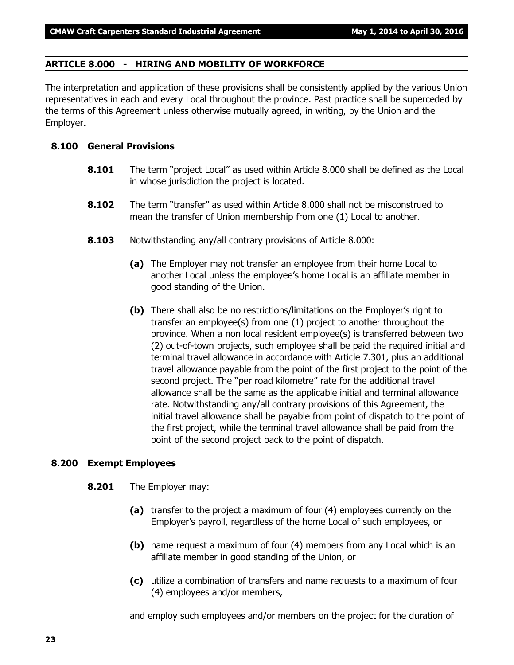#### **ARTICLE 8.000 - HIRING AND MOBILITY OF WORKFORCE**

The interpretation and application of these provisions shall be consistently applied by the various Union representatives in each and every Local throughout the province. Past practice shall be superceded by the terms of this Agreement unless otherwise mutually agreed, in writing, by the Union and the Employer.

#### **8.100 General Provisions**

- **8.101** The term "project Local" as used within Article 8.000 shall be defined as the Local in whose jurisdiction the project is located.
- **8.102** The term "transfer" as used within Article 8.000 shall not be misconstrued to mean the transfer of Union membership from one (1) Local to another.
- **8.103** Notwithstanding any/all contrary provisions of Article 8.000:
	- **(a)** The Employer may not transfer an employee from their home Local to another Local unless the employee's home Local is an affiliate member in good standing of the Union.
	- **(b)** There shall also be no restrictions/limitations on the Employer's right to transfer an employee(s) from one (1) project to another throughout the province. When a non local resident employee(s) is transferred between two (2) out-of-town projects, such employee shall be paid the required initial and terminal travel allowance in accordance with Article 7.301, plus an additional travel allowance payable from the point of the first project to the point of the second project. The "per road kilometre" rate for the additional travel allowance shall be the same as the applicable initial and terminal allowance rate. Notwithstanding any/all contrary provisions of this Agreement, the initial travel allowance shall be payable from point of dispatch to the point of the first project, while the terminal travel allowance shall be paid from the point of the second project back to the point of dispatch.

#### **8.200 Exempt Employees**

- **8.201** The Employer may:
	- **(a)** transfer to the project a maximum of four (4) employees currently on the Employer's payroll, regardless of the home Local of such employees, or
	- **(b)** name request a maximum of four (4) members from any Local which is an affiliate member in good standing of the Union, or
	- **(c)** utilize a combination of transfers and name requests to a maximum of four (4) employees and/or members,

and employ such employees and/or members on the project for the duration of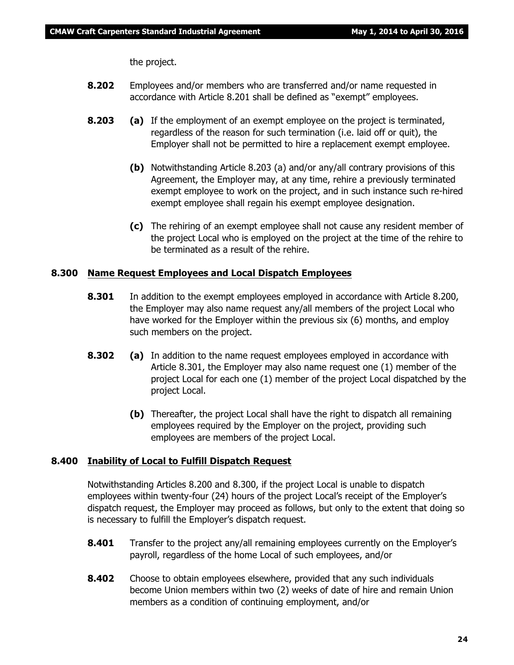the project.

- **8.202** Employees and/or members who are transferred and/or name requested in accordance with Article 8.201 shall be defined as "exempt" employees.
- **8.203 (a)** If the employment of an exempt employee on the project is terminated, regardless of the reason for such termination (i.e. laid off or quit), the Employer shall not be permitted to hire a replacement exempt employee.
	- **(b)** Notwithstanding Article 8.203 (a) and/or any/all contrary provisions of this Agreement, the Employer may, at any time, rehire a previously terminated exempt employee to work on the project, and in such instance such re-hired exempt employee shall regain his exempt employee designation.
	- **(c)** The rehiring of an exempt employee shall not cause any resident member of the project Local who is employed on the project at the time of the rehire to be terminated as a result of the rehire.

#### **8.300 Name Request Employees and Local Dispatch Employees**

- **8.301** In addition to the exempt employees employed in accordance with Article 8.200, the Employer may also name request any/all members of the project Local who have worked for the Employer within the previous six (6) months, and employ such members on the project.
- **8.302 (a)** In addition to the name request employees employed in accordance with Article 8.301, the Employer may also name request one (1) member of the project Local for each one (1) member of the project Local dispatched by the project Local.
	- **(b)** Thereafter, the project Local shall have the right to dispatch all remaining employees required by the Employer on the project, providing such employees are members of the project Local.

#### **8.400 Inability of Local to Fulfill Dispatch Request**

Notwithstanding Articles 8.200 and 8.300, if the project Local is unable to dispatch employees within twenty-four (24) hours of the project Local's receipt of the Employer's dispatch request, the Employer may proceed as follows, but only to the extent that doing so is necessary to fulfill the Employer's dispatch request.

- **8.401** Transfer to the project any/all remaining employees currently on the Employer's payroll, regardless of the home Local of such employees, and/or
- **8.402** Choose to obtain employees elsewhere, provided that any such individuals become Union members within two (2) weeks of date of hire and remain Union members as a condition of continuing employment, and/or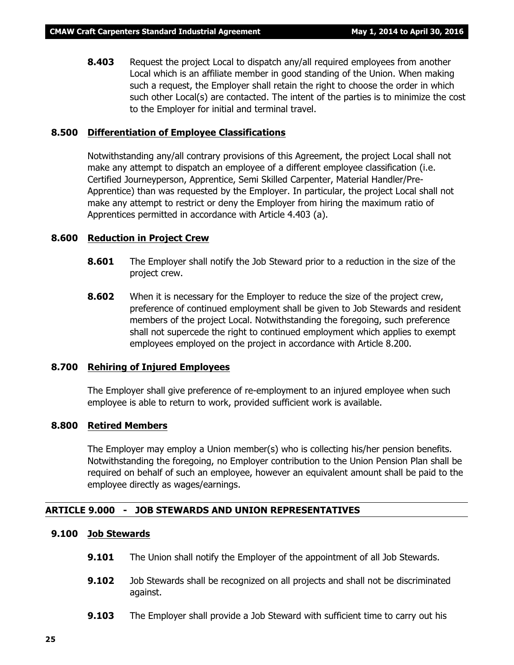**8.403** Request the project Local to dispatch any/all required employees from another Local which is an affiliate member in good standing of the Union. When making such a request, the Employer shall retain the right to choose the order in which such other Local(s) are contacted. The intent of the parties is to minimize the cost to the Employer for initial and terminal travel.

#### **8.500 Differentiation of Employee Classifications**

Notwithstanding any/all contrary provisions of this Agreement, the project Local shall not make any attempt to dispatch an employee of a different employee classification (i.e. Certified Journeyperson, Apprentice, Semi Skilled Carpenter, Material Handler/Pre-Apprentice) than was requested by the Employer. In particular, the project Local shall not make any attempt to restrict or deny the Employer from hiring the maximum ratio of Apprentices permitted in accordance with Article 4.403 (a).

#### **8.600 Reduction in Project Crew**

- **8.601** The Employer shall notify the Job Steward prior to a reduction in the size of the project crew.
- **8.602** When it is necessary for the Employer to reduce the size of the project crew, preference of continued employment shall be given to Job Stewards and resident members of the project Local. Notwithstanding the foregoing, such preference shall not supercede the right to continued employment which applies to exempt employees employed on the project in accordance with Article 8.200.

#### **8.700 Rehiring of Injured Employees**

The Employer shall give preference of re-employment to an injured employee when such employee is able to return to work, provided sufficient work is available.

#### **8.800 Retired Members**

The Employer may employ a Union member(s) who is collecting his/her pension benefits. Notwithstanding the foregoing, no Employer contribution to the Union Pension Plan shall be required on behalf of such an employee, however an equivalent amount shall be paid to the employee directly as wages/earnings.

#### **ARTICLE 9.000 - JOB STEWARDS AND UNION REPRESENTATIVES**

#### **9.100 Job Stewards**

- **9.101** The Union shall notify the Employer of the appointment of all Job Stewards.
- **9.102** Job Stewards shall be recognized on all projects and shall not be discriminated against.
- **9.103** The Employer shall provide a Job Steward with sufficient time to carry out his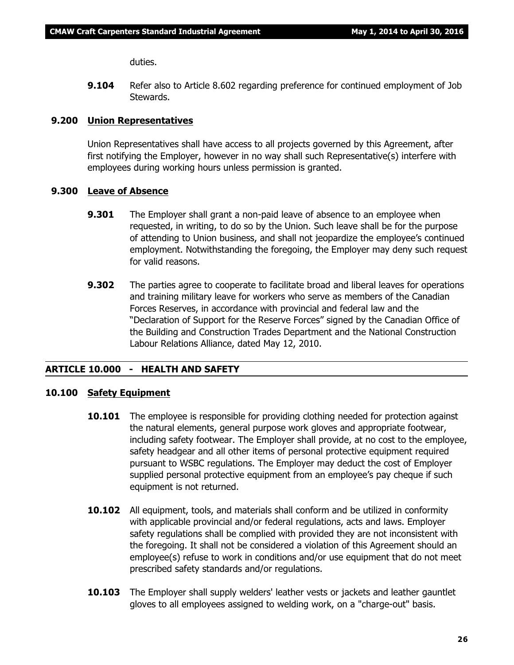duties.

**9.104** Refer also to Article 8.602 regarding preference for continued employment of Job Stewards.

#### **9.200 Union Representatives**

Union Representatives shall have access to all projects governed by this Agreement, after first notifying the Employer, however in no way shall such Representative(s) interfere with employees during working hours unless permission is granted.

#### **9.300 Leave of Absence**

- **9.301** The Employer shall grant a non-paid leave of absence to an employee when requested, in writing, to do so by the Union. Such leave shall be for the purpose of attending to Union business, and shall not jeopardize the employee's continued employment. Notwithstanding the foregoing, the Employer may deny such request for valid reasons.
- **9.302** The parties agree to cooperate to facilitate broad and liberal leaves for operations and training military leave for workers who serve as members of the Canadian Forces Reserves, in accordance with provincial and federal law and the "Declaration of Support for the Reserve Forces" signed by the Canadian Office of the Building and Construction Trades Department and the National Construction Labour Relations Alliance, dated May 12, 2010.

#### **ARTICLE 10.000 - HEALTH AND SAFETY**

#### **10.100 Safety Equipment**

- **10.101** The employee is responsible for providing clothing needed for protection against the natural elements, general purpose work gloves and appropriate footwear, including safety footwear. The Employer shall provide, at no cost to the employee, safety headgear and all other items of personal protective equipment required pursuant to WSBC regulations. The Employer may deduct the cost of Employer supplied personal protective equipment from an employee's pay cheque if such equipment is not returned.
- **10.102** All equipment, tools, and materials shall conform and be utilized in conformity with applicable provincial and/or federal regulations, acts and laws. Employer safety regulations shall be complied with provided they are not inconsistent with the foregoing. It shall not be considered a violation of this Agreement should an employee(s) refuse to work in conditions and/or use equipment that do not meet prescribed safety standards and/or regulations.
- **10.103** The Employer shall supply welders' leather vests or jackets and leather gauntlet gloves to all employees assigned to welding work, on a "charge-out" basis.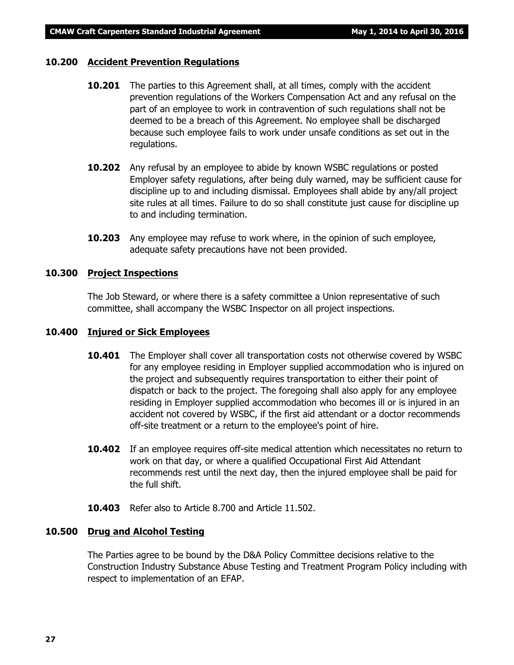#### **10.200 Accident Prevention Regulations**

- **10.201** The parties to this Agreement shall, at all times, comply with the accident prevention regulations of the *Workers Compensation Act* and any refusal on the part of an employee to work in contravention of such regulations shall not be deemed to be a breach of this Agreement. No employee shall be discharged because such employee fails to work under unsafe conditions as set out in the regulations.
- **10.202** Any refusal by an employee to abide by known WSBC regulations or posted Employer safety regulations, after being duly warned, may be sufficient cause for discipline up to and including dismissal. Employees shall abide by any/all project site rules at all times. Failure to do so shall constitute just cause for discipline up to and including termination.
- **10.203** Any employee may refuse to work where, in the opinion of such employee, adequate safety precautions have not been provided.

#### **10.300 Project Inspections**

The Job Steward, or where there is a safety committee a Union representative of such committee, shall accompany the WSBC Inspector on all project inspections.

#### **10.400 Injured or Sick Employees**

- **10.401** The Employer shall cover all transportation costs not otherwise covered by WSBC for any employee residing in Employer supplied accommodation who is injured on the project and subsequently requires transportation to either their point of dispatch or back to the project. The foregoing shall also apply for any employee residing in Employer supplied accommodation who becomes ill or is injured in an accident not covered by WSBC, if the first aid attendant or a doctor recommends off-site treatment or a return to the employee's point of hire.
- **10.402** If an employee requires off-site medical attention which necessitates no return to work on that day, or where a qualified Occupational First Aid Attendant recommends rest until the next day, then the injured employee shall be paid for the full shift.
- **10.403** Refer also to Article 8.700 and Article 11.502.

#### **10.500 Drug and Alcohol Testing**

The Parties agree to be bound by the D&A Policy Committee decisions relative to the Construction Industry Substance Abuse Testing and Treatment Program Policy including with respect to implementation of an EFAP.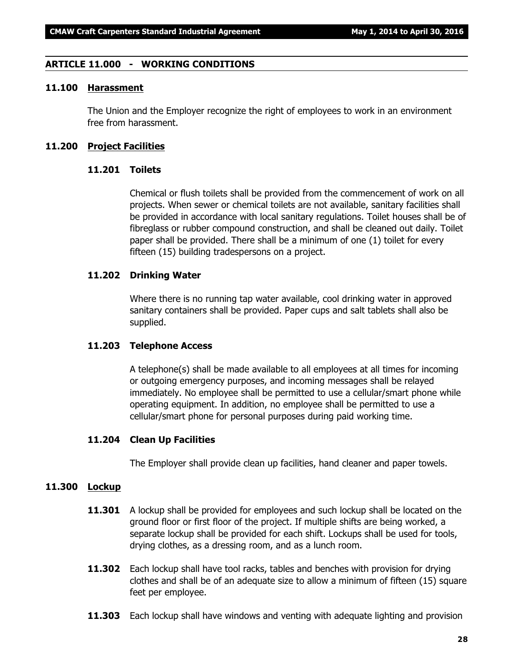#### **ARTICLE 11.000 - WORKING CONDITIONS**

#### **11.100 Harassment**

The Union and the Employer recognize the right of employees to work in an environment free from harassment.

#### **11.200 Project Facilities**

#### **11.201 Toilets**

Chemical or flush toilets shall be provided from the commencement of work on all projects. When sewer or chemical toilets are not available, sanitary facilities shall be provided in accordance with local sanitary regulations. Toilet houses shall be of fibreglass or rubber compound construction, and shall be cleaned out daily. Toilet paper shall be provided. There shall be a minimum of one (1) toilet for every fifteen (15) building tradespersons on a project.

#### **11.202 Drinking Water**

Where there is no running tap water available, cool drinking water in approved sanitary containers shall be provided. Paper cups and salt tablets shall also be supplied.

#### **11.203 Telephone Access**

A telephone(s) shall be made available to all employees at all times for incoming or outgoing emergency purposes, and incoming messages shall be relayed immediately. No employee shall be permitted to use a cellular/smart phone while operating equipment. In addition, no employee shall be permitted to use a cellular/smart phone for personal purposes during paid working time.

#### **11.204 Clean Up Facilities**

The Employer shall provide clean up facilities, hand cleaner and paper towels.

### **11.300 Lockup**

- **11.301** A lockup shall be provided for employees and such lockup shall be located on the ground floor or first floor of the project. If multiple shifts are being worked, a separate lockup shall be provided for each shift. Lockups shall be used for tools, drying clothes, as a dressing room, and as a lunch room.
- **11.302** Each lockup shall have tool racks, tables and benches with provision for drying clothes and shall be of an adequate size to allow a minimum of fifteen (15) square feet per employee.
- **11.303** Each lockup shall have windows and venting with adequate lighting and provision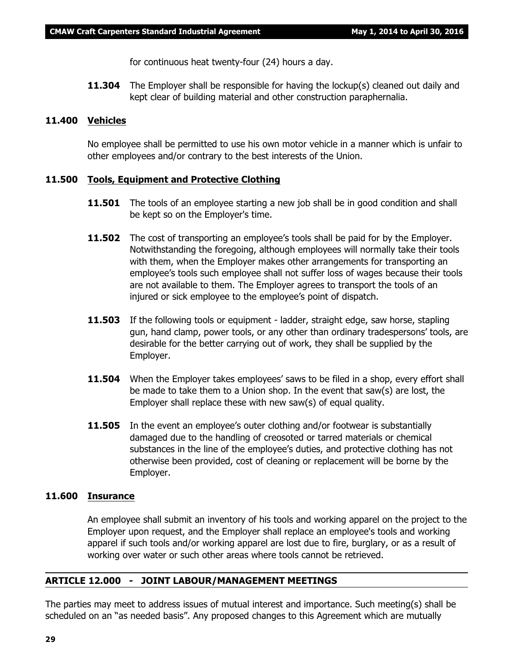for continuous heat twenty-four (24) hours a day.

**11.304** The Employer shall be responsible for having the lockup(s) cleaned out daily and kept clear of building material and other construction paraphernalia.

#### **11.400 Vehicles**

No employee shall be permitted to use his own motor vehicle in a manner which is unfair to other employees and/or contrary to the best interests of the Union.

#### **11.500 Tools, Equipment and Protective Clothing**

- **11.501** The tools of an employee starting a new job shall be in good condition and shall be kept so on the Employer's time.
- **11.502** The cost of transporting an employee's tools shall be paid for by the Employer. Notwithstanding the foregoing, although employees will normally take their tools with them, when the Employer makes other arrangements for transporting an employee's tools such employee shall not suffer loss of wages because their tools are not available to them. The Employer agrees to transport the tools of an injured or sick employee to the employee's point of dispatch.
- **11.503** If the following tools or equipment ladder, straight edge, saw horse, stapling gun, hand clamp, power tools, or any other than ordinary tradespersons' tools, are desirable for the better carrying out of work, they shall be supplied by the Employer.
- **11.504** When the Employer takes employees' saws to be filed in a shop, every effort shall be made to take them to a Union shop. In the event that saw(s) are lost, the Employer shall replace these with new saw(s) of equal quality.
- **11.505** In the event an employee's outer clothing and/or footwear is substantially damaged due to the handling of creosoted or tarred materials or chemical substances in the line of the employee's duties, and protective clothing has not otherwise been provided, cost of cleaning or replacement will be borne by the Employer.

#### **11.600 Insurance**

An employee shall submit an inventory of his tools and working apparel on the project to the Employer upon request, and the Employer shall replace an employee's tools and working apparel if such tools and/or working apparel are lost due to fire, burglary, or as a result of working over water or such other areas where tools cannot be retrieved.

#### **ARTICLE 12.000 - JOINT LABOUR/MANAGEMENT MEETINGS**

The parties may meet to address issues of mutual interest and importance. Such meeting(s) shall be scheduled on an "as needed basis". Any proposed changes to this Agreement which are mutually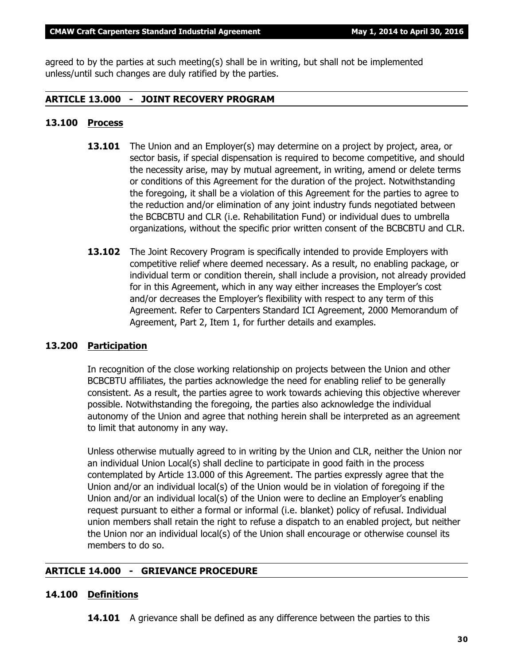agreed to by the parties at such meeting(s) shall be in writing, but shall not be implemented unless/until such changes are duly ratified by the parties.

#### **ARTICLE 13.000 - JOINT RECOVERY PROGRAM**

#### **13.100 Process**

- **13.101** The Union and an Employer(s) may determine on a project by project, area, or sector basis, if special dispensation is required to become competitive, and should the necessity arise, may by mutual agreement, in writing, amend or delete terms or conditions of this Agreement for the duration of the project. Notwithstanding the foregoing, it shall be a violation of this Agreement for the parties to agree to the reduction and/or elimination of any joint industry funds negotiated between the BCBCBTU and CLR (i.e. Rehabilitation Fund) or individual dues to umbrella organizations, without the specific prior written consent of the BCBCBTU and CLR.
- **13.102** The Joint Recovery Program is specifically intended to provide Employers with competitive relief where deemed necessary. As a result, no enabling package, or individual term or condition therein, shall include a provision, not already provided for in this Agreement, which in any way either increases the Employer's cost and/or decreases the Employer's flexibility with respect to any term of this Agreement. Refer to Carpenters Standard ICI Agreement, 2000 Memorandum of Agreement, Part 2, Item 1, for further details and examples.

#### **13.200 Participation**

In recognition of the close working relationship on projects between the Union and other BCBCBTU affiliates, the parties acknowledge the need for enabling relief to be generally consistent. As a result, the parties agree to work towards achieving this objective wherever possible. Notwithstanding the foregoing, the parties also acknowledge the individual autonomy of the Union and agree that nothing herein shall be interpreted as an agreement to limit that autonomy in any way.

Unless otherwise mutually agreed to in writing by the Union and CLR, neither the Union nor an individual Union Local(s) shall decline to participate in good faith in the process contemplated by Article 13.000 of this Agreement. The parties expressly agree that the Union and/or an individual local(s) of the Union would be in violation of foregoing if the Union and/or an individual local(s) of the Union were to decline an Employer's enabling request pursuant to either a formal or informal (i.e. blanket) policy of refusal. Individual union members shall retain the right to refuse a dispatch to an enabled project, but neither the Union nor an individual local(s) of the Union shall encourage or otherwise counsel its members to do so.

#### **ARTICLE 14.000 - GRIEVANCE PROCEDURE**

#### **14.100 Definitions**

**14.101** A grievance shall be defined as any difference between the parties to this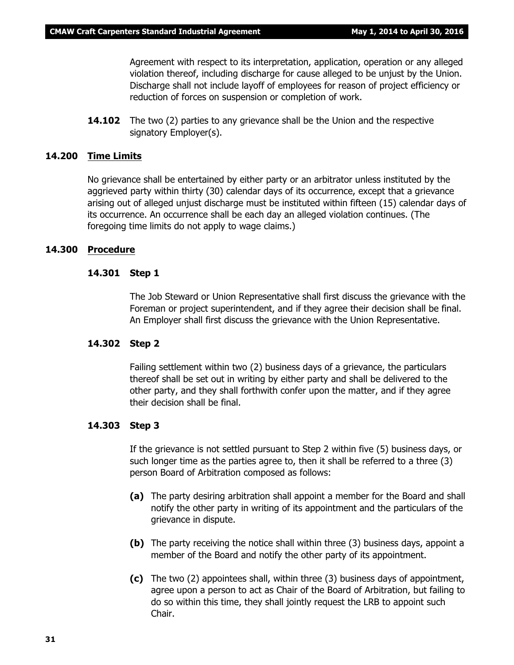Agreement with respect to its interpretation, application, operation or any alleged violation thereof, including discharge for cause alleged to be unjust by the Union. Discharge shall not include layoff of employees for reason of project efficiency or reduction of forces on suspension or completion of work.

**14.102** The two (2) parties to any grievance shall be the Union and the respective signatory Employer(s).

#### **14.200 Time Limits**

No grievance shall be entertained by either party or an arbitrator unless instituted by the aggrieved party within thirty (30) calendar days of its occurrence, except that a grievance arising out of alleged unjust discharge must be instituted within fifteen (15) calendar days of its occurrence. An occurrence shall be each day an alleged violation continues. (The foregoing time limits do not apply to wage claims.)

#### **14.300 Procedure**

#### **14.301 Step 1**

The Job Steward or Union Representative shall first discuss the grievance with the Foreman or project superintendent, and if they agree their decision shall be final. An Employer shall first discuss the grievance with the Union Representative.

#### **14.302 Step 2**

Failing settlement within two (2) business days of a grievance, the particulars thereof shall be set out in writing by either party and shall be delivered to the other party, and they shall forthwith confer upon the matter, and if they agree their decision shall be final.

#### **14.303 Step 3**

If the grievance is not settled pursuant to Step 2 within five (5) business days, or such longer time as the parties agree to, then it shall be referred to a three (3) person Board of Arbitration composed as follows:

- **(a)** The party desiring arbitration shall appoint a member for the Board and shall notify the other party in writing of its appointment and the particulars of the grievance in dispute.
- **(b)** The party receiving the notice shall within three (3) business days, appoint a member of the Board and notify the other party of its appointment.
- **(c)** The two (2) appointees shall, within three (3) business days of appointment, agree upon a person to act as Chair of the Board of Arbitration, but failing to do so within this time, they shall jointly request the LRB to appoint such Chair.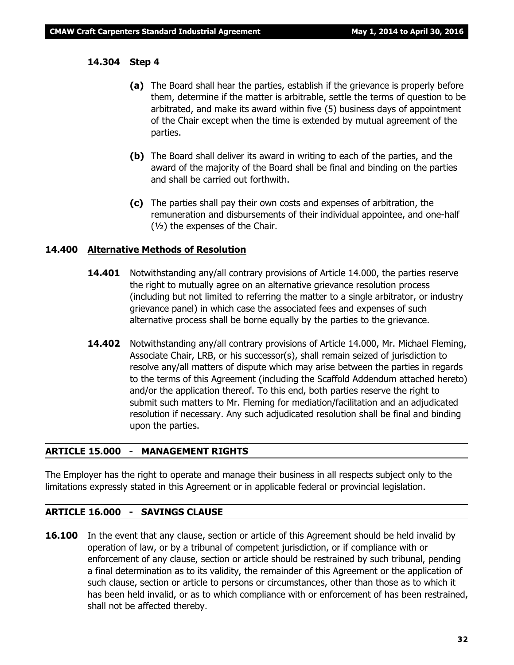#### **14.304 Step 4**

- **(a)** The Board shall hear the parties, establish if the grievance is properly before them, determine if the matter is arbitrable, settle the terms of question to be arbitrated, and make its award within five (5) business days of appointment of the Chair except when the time is extended by mutual agreement of the parties.
- **(b)** The Board shall deliver its award in writing to each of the parties, and the award of the majority of the Board shall be final and binding on the parties and shall be carried out forthwith.
- **(c)** The parties shall pay their own costs and expenses of arbitration, the remuneration and disbursements of their individual appointee, and one-half  $(y<sub>2</sub>)$  the expenses of the Chair.

#### **14.400 Alternative Methods of Resolution**

- **14.401** Notwithstanding any/all contrary provisions of Article 14.000, the parties reserve the right to mutually agree on an alternative grievance resolution process (including but not limited to referring the matter to a single arbitrator, or industry grievance panel) in which case the associated fees and expenses of such alternative process shall be borne equally by the parties to the grievance.
- **14.402** Notwithstanding any/all contrary provisions of Article 14.000, Mr. Michael Fleming, Associate Chair, LRB, or his successor(s), shall remain seized of jurisdiction to resolve any/all matters of dispute which may arise between the parties in regards to the terms of this Agreement (including the Scaffold Addendum attached hereto) and/or the application thereof. To this end, both parties reserve the right to submit such matters to Mr. Fleming for mediation/facilitation and an adjudicated resolution if necessary. Any such adjudicated resolution shall be final and binding upon the parties.

#### **ARTICLE 15.000 - MANAGEMENT RIGHTS**

The Employer has the right to operate and manage their business in all respects subject only to the limitations expressly stated in this Agreement or in applicable federal or provincial legislation.

#### **ARTICLE 16.000 - SAVINGS CLAUSE**

**16.100** In the event that any clause, section or article of this Agreement should be held invalid by operation of law, or by a tribunal of competent jurisdiction, or if compliance with or enforcement of any clause, section or article should be restrained by such tribunal, pending a final determination as to its validity, the remainder of this Agreement or the application of such clause, section or article to persons or circumstances, other than those as to which it has been held invalid, or as to which compliance with or enforcement of has been restrained, shall not be affected thereby.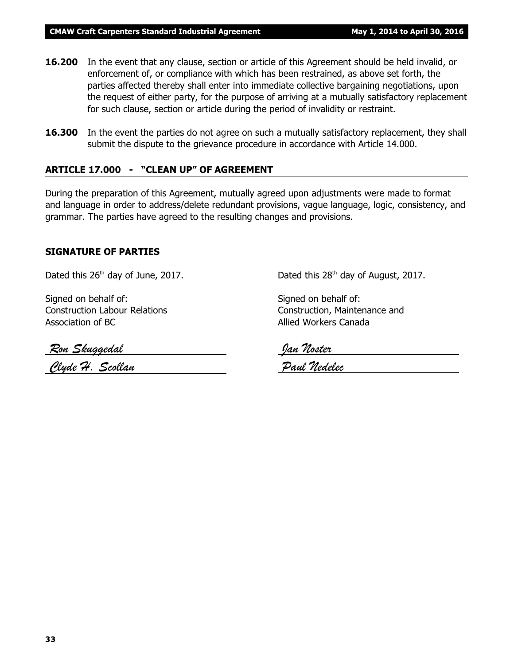- **16.200** In the event that any clause, section or article of this Agreement should be held invalid, or enforcement of, or compliance with which has been restrained, as above set forth, the parties affected thereby shall enter into immediate collective bargaining negotiations, upon the request of either party, for the purpose of arriving at a mutually satisfactory replacement for such clause, section or article during the period of invalidity or restraint.
- **16.300** In the event the parties do not agree on such a mutually satisfactory replacement, they shall submit the dispute to the grievance procedure in accordance with Article 14.000.

#### **ARTICLE 17.000 - "CLEAN UP" OF AGREEMENT**

During the preparation of this Agreement, mutually agreed upon adjustments were made to format and language in order to address/delete redundant provisions, vague language, logic, consistency, and grammar. The parties have agreed to the resulting changes and provisions.

#### **SIGNATURE OF PARTIES**

Dated this  $26<sup>th</sup>$  day of June, 2017. Dated this  $28<sup>th</sup>$  day of August, 2017.

Signed on behalf of: Signed on behalf of: Association of BC Allied Workers Canada

Construction Labour Relations Construction, Maintenance and

 *Ron Skuggedal Jan Noster Clyde H. Scollan Paul Nedelec*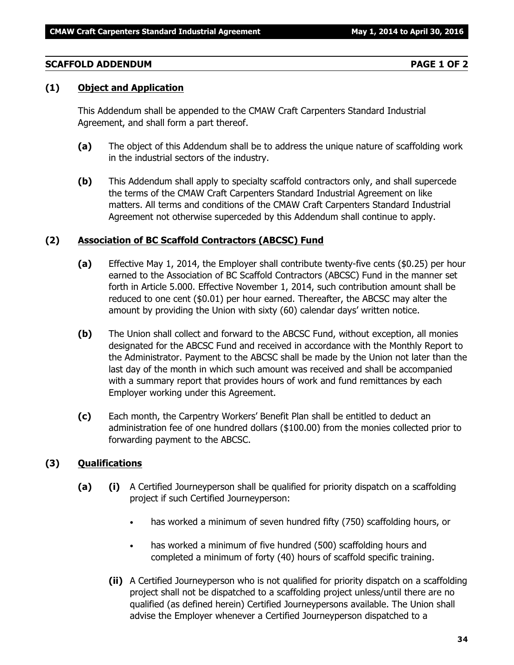#### **SCAFFOLD ADDENDUM PAGE 1 OF 2**

### **(1) Object and Application**

This Addendum shall be appended to the CMAW Craft Carpenters Standard Industrial Agreement, and shall form a part thereof.

- **(a)** The object of this Addendum shall be to address the unique nature of scaffolding work in the industrial sectors of the industry.
- **(b)** This Addendum shall apply to specialty scaffold contractors only, and shall supercede the terms of the CMAW Craft Carpenters Standard Industrial Agreement on like matters. All terms and conditions of the CMAW Craft Carpenters Standard Industrial Agreement not otherwise superceded by this Addendum shall continue to apply.

### **(2) Association of BC Scaffold Contractors (ABCSC) Fund**

- **(a)** Effective May 1, 2014, the Employer shall contribute twenty-five cents (\$0.25) per hour earned to the Association of BC Scaffold Contractors (ABCSC) Fund in the manner set forth in Article 5.000. Effective November 1, 2014, such contribution amount shall be reduced to one cent (\$0.01) per hour earned. Thereafter, the ABCSC may alter the amount by providing the Union with sixty (60) calendar days' written notice.
- **(b)** The Union shall collect and forward to the ABCSC Fund, without exception, all monies designated for the ABCSC Fund and received in accordance with the Monthly Report to the Administrator. Payment to the ABCSC shall be made by the Union not later than the last day of the month in which such amount was received and shall be accompanied with a summary report that provides hours of work and fund remittances by each Employer working under this Agreement.
- **(c)** Each month, the Carpentry Workers' Benefit Plan shall be entitled to deduct an administration fee of one hundred dollars (\$100.00) from the monies collected prior to forwarding payment to the ABCSC.

#### **(3) Qualifications**

- **(a) (i)** A Certified Journeyperson shall be qualified for priority dispatch on a scaffolding project if such Certified Journeyperson:
	- has worked a minimum of seven hundred fifty (750) scaffolding hours, or
	- has worked a minimum of five hundred (500) scaffolding hours and completed a minimum of forty (40) hours of scaffold specific training.
	- **(ii)** A Certified Journeyperson who is not qualified for priority dispatch on a scaffolding project shall not be dispatched to a scaffolding project unless/until there are no qualified (as defined herein) Certified Journeypersons available. The Union shall advise the Employer whenever a Certified Journeyperson dispatched to a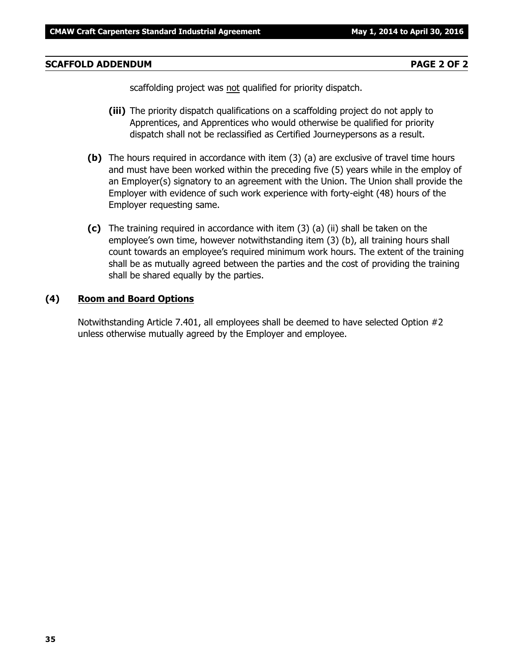#### **SCAFFOLD ADDENDUM PAGE 2 OF 2**

scaffolding project was not qualified for priority dispatch.

- **(iii)** The priority dispatch qualifications on a scaffolding project do not apply to Apprentices, and Apprentices who would otherwise be qualified for priority dispatch shall not be reclassified as Certified Journeypersons as a result.
- **(b)** The hours required in accordance with item (3) (a) are exclusive of travel time hours and must have been worked within the preceding five (5) years while in the employ of an Employer(s) signatory to an agreement with the Union. The Union shall provide the Employer with evidence of such work experience with forty-eight (48) hours of the Employer requesting same.
- **(c)** The training required in accordance with item (3) (a) (ii) shall be taken on the employee's own time, however notwithstanding item (3) (b), all training hours shall count towards an employee's required minimum work hours. The extent of the training shall be as mutually agreed between the parties and the cost of providing the training shall be shared equally by the parties.

#### **(4) Room and Board Options**

Notwithstanding Article 7.401, all employees shall be deemed to have selected Option #2 unless otherwise mutually agreed by the Employer and employee.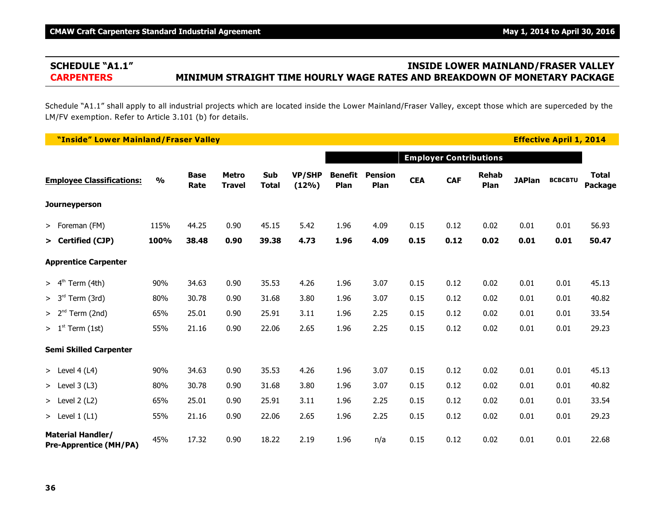# **SCHEDULE "A1.1" INSIDE LOWER MAINLAND/FRASER VALLEY CARPENTERS MINIMUM STRAIGHT TIME HOURLY WAGE RATES AND BREAKDOWN OF MONETARY PACKAGE**

Schedule "A1.1" shall apply to all industrial projects which are located inside the Lower Mainland/Fraser Valley, except those which are superceded by the LM/FV exemption. Refer to Article 3.101 (b) for details.

| "Inside" Lower Mainland/Fraser Valley                     |               |                     |                               |                     |                        |                        |                        |            |                               |                      |               | <b>Effective April 1, 2014</b> |                         |
|-----------------------------------------------------------|---------------|---------------------|-------------------------------|---------------------|------------------------|------------------------|------------------------|------------|-------------------------------|----------------------|---------------|--------------------------------|-------------------------|
|                                                           |               |                     |                               |                     |                        |                        |                        |            | <b>Employer Contributions</b> |                      |               |                                |                         |
| <b>Employee Classifications:</b>                          | $\frac{1}{2}$ | <b>Base</b><br>Rate | <b>Metro</b><br><b>Travel</b> | Sub<br><b>Total</b> | <b>VP/SHP</b><br>(12%) | <b>Benefit</b><br>Plan | <b>Pension</b><br>Plan | <b>CEA</b> | <b>CAF</b>                    | <b>Rehab</b><br>Plan | <b>JAPlan</b> | <b>BCBCBTU</b>                 | <b>Total</b><br>Package |
| <b>Journeyperson</b>                                      |               |                     |                               |                     |                        |                        |                        |            |                               |                      |               |                                |                         |
| > Foreman (FM)                                            | 115%          | 44.25               | 0.90                          | 45.15               | 5.42                   | 1.96                   | 4.09                   | 0.15       | 0.12                          | 0.02                 | 0.01          | 0.01                           | 56.93                   |
| > Certified (CJP)                                         | 100%          | 38.48               | 0.90                          | 39.38               | 4.73                   | 1.96                   | 4.09                   | 0.15       | 0.12                          | 0.02                 | 0.01          | 0.01                           | 50.47                   |
| <b>Apprentice Carpenter</b>                               |               |                     |                               |                     |                        |                        |                        |            |                               |                      |               |                                |                         |
| > 4 <sup>th</sup><br>Term (4th)                           | 90%           | 34.63               | 0.90                          | 35.53               | 4.26                   | 1.96                   | 3.07                   | 0.15       | 0.12                          | 0.02                 | 0.01          | 0.01                           | 45.13                   |
| > 3 <sup>rd</sup><br>Term (3rd)                           | 80%           | 30.78               | 0.90                          | 31.68               | 3.80                   | 1.96                   | 3.07                   | 0.15       | 0.12                          | 0.02                 | 0.01          | 0.01                           | 40.82                   |
| $> 2nd$ Term (2nd)                                        | 65%           | 25.01               | 0.90                          | 25.91               | 3.11                   | 1.96                   | 2.25                   | 0.15       | 0.12                          | 0.02                 | 0.01          | 0.01                           | 33.54                   |
| $> 1st$ Term (1st)                                        | 55%           | 21.16               | 0.90                          | 22.06               | 2.65                   | 1.96                   | 2.25                   | 0.15       | 0.12                          | 0.02                 | 0.01          | 0.01                           | 29.23                   |
| <b>Semi Skilled Carpenter</b>                             |               |                     |                               |                     |                        |                        |                        |            |                               |                      |               |                                |                         |
| > Level $4(L4)$                                           | 90%           | 34.63               | 0.90                          | 35.53               | 4.26                   | 1.96                   | 3.07                   | 0.15       | 0.12                          | 0.02                 | 0.01          | 0.01                           | 45.13                   |
| $>$ Level 3 (L3)                                          | 80%           | 30.78               | 0.90                          | 31.68               | 3.80                   | 1.96                   | 3.07                   | 0.15       | 0.12                          | 0.02                 | 0.01          | 0.01                           | 40.82                   |
| $>$ Level 2 (L2)                                          | 65%           | 25.01               | 0.90                          | 25.91               | 3.11                   | 1.96                   | 2.25                   | 0.15       | 0.12                          | 0.02                 | 0.01          | 0.01                           | 33.54                   |
| > Level $1(L1)$                                           | 55%           | 21.16               | 0.90                          | 22.06               | 2.65                   | 1.96                   | 2.25                   | 0.15       | 0.12                          | 0.02                 | 0.01          | 0.01                           | 29.23                   |
| <b>Material Handler/</b><br><b>Pre-Apprentice (MH/PA)</b> | 45%           | 17.32               | 0.90                          | 18.22               | 2.19                   | 1.96                   | n/a                    | 0.15       | 0.12                          | 0.02                 | 0.01          | 0.01                           | 22.68                   |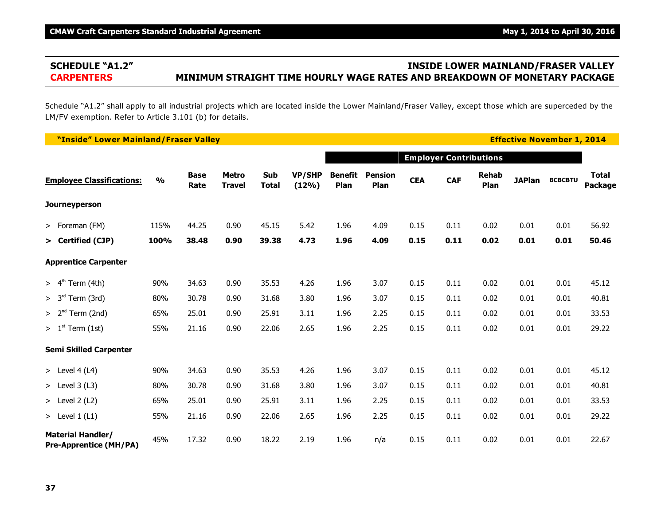# **SCHEDULE "A1.2" INSIDE LOWER MAINLAND/FRASER VALLEY CARPENTERS MINIMUM STRAIGHT TIME HOURLY WAGE RATES AND BREAKDOWN OF MONETARY PACKAGE**

Schedule "A1.2" shall apply to all industrial projects which are located inside the Lower Mainland/Fraser Valley, except those which are superceded by the LM/FV exemption. Refer to Article 3.101 (b) for details.

| "Inside" Lower Mainland/Fraser Valley                     |               |                     |                               |                     |                        |                        |                        |            |            |                               |               | <b>Effective November 1, 2014</b> |                         |
|-----------------------------------------------------------|---------------|---------------------|-------------------------------|---------------------|------------------------|------------------------|------------------------|------------|------------|-------------------------------|---------------|-----------------------------------|-------------------------|
|                                                           |               |                     |                               |                     |                        |                        |                        |            |            | <b>Employer Contributions</b> |               |                                   |                         |
| <b>Employee Classifications:</b>                          | $\frac{0}{0}$ | <b>Base</b><br>Rate | <b>Metro</b><br><b>Travel</b> | Sub<br><b>Total</b> | <b>VP/SHP</b><br>(12%) | <b>Benefit</b><br>Plan | <b>Pension</b><br>Plan | <b>CEA</b> | <b>CAF</b> | <b>Rehab</b><br>Plan          | <b>JAPlan</b> | <b>BCBCBTU</b>                    | <b>Total</b><br>Package |
| Journeyperson                                             |               |                     |                               |                     |                        |                        |                        |            |            |                               |               |                                   |                         |
| > Foreman (FM)                                            | 115%          | 44.25               | 0.90                          | 45.15               | 5.42                   | 1.96                   | 4.09                   | 0.15       | 0.11       | 0.02                          | 0.01          | 0.01                              | 56.92                   |
| > Certified (CJP)                                         | 100%          | 38.48               | 0.90                          | 39.38               | 4.73                   | 1.96                   | 4.09                   | 0.15       | 0.11       | 0.02                          | 0.01          | 0.01                              | 50.46                   |
| <b>Apprentice Carpenter</b>                               |               |                     |                               |                     |                        |                        |                        |            |            |                               |               |                                   |                         |
| $> 4th$ Term (4th)                                        | 90%           | 34.63               | 0.90                          | 35.53               | 4.26                   | 1.96                   | 3.07                   | 0.15       | 0.11       | 0.02                          | 0.01          | 0.01                              | 45.12                   |
| $> 3rd$ Term (3rd)                                        | 80%           | 30.78               | 0.90                          | 31.68               | 3.80                   | 1.96                   | 3.07                   | 0.15       | 0.11       | 0.02                          | 0.01          | 0.01                              | 40.81                   |
| $> 2nd$ Term (2nd)                                        | 65%           | 25.01               | 0.90                          | 25.91               | 3.11                   | 1.96                   | 2.25                   | 0.15       | 0.11       | 0.02                          | 0.01          | 0.01                              | 33.53                   |
| $> 1st$ Term (1st)                                        | 55%           | 21.16               | 0.90                          | 22.06               | 2.65                   | 1.96                   | 2.25                   | 0.15       | 0.11       | 0.02                          | 0.01          | 0.01                              | 29.22                   |
| <b>Semi Skilled Carpenter</b>                             |               |                     |                               |                     |                        |                        |                        |            |            |                               |               |                                   |                         |
| > Level $4(L4)$                                           | 90%           | 34.63               | 0.90                          | 35.53               | 4.26                   | 1.96                   | 3.07                   | 0.15       | 0.11       | 0.02                          | 0.01          | 0.01                              | 45.12                   |
| $>$ Level 3 (L3)                                          | 80%           | 30.78               | 0.90                          | 31.68               | 3.80                   | 1.96                   | 3.07                   | 0.15       | 0.11       | 0.02                          | 0.01          | 0.01                              | 40.81                   |
| $>$ Level 2 (L2)                                          | 65%           | 25.01               | 0.90                          | 25.91               | 3.11                   | 1.96                   | 2.25                   | 0.15       | 0.11       | 0.02                          | 0.01          | 0.01                              | 33.53                   |
| > Level $1(L1)$                                           | 55%           | 21.16               | 0.90                          | 22.06               | 2.65                   | 1.96                   | 2.25                   | 0.15       | 0.11       | 0.02                          | 0.01          | 0.01                              | 29.22                   |
| <b>Material Handler/</b><br><b>Pre-Apprentice (MH/PA)</b> | 45%           | 17.32               | 0.90                          | 18.22               | 2.19                   | 1.96                   | n/a                    | 0.15       | 0.11       | 0.02                          | 0.01          | 0.01                              | 22.67                   |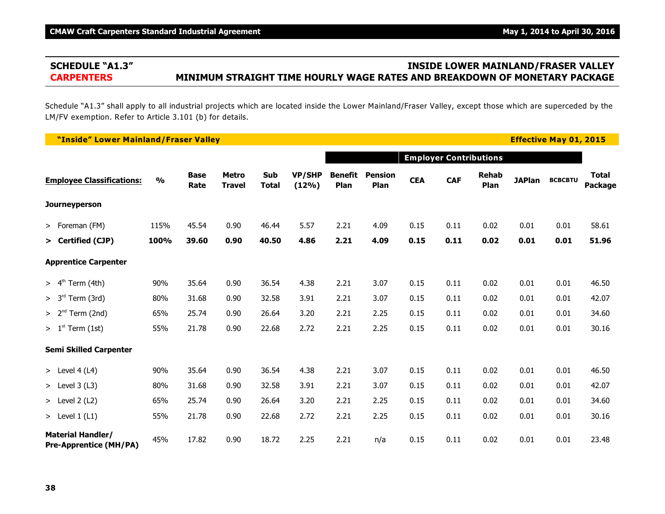# **SCHEDULE "A1.3" INSIDE LOWER MAINLAND/FRASER VALLEY CARPENTERS MINIMUM STRAIGHT TIME HOURLY WAGE RATES AND BREAKDOWN OF MONETARY PACKAGE**

Schedule "A1.3" shall apply to all industrial projects which are located inside the Lower Mainland/Fraser Valley, except those which are superceded by the LM/FV exemption. Refer to Article 3.101 (b) for details.

| "Inside" Lower Mainland/Fraser Valley                     |               |                     |                               |                     |                        |                        |                        |            |                               |                      |               | <b>Effective May 01, 2015</b> |                         |
|-----------------------------------------------------------|---------------|---------------------|-------------------------------|---------------------|------------------------|------------------------|------------------------|------------|-------------------------------|----------------------|---------------|-------------------------------|-------------------------|
|                                                           |               |                     |                               |                     |                        |                        |                        |            | <b>Employer Contributions</b> |                      |               |                               |                         |
| <b>Employee Classifications:</b>                          | $\frac{0}{0}$ | <b>Base</b><br>Rate | <b>Metro</b><br><b>Travel</b> | Sub<br><b>Total</b> | <b>VP/SHP</b><br>(12%) | <b>Benefit</b><br>Plan | <b>Pension</b><br>Plan | <b>CEA</b> | <b>CAF</b>                    | <b>Rehab</b><br>Plan | <b>JAPlan</b> | <b>BCBCBTU</b>                | <b>Total</b><br>Package |
| <b>Journeyperson</b>                                      |               |                     |                               |                     |                        |                        |                        |            |                               |                      |               |                               |                         |
| > Foreman (FM)                                            | 115%          | 45.54               | 0.90                          | 46.44               | 5.57                   | 2.21                   | 4.09                   | 0.15       | 0.11                          | 0.02                 | 0.01          | 0.01                          | 58.61                   |
| > Certified (CJP)                                         | 100%          | 39.60               | 0.90                          | 40.50               | 4.86                   | 2.21                   | 4.09                   | 0.15       | 0.11                          | 0.02                 | 0.01          | 0.01                          | 51.96                   |
| <b>Apprentice Carpenter</b>                               |               |                     |                               |                     |                        |                        |                        |            |                               |                      |               |                               |                         |
| > 4 <sup>th</sup><br>Term (4th)                           | 90%           | 35.64               | 0.90                          | 36.54               | 4.38                   | 2.21                   | 3.07                   | 0.15       | 0.11                          | 0.02                 | 0.01          | 0.01                          | 46.50                   |
| > 3 <sup>rd</sup><br>Term (3rd)                           | 80%           | 31.68               | 0.90                          | 32.58               | 3.91                   | 2.21                   | 3.07                   | 0.15       | 0.11                          | 0.02                 | 0.01          | 0.01                          | 42.07                   |
| $> 2nd$ Term (2nd)                                        | 65%           | 25.74               | 0.90                          | 26.64               | 3.20                   | 2.21                   | 2.25                   | 0.15       | 0.11                          | 0.02                 | 0.01          | 0.01                          | 34.60                   |
| $> 1st$ Term (1st)                                        | 55%           | 21.78               | 0.90                          | 22.68               | 2.72                   | 2.21                   | 2.25                   | 0.15       | 0.11                          | 0.02                 | 0.01          | 0.01                          | 30.16                   |
| <b>Semi Skilled Carpenter</b>                             |               |                     |                               |                     |                        |                        |                        |            |                               |                      |               |                               |                         |
| > Level $4(L4)$                                           | 90%           | 35.64               | 0.90                          | 36.54               | 4.38                   | 2.21                   | 3.07                   | 0.15       | 0.11                          | 0.02                 | 0.01          | 0.01                          | 46.50                   |
| > Level $3(L3)$                                           | 80%           | 31.68               | 0.90                          | 32.58               | 3.91                   | 2.21                   | 3.07                   | 0.15       | 0.11                          | 0.02                 | 0.01          | 0.01                          | 42.07                   |
| $>$ Level 2 (L2)                                          | 65%           | 25.74               | 0.90                          | 26.64               | 3.20                   | 2.21                   | 2.25                   | 0.15       | 0.11                          | 0.02                 | 0.01          | 0.01                          | 34.60                   |
| > Level $1(L1)$                                           | 55%           | 21.78               | 0.90                          | 22.68               | 2.72                   | 2.21                   | 2.25                   | 0.15       | 0.11                          | 0.02                 | 0.01          | 0.01                          | 30.16                   |
| <b>Material Handler/</b><br><b>Pre-Apprentice (MH/PA)</b> | 45%           | 17.82               | 0.90                          | 18.72               | 2.25                   | 2.21                   | n/a                    | 0.15       | 0.11                          | 0.02                 | 0.01          | 0.01                          | 23.48                   |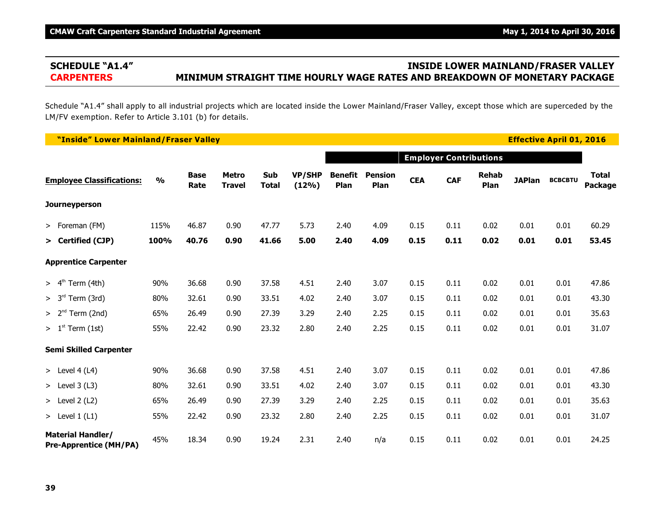# **SCHEDULE "A1.4" INSIDE LOWER MAINLAND/FRASER VALLEY CARPENTERS MINIMUM STRAIGHT TIME HOURLY WAGE RATES AND BREAKDOWN OF MONETARY PACKAGE**

Schedule "A1.4" shall apply to all industrial projects which are located inside the Lower Mainland/Fraser Valley, except those which are superceded by the LM/FV exemption. Refer to Article 3.101 (b) for details.

| "Inside" Lower Mainland/Fraser Valley                     |               |                     |                               |                     |                        |                        |                        |            |            |                               |               | <b>Effective April 01, 2016</b> |                         |
|-----------------------------------------------------------|---------------|---------------------|-------------------------------|---------------------|------------------------|------------------------|------------------------|------------|------------|-------------------------------|---------------|---------------------------------|-------------------------|
|                                                           |               |                     |                               |                     |                        |                        |                        |            |            | <b>Employer Contributions</b> |               |                                 |                         |
| <b>Employee Classifications:</b>                          | $\frac{1}{2}$ | <b>Base</b><br>Rate | <b>Metro</b><br><b>Travel</b> | Sub<br><b>Total</b> | <b>VP/SHP</b><br>(12%) | <b>Benefit</b><br>Plan | <b>Pension</b><br>Plan | <b>CEA</b> | <b>CAF</b> | <b>Rehab</b><br>Plan          | <b>JAPlan</b> | <b>BCBCBTU</b>                  | <b>Total</b><br>Package |
| <b>Journeyperson</b>                                      |               |                     |                               |                     |                        |                        |                        |            |            |                               |               |                                 |                         |
| > Foreman (FM)                                            | 115%          | 46.87               | 0.90                          | 47.77               | 5.73                   | 2.40                   | 4.09                   | 0.15       | 0.11       | 0.02                          | 0.01          | 0.01                            | 60.29                   |
| > Certified (CJP)                                         | 100%          | 40.76               | 0.90                          | 41.66               | 5.00                   | 2.40                   | 4.09                   | 0.15       | 0.11       | 0.02                          | 0.01          | 0.01                            | 53.45                   |
| <b>Apprentice Carpenter</b>                               |               |                     |                               |                     |                        |                        |                        |            |            |                               |               |                                 |                         |
| Term (4th)<br>> 4 <sup>th</sup>                           | 90%           | 36.68               | 0.90                          | 37.58               | 4.51                   | 2.40                   | 3.07                   | 0.15       | 0.11       | 0.02                          | 0.01          | 0.01                            | 47.86                   |
| > 3 <sup>rd</sup><br>Term (3rd)                           | 80%           | 32.61               | 0.90                          | 33.51               | 4.02                   | 2.40                   | 3.07                   | 0.15       | 0.11       | 0.02                          | 0.01          | 0.01                            | 43.30                   |
| $> 2nd$ Term (2nd)                                        | 65%           | 26.49               | 0.90                          | 27.39               | 3.29                   | 2.40                   | 2.25                   | 0.15       | 0.11       | 0.02                          | 0.01          | 0.01                            | 35.63                   |
| $> 1st$ Term (1st)                                        | 55%           | 22.42               | 0.90                          | 23.32               | 2.80                   | 2.40                   | 2.25                   | 0.15       | 0.11       | 0.02                          | 0.01          | 0.01                            | 31.07                   |
| <b>Semi Skilled Carpenter</b>                             |               |                     |                               |                     |                        |                        |                        |            |            |                               |               |                                 |                         |
| > Level $4(L4)$                                           | 90%           | 36.68               | 0.90                          | 37.58               | 4.51                   | 2.40                   | 3.07                   | 0.15       | 0.11       | 0.02                          | 0.01          | 0.01                            | 47.86                   |
| $>$ Level 3 (L3)                                          | 80%           | 32.61               | 0.90                          | 33.51               | 4.02                   | 2.40                   | 3.07                   | 0.15       | 0.11       | 0.02                          | 0.01          | 0.01                            | 43.30                   |
| $>$ Level 2 (L2)                                          | 65%           | 26.49               | 0.90                          | 27.39               | 3.29                   | 2.40                   | 2.25                   | 0.15       | 0.11       | 0.02                          | 0.01          | 0.01                            | 35.63                   |
| > Level $1(L1)$                                           | 55%           | 22.42               | 0.90                          | 23.32               | 2.80                   | 2.40                   | 2.25                   | 0.15       | 0.11       | 0.02                          | 0.01          | 0.01                            | 31.07                   |
| <b>Material Handler/</b><br><b>Pre-Apprentice (MH/PA)</b> | 45%           | 18.34               | 0.90                          | 19.24               | 2.31                   | 2.40                   | n/a                    | 0.15       | 0.11       | 0.02                          | 0.01          | 0.01                            | 24.25                   |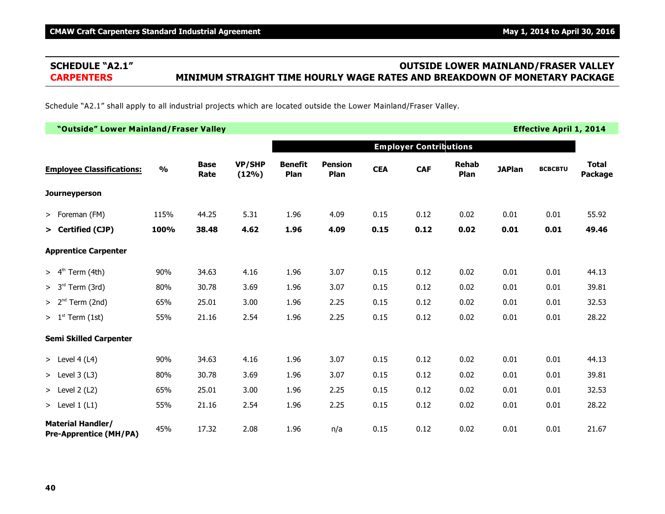# **SCHEDULE "A2.1" OUTSIDE LOWER MAINLAND/FRASER VALLEY CARPENTERS MINIMUM STRAIGHT TIME HOURLY WAGE RATES AND BREAKDOWN OF MONETARY PACKAGE**

Schedule "A2.1" shall apply to all industrial projects which are located outside the Lower Mainland/Fraser Valley.

| "Outside" Lower Mainland/Fraser Valley                    |               |                     |                        |                        |                        |            |                               |                      |               | <b>Effective April 1, 2014</b> |                         |
|-----------------------------------------------------------|---------------|---------------------|------------------------|------------------------|------------------------|------------|-------------------------------|----------------------|---------------|--------------------------------|-------------------------|
|                                                           |               |                     |                        |                        |                        |            | <b>Employer Contributions</b> |                      |               |                                |                         |
| <b>Employee Classifications:</b>                          | $\frac{0}{0}$ | <b>Base</b><br>Rate | <b>VP/SHP</b><br>(12%) | <b>Benefit</b><br>Plan | <b>Pension</b><br>Plan | <b>CEA</b> | <b>CAF</b>                    | <b>Rehab</b><br>Plan | <b>JAPlan</b> | <b>BCBCBTU</b>                 | <b>Total</b><br>Package |
| <b>Journeyperson</b>                                      |               |                     |                        |                        |                        |            |                               |                      |               |                                |                         |
| > Foreman (FM)                                            | 115%          | 44.25               | 5.31                   | 1.96                   | 4.09                   | 0.15       | 0.12                          | 0.02                 | 0.01          | 0.01                           | 55.92                   |
| > Certified (CJP)                                         | 100%          | 38.48               | 4.62                   | 1.96                   | 4.09                   | 0.15       | 0.12                          | 0.02                 | 0.01          | 0.01                           | 49.46                   |
| <b>Apprentice Carpenter</b>                               |               |                     |                        |                        |                        |            |                               |                      |               |                                |                         |
| $> 4th$ Term (4th)                                        | 90%           | 34.63               | 4.16                   | 1.96                   | 3.07                   | 0.15       | 0.12                          | 0.02                 | 0.01          | 0.01                           | 44.13                   |
| $> 3rd$ Term (3rd)                                        | 80%           | 30.78               | 3.69                   | 1.96                   | 3.07                   | 0.15       | 0.12                          | 0.02                 | 0.01          | 0.01                           | 39.81                   |
| $> 2nd$ Term (2nd)                                        | 65%           | 25.01               | 3.00                   | 1.96                   | 2.25                   | 0.15       | 0.12                          | 0.02                 | 0.01          | 0.01                           | 32.53                   |
| $> 1st$ Term (1st)                                        | 55%           | 21.16               | 2.54                   | 1.96                   | 2.25                   | 0.15       | 0.12                          | 0.02                 | 0.01          | 0.01                           | 28.22                   |
| <b>Semi Skilled Carpenter</b>                             |               |                     |                        |                        |                        |            |                               |                      |               |                                |                         |
| > Level $4(L4)$                                           | 90%           | 34.63               | 4.16                   | 1.96                   | 3.07                   | 0.15       | 0.12                          | 0.02                 | 0.01          | 0.01                           | 44.13                   |
| > Level $3(L3)$                                           | 80%           | 30.78               | 3.69                   | 1.96                   | 3.07                   | 0.15       | 0.12                          | 0.02                 | 0.01          | 0.01                           | 39.81                   |
| > Level $2(L2)$                                           | 65%           | 25.01               | 3.00                   | 1.96                   | 2.25                   | 0.15       | 0.12                          | 0.02                 | 0.01          | 0.01                           | 32.53                   |
| > Level $1(L1)$                                           | 55%           | 21.16               | 2.54                   | 1.96                   | 2.25                   | 0.15       | 0.12                          | 0.02                 | 0.01          | 0.01                           | 28.22                   |
| <b>Material Handler/</b><br><b>Pre-Apprentice (MH/PA)</b> | 45%           | 17.32               | 2.08                   | 1.96                   | n/a                    | 0.15       | 0.12                          | 0.02                 | 0.01          | 0.01                           | 21.67                   |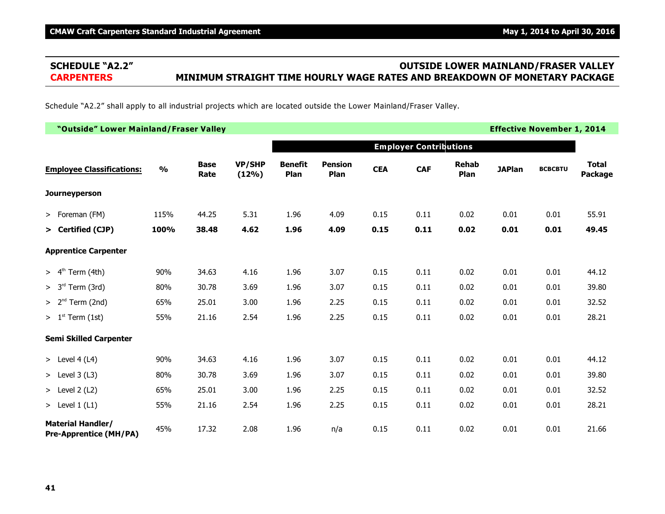# **SCHEDULE "A2.2" OUTSIDE LOWER MAINLAND/FRASER VALLEY CARPENTERS MINIMUM STRAIGHT TIME HOURLY WAGE RATES AND BREAKDOWN OF MONETARY PACKAGE**

Schedule "A2.2" shall apply to all industrial projects which are located outside the Lower Mainland/Fraser Valley.

| "Outside" Lower Mainland/Fraser Valley                    |               |                     |                        |                        |                        |            |                               |                      |               | <b>Effective November 1, 2014</b> |                         |
|-----------------------------------------------------------|---------------|---------------------|------------------------|------------------------|------------------------|------------|-------------------------------|----------------------|---------------|-----------------------------------|-------------------------|
|                                                           |               |                     |                        |                        |                        |            | <b>Employer Contributions</b> |                      |               |                                   |                         |
| <b>Employee Classifications:</b>                          | $\frac{0}{0}$ | <b>Base</b><br>Rate | <b>VP/SHP</b><br>(12%) | <b>Benefit</b><br>Plan | <b>Pension</b><br>Plan | <b>CEA</b> | <b>CAF</b>                    | <b>Rehab</b><br>Plan | <b>JAPlan</b> | <b>BCBCBTU</b>                    | <b>Total</b><br>Package |
| <b>Journeyperson</b>                                      |               |                     |                        |                        |                        |            |                               |                      |               |                                   |                         |
| > Foreman (FM)                                            | 115%          | 44.25               | 5.31                   | 1.96                   | 4.09                   | 0.15       | 0.11                          | 0.02                 | 0.01          | 0.01                              | 55.91                   |
| > Certified (CJP)                                         | 100%          | 38.48               | 4.62                   | 1.96                   | 4.09                   | 0.15       | 0.11                          | 0.02                 | 0.01          | 0.01                              | 49.45                   |
| <b>Apprentice Carpenter</b>                               |               |                     |                        |                        |                        |            |                               |                      |               |                                   |                         |
| $> 4th$ Term (4th)                                        | 90%           | 34.63               | 4.16                   | 1.96                   | 3.07                   | 0.15       | 0.11                          | 0.02                 | 0.01          | 0.01                              | 44.12                   |
| $> 3rd$ Term (3rd)                                        | 80%           | 30.78               | 3.69                   | 1.96                   | 3.07                   | 0.15       | 0.11                          | 0.02                 | 0.01          | 0.01                              | 39.80                   |
| $> 2nd$ Term (2nd)                                        | 65%           | 25.01               | 3.00                   | 1.96                   | 2.25                   | 0.15       | 0.11                          | 0.02                 | 0.01          | 0.01                              | 32.52                   |
| $> 1st$ Term (1st)                                        | 55%           | 21.16               | 2.54                   | 1.96                   | 2.25                   | 0.15       | 0.11                          | 0.02                 | 0.01          | 0.01                              | 28.21                   |
| <b>Semi Skilled Carpenter</b>                             |               |                     |                        |                        |                        |            |                               |                      |               |                                   |                         |
| > Level $4(L4)$                                           | 90%           | 34.63               | 4.16                   | 1.96                   | 3.07                   | 0.15       | 0.11                          | 0.02                 | 0.01          | 0.01                              | 44.12                   |
| $>$ Level 3 (L3)                                          | 80%           | 30.78               | 3.69                   | 1.96                   | 3.07                   | 0.15       | 0.11                          | 0.02                 | 0.01          | 0.01                              | 39.80                   |
| > Level $2(L2)$                                           | 65%           | 25.01               | 3.00                   | 1.96                   | 2.25                   | 0.15       | 0.11                          | 0.02                 | 0.01          | 0.01                              | 32.52                   |
| > Level $1(L1)$                                           | 55%           | 21.16               | 2.54                   | 1.96                   | 2.25                   | 0.15       | 0.11                          | 0.02                 | 0.01          | 0.01                              | 28.21                   |
| <b>Material Handler/</b><br><b>Pre-Apprentice (MH/PA)</b> | 45%           | 17.32               | 2.08                   | 1.96                   | n/a                    | 0.15       | 0.11                          | 0.02                 | 0.01          | 0.01                              | 21.66                   |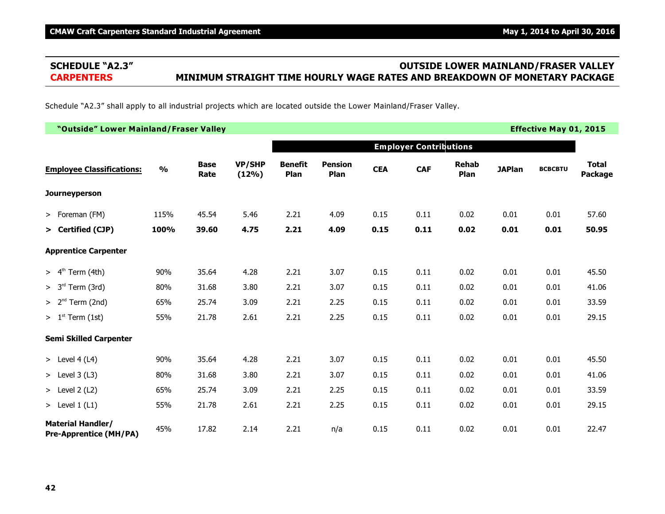# **SCHEDULE "A2.3" OUTSIDE LOWER MAINLAND/FRASER VALLEY CARPENTERS MINIMUM STRAIGHT TIME HOURLY WAGE RATES AND BREAKDOWN OF MONETARY PACKAGE**

Schedule "A2.3" shall apply to all industrial projects which are located outside the Lower Mainland/Fraser Valley.

| "Outside" Lower Mainland/Fraser Valley                    |               |                     |                        |                        |                        |            |                               |                      |               | <b>Effective May 01, 2015</b> |                         |
|-----------------------------------------------------------|---------------|---------------------|------------------------|------------------------|------------------------|------------|-------------------------------|----------------------|---------------|-------------------------------|-------------------------|
|                                                           |               |                     |                        |                        |                        |            | <b>Employer Contributions</b> |                      |               |                               |                         |
| <b>Employee Classifications:</b>                          | $\frac{0}{0}$ | <b>Base</b><br>Rate | <b>VP/SHP</b><br>(12%) | <b>Benefit</b><br>Plan | <b>Pension</b><br>Plan | <b>CEA</b> | <b>CAF</b>                    | <b>Rehab</b><br>Plan | <b>JAPlan</b> | <b>BCBCBTU</b>                | <b>Total</b><br>Package |
| Journeyperson                                             |               |                     |                        |                        |                        |            |                               |                      |               |                               |                         |
| > Foreman (FM)                                            | 115%          | 45.54               | 5.46                   | 2.21                   | 4.09                   | 0.15       | 0.11                          | 0.02                 | 0.01          | 0.01                          | 57.60                   |
| > Certified (CJP)                                         | 100%          | 39.60               | 4.75                   | 2.21                   | 4.09                   | 0.15       | 0.11                          | 0.02                 | 0.01          | 0.01                          | 50.95                   |
| <b>Apprentice Carpenter</b>                               |               |                     |                        |                        |                        |            |                               |                      |               |                               |                         |
| $> 4th$ Term (4th)                                        | 90%           | 35.64               | 4.28                   | 2.21                   | 3.07                   | 0.15       | 0.11                          | 0.02                 | 0.01          | 0.01                          | 45.50                   |
| $> 3rd$ Term (3rd)                                        | 80%           | 31.68               | 3.80                   | 2.21                   | 3.07                   | 0.15       | 0.11                          | 0.02                 | 0.01          | 0.01                          | 41.06                   |
| $> 2nd$ Term (2nd)                                        | 65%           | 25.74               | 3.09                   | 2.21                   | 2.25                   | 0.15       | 0.11                          | 0.02                 | 0.01          | 0.01                          | 33.59                   |
| $> 1st$ Term (1st)                                        | 55%           | 21.78               | 2.61                   | 2.21                   | 2.25                   | 0.15       | 0.11                          | 0.02                 | 0.01          | 0.01                          | 29.15                   |
| <b>Semi Skilled Carpenter</b>                             |               |                     |                        |                        |                        |            |                               |                      |               |                               |                         |
| > Level $4(L4)$                                           | 90%           | 35.64               | 4.28                   | 2.21                   | 3.07                   | 0.15       | 0.11                          | 0.02                 | 0.01          | 0.01                          | 45.50                   |
| > Level $3(L3)$                                           | 80%           | 31.68               | 3.80                   | 2.21                   | 3.07                   | 0.15       | 0.11                          | 0.02                 | 0.01          | 0.01                          | 41.06                   |
| $>$ Level 2 (L2)                                          | 65%           | 25.74               | 3.09                   | 2.21                   | 2.25                   | 0.15       | 0.11                          | 0.02                 | 0.01          | 0.01                          | 33.59                   |
| > Level $1(L1)$                                           | 55%           | 21.78               | 2.61                   | 2.21                   | 2.25                   | 0.15       | 0.11                          | 0.02                 | 0.01          | 0.01                          | 29.15                   |
| <b>Material Handler/</b><br><b>Pre-Apprentice (MH/PA)</b> | 45%           | 17.82               | 2.14                   | 2.21                   | n/a                    | 0.15       | 0.11                          | 0.02                 | 0.01          | 0.01                          | 22.47                   |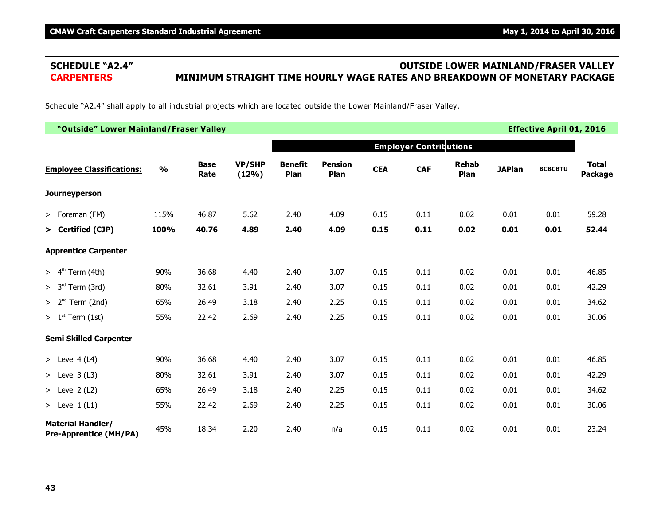# **SCHEDULE "A2.4" OUTSIDE LOWER MAINLAND/FRASER VALLEY CARPENTERS MINIMUM STRAIGHT TIME HOURLY WAGE RATES AND BREAKDOWN OF MONETARY PACKAGE**

Schedule "A2.4" shall apply to all industrial projects which are located outside the Lower Mainland/Fraser Valley.

| "Outside" Lower Mainland/Fraser Valley                    |               |                     |                        |                        |                        |            |                               |                      |               | <b>Effective April 01, 2016</b> |                         |
|-----------------------------------------------------------|---------------|---------------------|------------------------|------------------------|------------------------|------------|-------------------------------|----------------------|---------------|---------------------------------|-------------------------|
|                                                           |               |                     |                        |                        |                        |            | <b>Employer Contributions</b> |                      |               |                                 |                         |
| <b>Employee Classifications:</b>                          | $\frac{0}{0}$ | <b>Base</b><br>Rate | <b>VP/SHP</b><br>(12%) | <b>Benefit</b><br>Plan | <b>Pension</b><br>Plan | <b>CEA</b> | <b>CAF</b>                    | <b>Rehab</b><br>Plan | <b>JAPlan</b> | <b>BCBCBTU</b>                  | <b>Total</b><br>Package |
| <b>Journeyperson</b>                                      |               |                     |                        |                        |                        |            |                               |                      |               |                                 |                         |
| > Foreman (FM)                                            | 115%          | 46.87               | 5.62                   | 2.40                   | 4.09                   | 0.15       | 0.11                          | 0.02                 | 0.01          | 0.01                            | 59.28                   |
| > Certified (CJP)                                         | 100%          | 40.76               | 4.89                   | 2.40                   | 4.09                   | 0.15       | 0.11                          | 0.02                 | 0.01          | 0.01                            | 52.44                   |
| <b>Apprentice Carpenter</b>                               |               |                     |                        |                        |                        |            |                               |                      |               |                                 |                         |
| $> 4th$ Term (4th)                                        | 90%           | 36.68               | 4.40                   | 2.40                   | 3.07                   | 0.15       | 0.11                          | 0.02                 | 0.01          | 0.01                            | 46.85                   |
| $> 3rd$ Term (3rd)                                        | 80%           | 32.61               | 3.91                   | 2.40                   | 3.07                   | 0.15       | 0.11                          | 0.02                 | 0.01          | 0.01                            | 42.29                   |
| $> 2nd$ Term (2nd)                                        | 65%           | 26.49               | 3.18                   | 2.40                   | 2.25                   | 0.15       | 0.11                          | 0.02                 | 0.01          | 0.01                            | 34.62                   |
| $> 1st$ Term (1st)                                        | 55%           | 22.42               | 2.69                   | 2.40                   | 2.25                   | 0.15       | 0.11                          | 0.02                 | 0.01          | 0.01                            | 30.06                   |
| <b>Semi Skilled Carpenter</b>                             |               |                     |                        |                        |                        |            |                               |                      |               |                                 |                         |
| > Level 4 (L4)                                            | 90%           | 36.68               | 4.40                   | 2.40                   | 3.07                   | 0.15       | 0.11                          | 0.02                 | 0.01          | 0.01                            | 46.85                   |
| > Level $3(L3)$                                           | 80%           | 32.61               | 3.91                   | 2.40                   | 3.07                   | 0.15       | 0.11                          | 0.02                 | 0.01          | 0.01                            | 42.29                   |
| > Level $2(L2)$                                           | 65%           | 26.49               | 3.18                   | 2.40                   | 2.25                   | 0.15       | 0.11                          | 0.02                 | 0.01          | 0.01                            | 34.62                   |
| > Level $1(L1)$                                           | 55%           | 22.42               | 2.69                   | 2.40                   | 2.25                   | 0.15       | 0.11                          | 0.02                 | 0.01          | 0.01                            | 30.06                   |
| <b>Material Handler/</b><br><b>Pre-Apprentice (MH/PA)</b> | 45%           | 18.34               | 2.20                   | 2.40                   | n/a                    | 0.15       | 0.11                          | 0.02                 | 0.01          | 0.01                            | 23.24                   |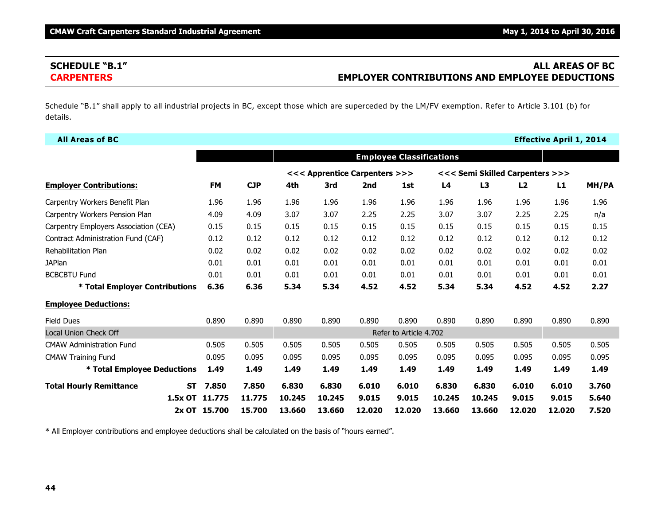# **SCHEDULE "B.1" ALL AREAS OF BC CARPENTERS EMPLOYER CONTRIBUTIONS AND EMPLOYEE DEDUCTIONS**

Schedule "B.1" shall apply to all industrial projects in BC, except those which are superceded by the LM/FV exemption. Refer to Article 3.101 (b) for details.

| <b>All Areas of BC</b>                      |              |            |        |                               |        |                                 |        |        |                                 | <b>Effective April 1, 2014</b> |       |
|---------------------------------------------|--------------|------------|--------|-------------------------------|--------|---------------------------------|--------|--------|---------------------------------|--------------------------------|-------|
|                                             |              |            |        |                               |        | <b>Employee Classifications</b> |        |        |                                 |                                |       |
|                                             |              |            |        | <<< Apprentice Carpenters >>> |        |                                 |        |        | <<< Semi Skilled Carpenters >>> |                                |       |
| <b>Employer Contributions:</b>              | <b>FM</b>    | <b>CJP</b> | 4th    | 3rd                           | 2nd    | 1st                             | L4     | L3     | L2                              | L1                             | MH/PA |
| Carpentry Workers Benefit Plan              | 1.96         | 1.96       | 1.96   | 1.96                          | 1.96   | 1.96                            | 1.96   | 1.96   | 1.96                            | 1.96                           | 1.96  |
| Carpentry Workers Pension Plan              | 4.09         | 4.09       | 3.07   | 3.07                          | 2.25   | 2.25                            | 3.07   | 3.07   | 2.25                            | 2.25                           | n/a   |
| Carpentry Employers Association (CEA)       | 0.15         | 0.15       | 0.15   | 0.15                          | 0.15   | 0.15                            | 0.15   | 0.15   | 0.15                            | 0.15                           | 0.15  |
| Contract Administration Fund (CAF)          | 0.12         | 0.12       | 0.12   | 0.12                          | 0.12   | 0.12                            | 0.12   | 0.12   | 0.12                            | 0.12                           | 0.12  |
| <b>Rehabilitation Plan</b>                  | 0.02         | 0.02       | 0.02   | 0.02                          | 0.02   | 0.02                            | 0.02   | 0.02   | 0.02                            | 0.02                           | 0.02  |
| <b>JAPlan</b>                               | 0.01         | 0.01       | 0.01   | 0.01                          | 0.01   | 0.01                            | 0.01   | 0.01   | 0.01                            | 0.01                           | 0.01  |
| <b>BCBCBTU Fund</b>                         | 0.01         | 0.01       | 0.01   | 0.01                          | 0.01   | 0.01                            | 0.01   | 0.01   | 0.01                            | 0.01                           | 0.01  |
| * Total Employer Contributions              | 6.36         | 6.36       | 5.34   | 5.34                          | 4.52   | 4.52                            | 5.34   | 5.34   | 4.52                            | 4.52                           | 2.27  |
| <b>Employee Deductions:</b>                 |              |            |        |                               |        |                                 |        |        |                                 |                                |       |
| <b>Field Dues</b>                           | 0.890        | 0.890      | 0.890  | 0.890                         | 0.890  | 0.890                           | 0.890  | 0.890  | 0.890                           | 0.890                          | 0.890 |
| <b>Local Union Check Off</b>                |              |            |        |                               |        | Refer to Article 4.702          |        |        |                                 |                                |       |
| <b>CMAW Administration Fund</b>             | 0.505        | 0.505      | 0.505  | 0.505                         | 0.505  | 0.505                           | 0.505  | 0.505  | 0.505                           | 0.505                          | 0.505 |
| <b>CMAW Training Fund</b>                   | 0.095        | 0.095      | 0.095  | 0.095                         | 0.095  | 0.095                           | 0.095  | 0.095  | 0.095                           | 0.095                          | 0.095 |
| * Total Employee Deductions                 | 1.49         | 1.49       | 1.49   | 1.49                          | 1.49   | 1.49                            | 1.49   | 1.49   | 1.49                            | 1.49                           | 1.49  |
| <b>Total Hourly Remittance</b><br><b>ST</b> | 7.850        | 7.850      | 6.830  | 6.830                         | 6.010  | 6.010                           | 6.830  | 6.830  | 6.010                           | 6.010                          | 3.760 |
| 1.5x OT 11.775                              |              | 11.775     | 10.245 | 10.245                        | 9.015  | 9.015                           | 10.245 | 10.245 | 9.015                           | 9.015                          | 5.640 |
|                                             | 2x OT 15.700 | 15.700     | 13.660 | 13.660                        | 12.020 | 12,020                          | 13.660 | 13.660 | 12,020                          | 12.020                         | 7.520 |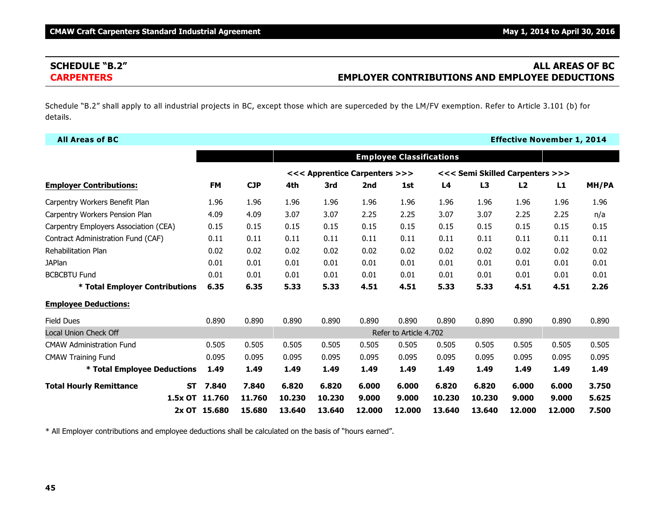# **SCHEDULE "B.2" ALL AREAS OF BC CARPENTERS EMPLOYER CONTRIBUTIONS AND EMPLOYEE DEDUCTIONS**

Schedule "B.2" shall apply to all industrial projects in BC, except those which are superceded by the LM/FV exemption. Refer to Article 3.101 (b) for details.

| <b>All Areas of BC</b>                      |              |        |        |                               |        |                                 |        |        |                                 | <b>Effective November 1, 2014</b> |       |
|---------------------------------------------|--------------|--------|--------|-------------------------------|--------|---------------------------------|--------|--------|---------------------------------|-----------------------------------|-------|
|                                             |              |        |        |                               |        | <b>Employee Classifications</b> |        |        |                                 |                                   |       |
|                                             |              |        |        | <<< Apprentice Carpenters >>> |        |                                 |        |        | <<< Semi Skilled Carpenters >>> |                                   |       |
| <b>Employer Contributions:</b>              | <b>FM</b>    | CJP    | 4th    | 3rd                           | 2nd    | 1st                             | L4     | L3     | L2                              | L1                                | MH/PA |
| Carpentry Workers Benefit Plan              | 1.96         | 1.96   | 1.96   | 1.96                          | 1.96   | 1.96                            | 1.96   | 1.96   | 1.96                            | 1.96                              | 1.96  |
| Carpentry Workers Pension Plan              | 4.09         | 4.09   | 3.07   | 3.07                          | 2.25   | 2.25                            | 3.07   | 3.07   | 2.25                            | 2.25                              | n/a   |
| Carpentry Employers Association (CEA)       | 0.15         | 0.15   | 0.15   | 0.15                          | 0.15   | 0.15                            | 0.15   | 0.15   | 0.15                            | 0.15                              | 0.15  |
| Contract Administration Fund (CAF)          | 0.11         | 0.11   | 0.11   | 0.11                          | 0.11   | 0.11                            | 0.11   | 0.11   | 0.11                            | 0.11                              | 0.11  |
| <b>Rehabilitation Plan</b>                  | 0.02         | 0.02   | 0.02   | 0.02                          | 0.02   | 0.02                            | 0.02   | 0.02   | 0.02                            | 0.02                              | 0.02  |
| <b>JAPlan</b>                               | 0.01         | 0.01   | 0.01   | 0.01                          | 0.01   | 0.01                            | 0.01   | 0.01   | 0.01                            | 0.01                              | 0.01  |
| <b>BCBCBTU Fund</b>                         | 0.01         | 0.01   | 0.01   | 0.01                          | 0.01   | 0.01                            | 0.01   | 0.01   | 0.01                            | 0.01                              | 0.01  |
| * Total Employer Contributions              | 6.35         | 6.35   | 5.33   | 5.33                          | 4.51   | 4.51                            | 5.33   | 5.33   | 4.51                            | 4.51                              | 2.26  |
| <b>Employee Deductions:</b>                 |              |        |        |                               |        |                                 |        |        |                                 |                                   |       |
| <b>Field Dues</b>                           | 0.890        | 0.890  | 0.890  | 0.890                         | 0.890  | 0.890                           | 0.890  | 0.890  | 0.890                           | 0.890                             | 0.890 |
| Local Union Check Off                       |              |        |        |                               |        | Refer to Article 4.702          |        |        |                                 |                                   |       |
| <b>CMAW Administration Fund</b>             | 0.505        | 0.505  | 0.505  | 0.505                         | 0.505  | 0.505                           | 0.505  | 0.505  | 0.505                           | 0.505                             | 0.505 |
| <b>CMAW Training Fund</b>                   | 0.095        | 0.095  | 0.095  | 0.095                         | 0.095  | 0.095                           | 0.095  | 0.095  | 0.095                           | 0.095                             | 0.095 |
| <b>* Total Employee Deductions</b>          | 1.49         | 1.49   | 1.49   | 1.49                          | 1.49   | 1.49                            | 1.49   | 1.49   | 1.49                            | 1.49                              | 1.49  |
| <b>Total Hourly Remittance</b><br><b>ST</b> | 7.840        | 7.840  | 6.820  | 6.820                         | 6.000  | 6.000                           | 6.820  | 6.820  | 6.000                           | 6.000                             | 3.750 |
| 1.5x OT 11.760                              |              | 11.760 | 10.230 | 10.230                        | 9.000  | 9.000                           | 10.230 | 10.230 | 9.000                           | 9.000                             | 5.625 |
|                                             | 2x OT 15.680 | 15,680 | 13.640 | 13.640                        | 12,000 | 12,000                          | 13.640 | 13.640 | 12,000                          | 12,000                            | 7.500 |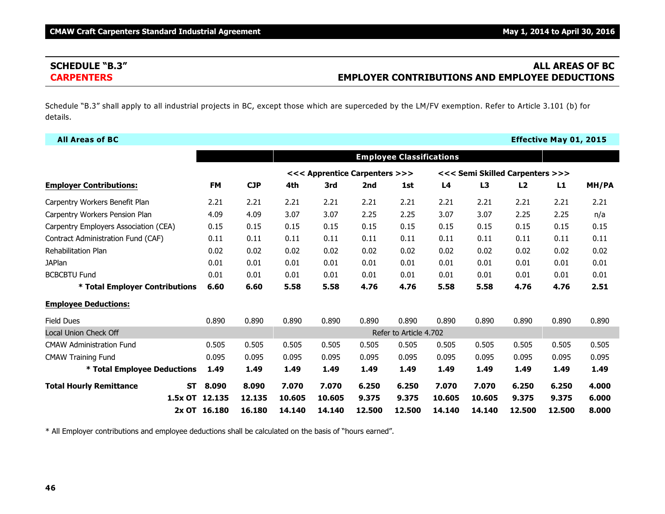# **SCHEDULE "B.3" ALL AREAS OF BC CARPENTERS EMPLOYER CONTRIBUTIONS AND EMPLOYEE DEDUCTIONS**

Schedule "B.3" shall apply to all industrial projects in BC, except those which are superceded by the LM/FV exemption. Refer to Article 3.101 (b) for details.

| <b>All Areas of BC</b>                      |              |            |        |                               |        |                                 |        |        |                                 | <b>Effective May 01, 2015</b> |       |
|---------------------------------------------|--------------|------------|--------|-------------------------------|--------|---------------------------------|--------|--------|---------------------------------|-------------------------------|-------|
|                                             |              |            |        |                               |        | <b>Employee Classifications</b> |        |        |                                 |                               |       |
|                                             |              |            |        | <<< Apprentice Carpenters >>> |        |                                 |        |        | <<< Semi Skilled Carpenters >>> |                               |       |
| <b>Employer Contributions:</b>              | <b>FM</b>    | <b>CJP</b> | 4th    | 3rd                           | 2nd    | 1st                             | L4     | L3     | L <sub>2</sub>                  | L1                            | MH/PA |
| Carpentry Workers Benefit Plan              | 2.21         | 2.21       | 2.21   | 2.21                          | 2.21   | 2.21                            | 2.21   | 2.21   | 2.21                            | 2.21                          | 2.21  |
| Carpentry Workers Pension Plan              | 4.09         | 4.09       | 3.07   | 3.07                          | 2.25   | 2.25                            | 3.07   | 3.07   | 2.25                            | 2.25                          | n/a   |
| Carpentry Employers Association (CEA)       | 0.15         | 0.15       | 0.15   | 0.15                          | 0.15   | 0.15                            | 0.15   | 0.15   | 0.15                            | 0.15                          | 0.15  |
| Contract Administration Fund (CAF)          | 0.11         | 0.11       | 0.11   | 0.11                          | 0.11   | 0.11                            | 0.11   | 0.11   | 0.11                            | 0.11                          | 0.11  |
| <b>Rehabilitation Plan</b>                  | 0.02         | 0.02       | 0.02   | 0.02                          | 0.02   | 0.02                            | 0.02   | 0.02   | 0.02                            | 0.02                          | 0.02  |
| <b>JAPlan</b>                               | 0.01         | 0.01       | 0.01   | 0.01                          | 0.01   | 0.01                            | 0.01   | 0.01   | 0.01                            | 0.01                          | 0.01  |
| <b>BCBCBTU Fund</b>                         | 0.01         | 0.01       | 0.01   | 0.01                          | 0.01   | 0.01                            | 0.01   | 0.01   | 0.01                            | 0.01                          | 0.01  |
| * Total Employer Contributions              | 6.60         | 6.60       | 5.58   | 5.58                          | 4.76   | 4.76                            | 5.58   | 5.58   | 4.76                            | 4.76                          | 2.51  |
| <b>Employee Deductions:</b>                 |              |            |        |                               |        |                                 |        |        |                                 |                               |       |
| <b>Field Dues</b>                           | 0.890        | 0.890      | 0.890  | 0.890                         | 0.890  | 0.890                           | 0.890  | 0.890  | 0.890                           | 0.890                         | 0.890 |
| <b>Local Union Check Off</b>                |              |            |        |                               |        | Refer to Article 4.702          |        |        |                                 |                               |       |
| <b>CMAW Administration Fund</b>             | 0.505        | 0.505      | 0.505  | 0.505                         | 0.505  | 0.505                           | 0.505  | 0.505  | 0.505                           | 0.505                         | 0.505 |
| <b>CMAW Training Fund</b>                   | 0.095        | 0.095      | 0.095  | 0.095                         | 0.095  | 0.095                           | 0.095  | 0.095  | 0.095                           | 0.095                         | 0.095 |
| * Total Employee Deductions                 | 1.49         | 1.49       | 1.49   | 1.49                          | 1.49   | 1.49                            | 1.49   | 1.49   | 1.49                            | 1.49                          | 1.49  |
| <b>Total Hourly Remittance</b><br><b>ST</b> | 8.090        | 8.090      | 7.070  | 7.070                         | 6.250  | 6.250                           | 7.070  | 7.070  | 6.250                           | 6.250                         | 4.000 |
| 1.5x OT 12.135                              |              | 12.135     | 10.605 | 10.605                        | 9.375  | 9.375                           | 10.605 | 10.605 | 9.375                           | 9.375                         | 6.000 |
|                                             | 2x OT 16.180 | 16.180     | 14.140 | 14.140                        | 12.500 | 12.500                          | 14.140 | 14.140 | 12.500                          | 12.500                        | 8.000 |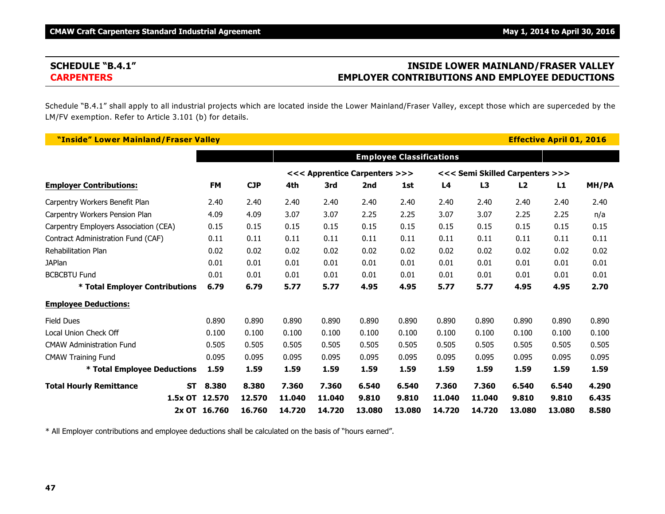# **SCHEDULE "B.4.1" INSIDE LOWER MAINLAND/FRASER VALLEY CARPENTERS EMPLOYER CONTRIBUTIONS AND EMPLOYEE DEDUCTIONS**

Schedule "B.4.1" shall apply to all industrial projects which are located inside the Lower Mainland/Fraser Valley, except those which are superceded by the LM/FV exemption. Refer to Article 3.101 (b) for details.

| "Inside" Lower Mainland/Fraser Valley |                    |            |        |                               |        |                                 |        |                                 |        | <b>Effective April 01, 2016</b> |       |
|---------------------------------------|--------------------|------------|--------|-------------------------------|--------|---------------------------------|--------|---------------------------------|--------|---------------------------------|-------|
|                                       |                    |            |        |                               |        | <b>Employee Classifications</b> |        |                                 |        |                                 |       |
|                                       |                    |            |        | <<< Apprentice Carpenters >>> |        |                                 |        | <<< Semi Skilled Carpenters >>> |        |                                 |       |
| <b>Employer Contributions:</b>        | <b>FM</b>          | <b>CJP</b> | 4th    | 3rd                           | 2nd    | 1st                             | L4     | L <sub>3</sub>                  | L2     | L1                              | MH/PA |
| Carpentry Workers Benefit Plan        | 2.40               | 2.40       | 2.40   | 2.40                          | 2.40   | 2.40                            | 2.40   | 2.40                            | 2.40   | 2.40                            | 2.40  |
| Carpentry Workers Pension Plan        | 4.09               | 4.09       | 3.07   | 3.07                          | 2.25   | 2.25                            | 3.07   | 3.07                            | 2.25   | 2.25                            | n/a   |
| Carpentry Employers Association (CEA) | 0.15               | 0.15       | 0.15   | 0.15                          | 0.15   | 0.15                            | 0.15   | 0.15                            | 0.15   | 0.15                            | 0.15  |
| Contract Administration Fund (CAF)    | 0.11               | 0.11       | 0.11   | 0.11                          | 0.11   | 0.11                            | 0.11   | 0.11                            | 0.11   | 0.11                            | 0.11  |
| <b>Rehabilitation Plan</b>            | 0.02               | 0.02       | 0.02   | 0.02                          | 0.02   | 0.02                            | 0.02   | 0.02                            | 0.02   | 0.02                            | 0.02  |
| <b>JAPlan</b>                         | 0.01               | 0.01       | 0.01   | 0.01                          | 0.01   | 0.01                            | 0.01   | 0.01                            | 0.01   | 0.01                            | 0.01  |
| <b>BCBCBTU Fund</b>                   | 0.01               | 0.01       | 0.01   | 0.01                          | 0.01   | 0.01                            | 0.01   | 0.01                            | 0.01   | 0.01                            | 0.01  |
| * Total Employer Contributions        | 6.79               | 6.79       | 5.77   | 5.77                          | 4.95   | 4.95                            | 5.77   | 5.77                            | 4.95   | 4.95                            | 2.70  |
| <b>Employee Deductions:</b>           |                    |            |        |                               |        |                                 |        |                                 |        |                                 |       |
| <b>Field Dues</b>                     | 0.890              | 0.890      | 0.890  | 0.890                         | 0.890  | 0.890                           | 0.890  | 0.890                           | 0.890  | 0.890                           | 0.890 |
| Local Union Check Off                 | 0.100              | 0.100      | 0.100  | 0.100                         | 0.100  | 0.100                           | 0.100  | 0.100                           | 0.100  | 0.100                           | 0.100 |
| <b>CMAW Administration Fund</b>       | 0.505              | 0.505      | 0.505  | 0.505                         | 0.505  | 0.505                           | 0.505  | 0.505                           | 0.505  | 0.505                           | 0.505 |
| <b>CMAW Training Fund</b>             | 0.095              | 0.095      | 0.095  | 0.095                         | 0.095  | 0.095                           | 0.095  | 0.095                           | 0.095  | 0.095                           | 0.095 |
| * Total Employee Deductions           | 1.59               | 1.59       | 1.59   | 1.59                          | 1.59   | 1.59                            | 1.59   | 1.59                            | 1.59   | 1.59                            | 1.59  |
| <b>Total Hourly Remittance</b>        | 8.380<br><b>ST</b> | 8.380      | 7.360  | 7.360                         | 6.540  | 6.540                           | 7.360  | 7.360                           | 6.540  | 6.540                           | 4.290 |
|                                       | 1.5x OT 12.570     | 12.570     | 11.040 | 11,040                        | 9.810  | 9.810                           | 11.040 | 11,040                          | 9.810  | 9.810                           | 6.435 |
|                                       | 2x OT 16.760       | 16.760     | 14.720 | 14.720                        | 13,080 | 13,080                          | 14.720 | 14.720                          | 13,080 | 13,080                          | 8.580 |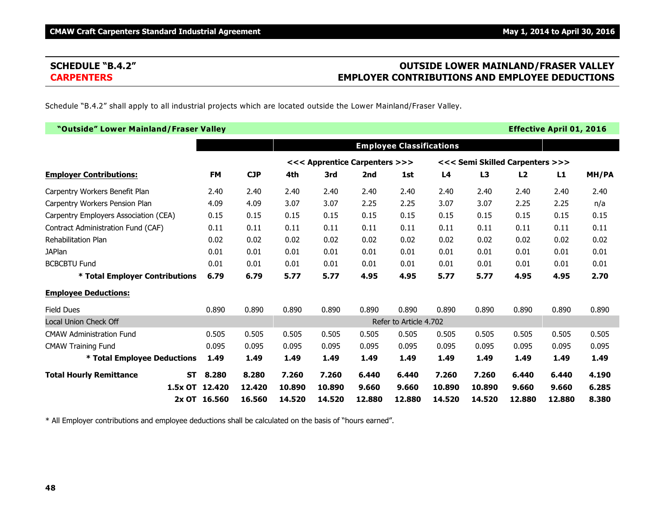# **SCHEDULE "B.4.2" OUTSIDE LOWER MAINLAND/FRASER VALLEY CARPENTERS EMPLOYER CONTRIBUTIONS AND EMPLOYEE DEDUCTIONS**

Schedule "B.4.2" shall apply to all industrial projects which are located outside the Lower Mainland/Fraser Valley.

| "Outside" Lower Mainland/Fraser Valley      |              |            |        |                               |        |                                 |        |        |                                 | <b>Effective April 01, 2016</b> |       |
|---------------------------------------------|--------------|------------|--------|-------------------------------|--------|---------------------------------|--------|--------|---------------------------------|---------------------------------|-------|
|                                             |              |            |        |                               |        | <b>Employee Classifications</b> |        |        |                                 |                                 |       |
|                                             |              |            |        | <<< Apprentice Carpenters >>> |        |                                 |        |        | <<< Semi Skilled Carpenters >>> |                                 |       |
| <b>Employer Contributions:</b>              | <b>FM</b>    | <b>CJP</b> | 4th    | 3rd                           | 2nd    | 1st                             | L4     | L3     | L2                              | L1                              | MH/PA |
| Carpentry Workers Benefit Plan              | 2.40         | 2.40       | 2.40   | 2.40                          | 2.40   | 2.40                            | 2.40   | 2.40   | 2.40                            | 2.40                            | 2.40  |
| Carpentry Workers Pension Plan              | 4.09         | 4.09       | 3.07   | 3.07                          | 2.25   | 2.25                            | 3.07   | 3.07   | 2.25                            | 2.25                            | n/a   |
| Carpentry Employers Association (CEA)       | 0.15         | 0.15       | 0.15   | 0.15                          | 0.15   | 0.15                            | 0.15   | 0.15   | 0.15                            | 0.15                            | 0.15  |
| Contract Administration Fund (CAF)          | 0.11         | 0.11       | 0.11   | 0.11                          | 0.11   | 0.11                            | 0.11   | 0.11   | 0.11                            | 0.11                            | 0.11  |
| <b>Rehabilitation Plan</b>                  | 0.02         | 0.02       | 0.02   | 0.02                          | 0.02   | 0.02                            | 0.02   | 0.02   | 0.02                            | 0.02                            | 0.02  |
| <b>JAPlan</b>                               | 0.01         | 0.01       | 0.01   | 0.01                          | 0.01   | 0.01                            | 0.01   | 0.01   | 0.01                            | 0.01                            | 0.01  |
| <b>BCBCBTU Fund</b>                         | 0.01         | 0.01       | 0.01   | 0.01                          | 0.01   | 0.01                            | 0.01   | 0.01   | 0.01                            | 0.01                            | 0.01  |
| * Total Employer Contributions              | 6.79         | 6.79       | 5.77   | 5.77                          | 4.95   | 4.95                            | 5.77   | 5.77   | 4.95                            | 4.95                            | 2.70  |
| <b>Employee Deductions:</b>                 |              |            |        |                               |        |                                 |        |        |                                 |                                 |       |
| <b>Field Dues</b>                           | 0.890        | 0.890      | 0.890  | 0.890                         | 0.890  | 0.890                           | 0.890  | 0.890  | 0.890                           | 0.890                           | 0.890 |
| <b>Local Union Check Off</b>                |              |            |        |                               |        | Refer to Article 4.702          |        |        |                                 |                                 |       |
| <b>CMAW Administration Fund</b>             | 0.505        | 0.505      | 0.505  | 0.505                         | 0.505  | 0.505                           | 0.505  | 0.505  | 0.505                           | 0.505                           | 0.505 |
| <b>CMAW Training Fund</b>                   | 0.095        | 0.095      | 0.095  | 0.095                         | 0.095  | 0.095                           | 0.095  | 0.095  | 0.095                           | 0.095                           | 0.095 |
| * Total Employee Deductions                 | 1.49         | 1.49       | 1.49   | 1.49                          | 1.49   | 1.49                            | 1.49   | 1.49   | 1.49                            | 1.49                            | 1.49  |
| <b>Total Hourly Remittance</b><br><b>ST</b> | 8.280        | 8.280      | 7.260  | 7.260                         | 6.440  | 6.440                           | 7.260  | 7.260  | 6.440                           | 6.440                           | 4.190 |
| $1.5x$ OT                                   | 12.420       | 12,420     | 10,890 | 10.890                        | 9.660  | 9.660                           | 10,890 | 10,890 | 9.660                           | 9.660                           | 6.285 |
|                                             | 2x OT 16.560 | 16.560     | 14.520 | 14.520                        | 12,880 | 12.880                          | 14.520 | 14.520 | 12,880                          | 12.880                          | 8.380 |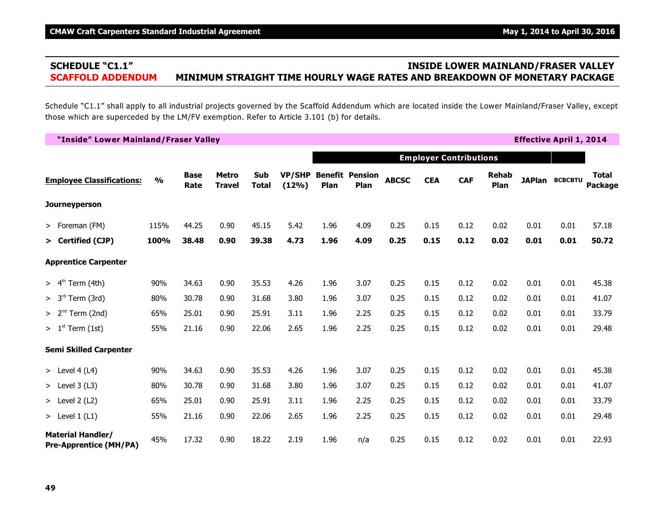# **SCHEDULE "C1.1" INSIDE LOWER MAINLAND/FRASER VALLEY SCAFFOLD ADDENDUM MINIMUM STRAIGHT TIME HOURLY WAGE RATES AND BREAKDOWN OF MONETARY PACKAGE**

Schedule "C1.1" shall apply to all industrial projects governed by the Scaffold Addendum which are located inside the Lower Mainland/Fraser Valley, except those which are superceded by the LM/FV exemption. Refer to Article 3.101 (b) for details.

| "Inside" Lower Mainland/Fraser Valley                     |               |                     |                               |                            |                 |      |                                |              |            |                               |                      |      | <b>Effective April 1, 2014</b> |                         |
|-----------------------------------------------------------|---------------|---------------------|-------------------------------|----------------------------|-----------------|------|--------------------------------|--------------|------------|-------------------------------|----------------------|------|--------------------------------|-------------------------|
|                                                           |               |                     |                               |                            |                 |      |                                |              |            | <b>Employer Contributions</b> |                      |      |                                |                         |
| <b>Employee Classifications:</b>                          | $\frac{0}{0}$ | <b>Base</b><br>Rate | <b>Metro</b><br><b>Travel</b> | <b>Sub</b><br><b>Total</b> | VP/SHP<br>(12%) | Plan | <b>Benefit Pension</b><br>Plan | <b>ABCSC</b> | <b>CEA</b> | <b>CAF</b>                    | <b>Rehab</b><br>Plan |      | <b>JAPlan BCBCBTU</b>          | <b>Total</b><br>Package |
| <b>Journeyperson</b>                                      |               |                     |                               |                            |                 |      |                                |              |            |                               |                      |      |                                |                         |
| > Foreman (FM)                                            | 115%          | 44.25               | 0.90                          | 45.15                      | 5.42            | 1.96 | 4.09                           | 0.25         | 0.15       | 0.12                          | 0.02                 | 0.01 | 0.01                           | 57.18                   |
| > Certified (CJP)                                         | 100%          | 38.48               | 0.90                          | 39.38                      | 4.73            | 1.96 | 4.09                           | 0.25         | 0.15       | 0.12                          | 0.02                 | 0.01 | 0.01                           | 50.72                   |
| <b>Apprentice Carpenter</b>                               |               |                     |                               |                            |                 |      |                                |              |            |                               |                      |      |                                |                         |
| > 4 <sup>th</sup><br>Term (4th)                           | 90%           | 34.63               | 0.90                          | 35.53                      | 4.26            | 1.96 | 3.07                           | 0.25         | 0.15       | 0.12                          | 0.02                 | 0.01 | 0.01                           | 45.38                   |
| > 3 <sup>rd</sup><br>Term (3rd)                           | 80%           | 30.78               | 0.90                          | 31.68                      | 3.80            | 1.96 | 3.07                           | 0.25         | 0.15       | 0.12                          | 0.02                 | 0.01 | 0.01                           | 41.07                   |
| $> 2nd$ Term (2nd)                                        | 65%           | 25.01               | 0.90                          | 25.91                      | 3.11            | 1.96 | 2.25                           | 0.25         | 0.15       | 0.12                          | 0.02                 | 0.01 | 0.01                           | 33.79                   |
| $> 1st$ Term (1st)                                        | 55%           | 21.16               | 0.90                          | 22.06                      | 2.65            | 1.96 | 2.25                           | 0.25         | 0.15       | 0.12                          | 0.02                 | 0.01 | 0.01                           | 29.48                   |
| <b>Semi Skilled Carpenter</b>                             |               |                     |                               |                            |                 |      |                                |              |            |                               |                      |      |                                |                         |
| > Level $4(L4)$                                           | 90%           | 34.63               | 0.90                          | 35.53                      | 4.26            | 1.96 | 3.07                           | 0.25         | 0.15       | 0.12                          | 0.02                 | 0.01 | 0.01                           | 45.38                   |
| $>$ Level 3 (L3)                                          | 80%           | 30.78               | 0.90                          | 31.68                      | 3.80            | 1.96 | 3.07                           | 0.25         | 0.15       | 0.12                          | 0.02                 | 0.01 | 0.01                           | 41.07                   |
| $>$ Level 2 (L2)                                          | 65%           | 25.01               | 0.90                          | 25.91                      | 3.11            | 1.96 | 2.25                           | 0.25         | 0.15       | 0.12                          | 0.02                 | 0.01 | 0.01                           | 33.79                   |
| > Level $1(L1)$                                           | 55%           | 21.16               | 0.90                          | 22.06                      | 2.65            | 1.96 | 2.25                           | 0.25         | 0.15       | 0.12                          | 0.02                 | 0.01 | 0.01                           | 29.48                   |
| <b>Material Handler/</b><br><b>Pre-Apprentice (MH/PA)</b> | 45%           | 17.32               | 0.90                          | 18.22                      | 2.19            | 1.96 | n/a                            | 0.25         | 0.15       | 0.12                          | 0.02                 | 0.01 | 0.01                           | 22.93                   |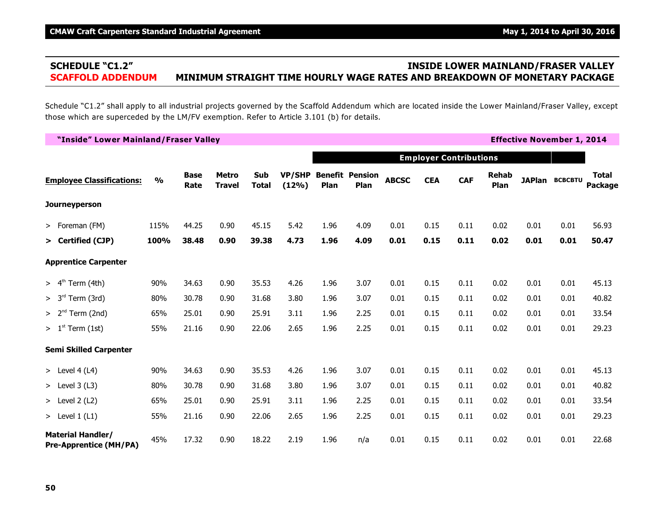# **SCHEDULE "C1.2" INSIDE LOWER MAINLAND/FRASER VALLEY SCAFFOLD ADDENDUM MINIMUM STRAIGHT TIME HOURLY WAGE RATES AND BREAKDOWN OF MONETARY PACKAGE**

Schedule "C1.2" shall apply to all industrial projects governed by the Scaffold Addendum which are located inside the Lower Mainland/Fraser Valley, except those which are superceded by the LM/FV exemption. Refer to Article 3.101 (b) for details.

| "Inside" Lower Mainland/Fraser Valley                     |               |                     |                               |                     |                        |      |                                |              |            |                               |                      |      | <b>Effective November 1, 2014</b> |                         |
|-----------------------------------------------------------|---------------|---------------------|-------------------------------|---------------------|------------------------|------|--------------------------------|--------------|------------|-------------------------------|----------------------|------|-----------------------------------|-------------------------|
|                                                           |               |                     |                               |                     |                        |      |                                |              |            | <b>Employer Contributions</b> |                      |      |                                   |                         |
| <b>Employee Classifications:</b>                          | $\frac{0}{0}$ | <b>Base</b><br>Rate | <b>Metro</b><br><b>Travel</b> | Sub<br><b>Total</b> | <b>VP/SHP</b><br>(12%) | Plan | <b>Benefit Pension</b><br>Plan | <b>ABCSC</b> | <b>CEA</b> | <b>CAF</b>                    | <b>Rehab</b><br>Plan |      | <b>JAPlan BCBCBTU</b>             | Total<br><b>Package</b> |
| <b>Journeyperson</b>                                      |               |                     |                               |                     |                        |      |                                |              |            |                               |                      |      |                                   |                         |
| > Foreman (FM)                                            | 115%          | 44.25               | 0.90                          | 45.15               | 5.42                   | 1.96 | 4.09                           | 0.01         | 0.15       | 0.11                          | 0.02                 | 0.01 | 0.01                              | 56.93                   |
| > Certified (CJP)                                         | 100%          | 38.48               | 0.90                          | 39.38               | 4.73                   | 1.96 | 4.09                           | 0.01         | 0.15       | 0.11                          | 0.02                 | 0.01 | 0.01                              | 50.47                   |
| <b>Apprentice Carpenter</b>                               |               |                     |                               |                     |                        |      |                                |              |            |                               |                      |      |                                   |                         |
| > 4 <sup>th</sup><br>Term (4th)                           | 90%           | 34.63               | 0.90                          | 35.53               | 4.26                   | 1.96 | 3.07                           | 0.01         | 0.15       | 0.11                          | 0.02                 | 0.01 | 0.01                              | 45.13                   |
| > 3 <sup>rd</sup><br>Term (3rd)                           | 80%           | 30.78               | 0.90                          | 31.68               | 3.80                   | 1.96 | 3.07                           | 0.01         | 0.15       | 0.11                          | 0.02                 | 0.01 | 0.01                              | 40.82                   |
| Term (2nd)<br>> 2 <sup>nd</sup>                           | 65%           | 25.01               | 0.90                          | 25.91               | 3.11                   | 1.96 | 2.25                           | 0.01         | 0.15       | 0.11                          | 0.02                 | 0.01 | 0.01                              | 33.54                   |
| $> 1st$ Term (1st)                                        | 55%           | 21.16               | 0.90                          | 22.06               | 2.65                   | 1.96 | 2.25                           | 0.01         | 0.15       | 0.11                          | 0.02                 | 0.01 | 0.01                              | 29.23                   |
| <b>Semi Skilled Carpenter</b>                             |               |                     |                               |                     |                        |      |                                |              |            |                               |                      |      |                                   |                         |
| > Level 4 (L4)                                            | 90%           | 34.63               | 0.90                          | 35.53               | 4.26                   | 1.96 | 3.07                           | 0.01         | 0.15       | 0.11                          | 0.02                 | 0.01 | 0.01                              | 45.13                   |
| $>$ Level 3 (L3)                                          | 80%           | 30.78               | 0.90                          | 31.68               | 3.80                   | 1.96 | 3.07                           | 0.01         | 0.15       | 0.11                          | 0.02                 | 0.01 | 0.01                              | 40.82                   |
| $>$ Level 2 (L2)                                          | 65%           | 25.01               | 0.90                          | 25.91               | 3.11                   | 1.96 | 2.25                           | 0.01         | 0.15       | 0.11                          | 0.02                 | 0.01 | 0.01                              | 33.54                   |
| > Level $1(L1)$                                           | 55%           | 21.16               | 0.90                          | 22.06               | 2.65                   | 1.96 | 2.25                           | 0.01         | 0.15       | 0.11                          | 0.02                 | 0.01 | 0.01                              | 29.23                   |
| <b>Material Handler/</b><br><b>Pre-Apprentice (MH/PA)</b> | 45%           | 17.32               | 0.90                          | 18.22               | 2.19                   | 1.96 | n/a                            | 0.01         | 0.15       | 0.11                          | 0.02                 | 0.01 | 0.01                              | 22.68                   |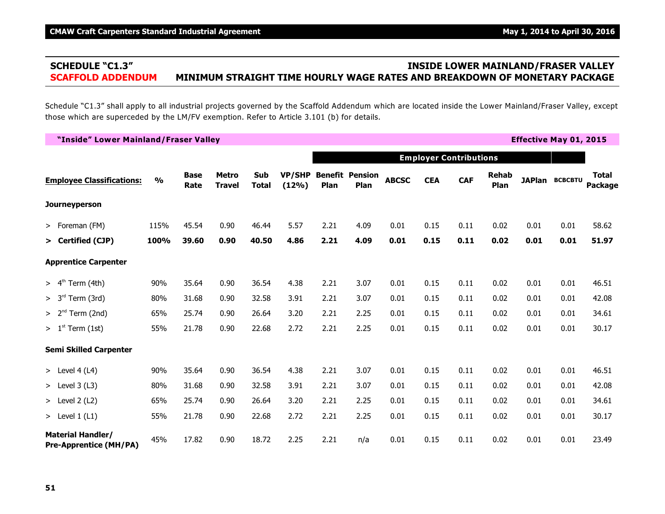# **SCHEDULE "C1.3" INSIDE LOWER MAINLAND/FRASER VALLEY SCAFFOLD ADDENDUM MINIMUM STRAIGHT TIME HOURLY WAGE RATES AND BREAKDOWN OF MONETARY PACKAGE**

Schedule "C1.3" shall apply to all industrial projects governed by the Scaffold Addendum which are located inside the Lower Mainland/Fraser Valley, except those which are superceded by the LM/FV exemption. Refer to Article 3.101 (b) for details.

| "Inside" Lower Mainland/Fraser Valley                     |               |                     |                        |                            |                        |      |                                |              |            |                               |                      |      | <b>Effective May 01, 2015</b> |                         |
|-----------------------------------------------------------|---------------|---------------------|------------------------|----------------------------|------------------------|------|--------------------------------|--------------|------------|-------------------------------|----------------------|------|-------------------------------|-------------------------|
|                                                           |               |                     |                        |                            |                        |      |                                |              |            | <b>Employer Contributions</b> |                      |      |                               |                         |
| <b>Employee Classifications:</b>                          | $\frac{0}{0}$ | <b>Base</b><br>Rate | Metro<br><b>Travel</b> | <b>Sub</b><br><b>Total</b> | <b>VP/SHP</b><br>(12%) | Plan | <b>Benefit Pension</b><br>Plan | <b>ABCSC</b> | <b>CEA</b> | <b>CAF</b>                    | <b>Rehab</b><br>Plan |      | <b>JAPlan BCBCBTU</b>         | <b>Total</b><br>Package |
| <b>Journeyperson</b>                                      |               |                     |                        |                            |                        |      |                                |              |            |                               |                      |      |                               |                         |
| > Foreman (FM)                                            | 115%          | 45.54               | 0.90                   | 46.44                      | 5.57                   | 2.21 | 4.09                           | 0.01         | 0.15       | 0.11                          | 0.02                 | 0.01 | 0.01                          | 58.62                   |
| > Certified (CJP)                                         | 100%          | 39.60               | 0.90                   | 40.50                      | 4.86                   | 2.21 | 4.09                           | 0.01         | 0.15       | 0.11                          | 0.02                 | 0.01 | 0.01                          | 51.97                   |
| <b>Apprentice Carpenter</b>                               |               |                     |                        |                            |                        |      |                                |              |            |                               |                      |      |                               |                         |
| $> 4th$ Term (4th)                                        | 90%           | 35.64               | 0.90                   | 36.54                      | 4.38                   | 2.21 | 3.07                           | 0.01         | 0.15       | 0.11                          | 0.02                 | 0.01 | 0.01                          | 46.51                   |
| > 3 <sup>rd</sup><br>Term (3rd)                           | 80%           | 31.68               | 0.90                   | 32.58                      | 3.91                   | 2.21 | 3.07                           | 0.01         | 0.15       | 0.11                          | 0.02                 | 0.01 | 0.01                          | 42.08                   |
| $> 2nd$ Term (2nd)                                        | 65%           | 25.74               | 0.90                   | 26.64                      | 3.20                   | 2.21 | 2.25                           | 0.01         | 0.15       | 0.11                          | 0.02                 | 0.01 | 0.01                          | 34.61                   |
| $> 1st$ Term (1st)                                        | 55%           | 21.78               | 0.90                   | 22.68                      | 2.72                   | 2.21 | 2.25                           | 0.01         | 0.15       | 0.11                          | 0.02                 | 0.01 | 0.01                          | 30.17                   |
| <b>Semi Skilled Carpenter</b>                             |               |                     |                        |                            |                        |      |                                |              |            |                               |                      |      |                               |                         |
| > Level 4 (L4)                                            | 90%           | 35.64               | 0.90                   | 36.54                      | 4.38                   | 2.21 | 3.07                           | 0.01         | 0.15       | 0.11                          | 0.02                 | 0.01 | 0.01                          | 46.51                   |
| > Level $3(L3)$                                           | 80%           | 31.68               | 0.90                   | 32.58                      | 3.91                   | 2.21 | 3.07                           | 0.01         | 0.15       | 0.11                          | 0.02                 | 0.01 | 0.01                          | 42.08                   |
| > Level $2(L2)$                                           | 65%           | 25.74               | 0.90                   | 26.64                      | 3.20                   | 2.21 | 2.25                           | 0.01         | 0.15       | 0.11                          | 0.02                 | 0.01 | 0.01                          | 34.61                   |
| > Level $1(L1)$                                           | 55%           | 21.78               | 0.90                   | 22.68                      | 2.72                   | 2.21 | 2.25                           | 0.01         | 0.15       | 0.11                          | 0.02                 | 0.01 | 0.01                          | 30.17                   |
| <b>Material Handler/</b><br><b>Pre-Apprentice (MH/PA)</b> | 45%           | 17.82               | 0.90                   | 18.72                      | 2.25                   | 2.21 | n/a                            | 0.01         | 0.15       | 0.11                          | 0.02                 | 0.01 | 0.01                          | 23.49                   |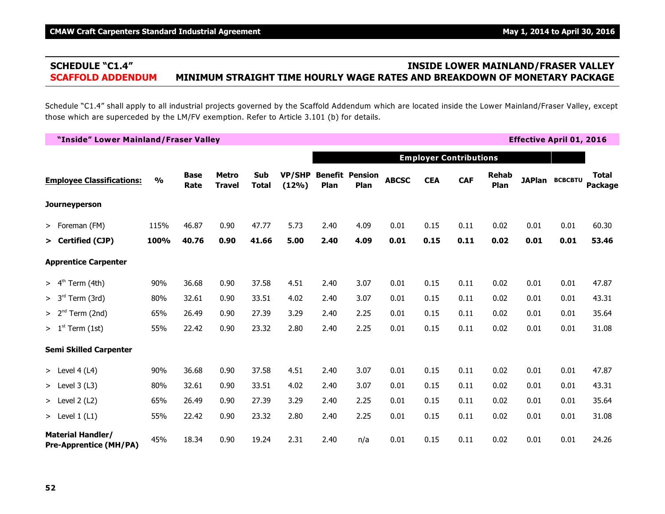# **SCHEDULE "C1.4" INSIDE LOWER MAINLAND/FRASER VALLEY SCAFFOLD ADDENDUM MINIMUM STRAIGHT TIME HOURLY WAGE RATES AND BREAKDOWN OF MONETARY PACKAGE**

Schedule "C1.4" shall apply to all industrial projects governed by the Scaffold Addendum which are located inside the Lower Mainland/Fraser Valley, except those which are superceded by the LM/FV exemption. Refer to Article 3.101 (b) for details.

| "Inside" Lower Mainland/Fraser Valley                     |               |                     |                               |                     |                 |      |                                |              |            |                               |                      |      | <b>Effective April 01, 2016</b> |                         |
|-----------------------------------------------------------|---------------|---------------------|-------------------------------|---------------------|-----------------|------|--------------------------------|--------------|------------|-------------------------------|----------------------|------|---------------------------------|-------------------------|
|                                                           |               |                     |                               |                     |                 |      |                                |              |            | <b>Employer Contributions</b> |                      |      |                                 |                         |
| <b>Employee Classifications:</b>                          | $\frac{0}{0}$ | <b>Base</b><br>Rate | <b>Metro</b><br><b>Travel</b> | Sub<br><b>Total</b> | VP/SHP<br>(12%) | Plan | <b>Benefit Pension</b><br>Plan | <b>ABCSC</b> | <b>CEA</b> | <b>CAF</b>                    | <b>Rehab</b><br>Plan |      | <b>JAPlan BCBCBTU</b>           | <b>Total</b><br>Package |
| <b>Journeyperson</b>                                      |               |                     |                               |                     |                 |      |                                |              |            |                               |                      |      |                                 |                         |
| > Foreman (FM)                                            | 115%          | 46.87               | 0.90                          | 47.77               | 5.73            | 2.40 | 4.09                           | 0.01         | 0.15       | 0.11                          | 0.02                 | 0.01 | 0.01                            | 60.30                   |
| > Certified (CJP)                                         | 100%          | 40.76               | 0.90                          | 41.66               | 5.00            | 2.40 | 4.09                           | 0.01         | 0.15       | 0.11                          | 0.02                 | 0.01 | 0.01                            | 53.46                   |
| <b>Apprentice Carpenter</b>                               |               |                     |                               |                     |                 |      |                                |              |            |                               |                      |      |                                 |                         |
| > 4 <sup>th</sup><br>Term (4th)                           | 90%           | 36.68               | 0.90                          | 37.58               | 4.51            | 2.40 | 3.07                           | 0.01         | 0.15       | 0.11                          | 0.02                 | 0.01 | 0.01                            | 47.87                   |
| > 3 <sup>rd</sup><br>Term (3rd)                           | 80%           | 32.61               | 0.90                          | 33.51               | 4.02            | 2.40 | 3.07                           | 0.01         | 0.15       | 0.11                          | 0.02                 | 0.01 | 0.01                            | 43.31                   |
| $> 2nd$ Term (2nd)                                        | 65%           | 26.49               | 0.90                          | 27.39               | 3.29            | 2.40 | 2.25                           | 0.01         | 0.15       | 0.11                          | 0.02                 | 0.01 | 0.01                            | 35.64                   |
| $> 1st$ Term (1st)                                        | 55%           | 22.42               | 0.90                          | 23.32               | 2.80            | 2.40 | 2.25                           | 0.01         | 0.15       | 0.11                          | 0.02                 | 0.01 | 0.01                            | 31.08                   |
| <b>Semi Skilled Carpenter</b>                             |               |                     |                               |                     |                 |      |                                |              |            |                               |                      |      |                                 |                         |
| > Level $4(L4)$                                           | 90%           | 36.68               | 0.90                          | 37.58               | 4.51            | 2.40 | 3.07                           | 0.01         | 0.15       | 0.11                          | 0.02                 | 0.01 | 0.01                            | 47.87                   |
| $>$ Level 3 (L3)                                          | 80%           | 32.61               | 0.90                          | 33.51               | 4.02            | 2.40 | 3.07                           | 0.01         | 0.15       | 0.11                          | 0.02                 | 0.01 | 0.01                            | 43.31                   |
| $>$ Level 2 (L2)                                          | 65%           | 26.49               | 0.90                          | 27.39               | 3.29            | 2.40 | 2.25                           | 0.01         | 0.15       | 0.11                          | 0.02                 | 0.01 | 0.01                            | 35.64                   |
| > Level $1(L1)$                                           | 55%           | 22.42               | 0.90                          | 23.32               | 2.80            | 2.40 | 2.25                           | 0.01         | 0.15       | 0.11                          | 0.02                 | 0.01 | 0.01                            | 31.08                   |
| <b>Material Handler/</b><br><b>Pre-Apprentice (MH/PA)</b> | 45%           | 18.34               | 0.90                          | 19.24               | 2.31            | 2.40 | n/a                            | 0.01         | 0.15       | 0.11                          | 0.02                 | 0.01 | 0.01                            | 24.26                   |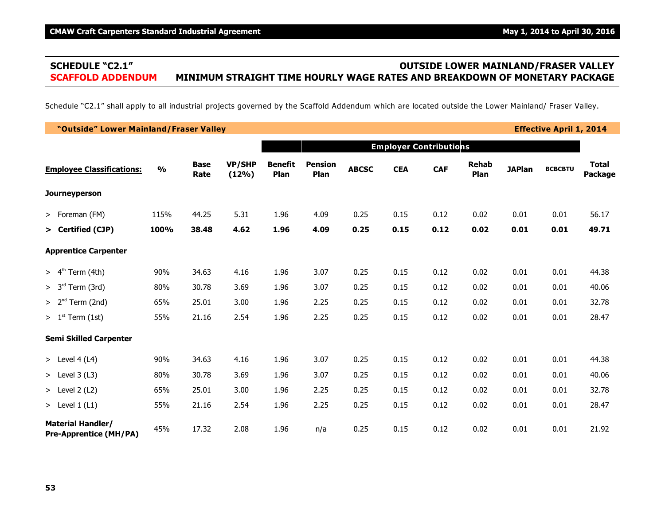# **SCHEDULE "C2.1" OUTSIDE LOWER MAINLAND/FRASER VALLEY SCAFFOLD ADDENDUM MINIMUM STRAIGHT TIME HOURLY WAGE RATES AND BREAKDOWN OF MONETARY PACKAGE**

Schedule "C2.1" shall apply to all industrial projects governed by the Scaffold Addendum which are located outside the Lower Mainland/ Fraser Valley.

| "Outside" Lower Mainland/Fraser Valley                    |               |                     |                        |                        |                        |              |            |                               |                      |               | <b>Effective April 1, 2014</b> |                         |
|-----------------------------------------------------------|---------------|---------------------|------------------------|------------------------|------------------------|--------------|------------|-------------------------------|----------------------|---------------|--------------------------------|-------------------------|
|                                                           |               |                     |                        |                        |                        |              |            | <b>Employer Contributions</b> |                      |               |                                |                         |
| <b>Employee Classifications:</b>                          | $\frac{0}{0}$ | <b>Base</b><br>Rate | <b>VP/SHP</b><br>(12%) | <b>Benefit</b><br>Plan | <b>Pension</b><br>Plan | <b>ABCSC</b> | <b>CEA</b> | <b>CAF</b>                    | <b>Rehab</b><br>Plan | <b>JAPlan</b> | <b>BCBCBTU</b>                 | <b>Total</b><br>Package |
| <b>Journeyperson</b>                                      |               |                     |                        |                        |                        |              |            |                               |                      |               |                                |                         |
| > Foreman (FM)                                            | 115%          | 44.25               | 5.31                   | 1.96                   | 4.09                   | 0.25         | 0.15       | 0.12                          | 0.02                 | 0.01          | 0.01                           | 56.17                   |
| > Certified (CJP)                                         | 100%          | 38.48               | 4.62                   | 1.96                   | 4.09                   | 0.25         | 0.15       | 0.12                          | 0.02                 | 0.01          | 0.01                           | 49.71                   |
| <b>Apprentice Carpenter</b>                               |               |                     |                        |                        |                        |              |            |                               |                      |               |                                |                         |
| $> 4th$ Term (4th)                                        | 90%           | 34.63               | 4.16                   | 1.96                   | 3.07                   | 0.25         | 0.15       | 0.12                          | 0.02                 | 0.01          | 0.01                           | 44.38                   |
| > 3 <sup>rd</sup><br>Term (3rd)                           | 80%           | 30.78               | 3.69                   | 1.96                   | 3.07                   | 0.25         | 0.15       | 0.12                          | 0.02                 | 0.01          | 0.01                           | 40.06                   |
| $> 2nd$ Term (2nd)                                        | 65%           | 25.01               | 3.00                   | 1.96                   | 2.25                   | 0.25         | 0.15       | 0.12                          | 0.02                 | 0.01          | 0.01                           | 32.78                   |
| $> 1st$ Term (1st)                                        | 55%           | 21.16               | 2.54                   | 1.96                   | 2.25                   | 0.25         | 0.15       | 0.12                          | 0.02                 | 0.01          | 0.01                           | 28.47                   |
| <b>Semi Skilled Carpenter</b>                             |               |                     |                        |                        |                        |              |            |                               |                      |               |                                |                         |
| > Level $4(L4)$                                           | 90%           | 34.63               | 4.16                   | 1.96                   | 3.07                   | 0.25         | 0.15       | 0.12                          | 0.02                 | 0.01          | 0.01                           | 44.38                   |
| $>$ Level 3 (L3)                                          | 80%           | 30.78               | 3.69                   | 1.96                   | 3.07                   | 0.25         | 0.15       | 0.12                          | 0.02                 | 0.01          | 0.01                           | 40.06                   |
| > Level $2(L2)$                                           | 65%           | 25.01               | 3.00                   | 1.96                   | 2.25                   | 0.25         | 0.15       | 0.12                          | 0.02                 | 0.01          | 0.01                           | 32.78                   |
| > Level $1(L1)$                                           | 55%           | 21.16               | 2.54                   | 1.96                   | 2.25                   | 0.25         | 0.15       | 0.12                          | 0.02                 | 0.01          | 0.01                           | 28.47                   |
| <b>Material Handler/</b><br><b>Pre-Apprentice (MH/PA)</b> | 45%           | 17.32               | 2.08                   | 1.96                   | n/a                    | 0.25         | 0.15       | 0.12                          | 0.02                 | 0.01          | 0.01                           | 21.92                   |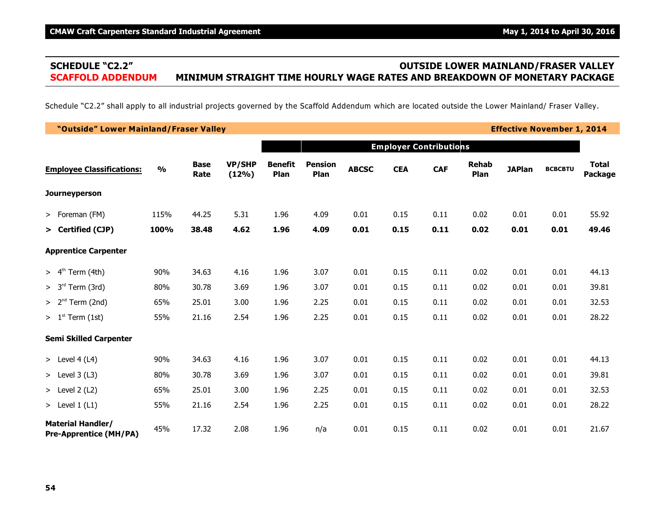# **SCHEDULE "C2.2" OUTSIDE LOWER MAINLAND/FRASER VALLEY SCAFFOLD ADDENDUM MINIMUM STRAIGHT TIME HOURLY WAGE RATES AND BREAKDOWN OF MONETARY PACKAGE**

Schedule "C2.2" shall apply to all industrial projects governed by the Scaffold Addendum which are located outside the Lower Mainland/ Fraser Valley.

| "Outside" Lower Mainland/Fraser Valley                    |               |                     |                        |                        |                        |              |            |                               |                      |               | <b>Effective November 1, 2014</b> |                         |
|-----------------------------------------------------------|---------------|---------------------|------------------------|------------------------|------------------------|--------------|------------|-------------------------------|----------------------|---------------|-----------------------------------|-------------------------|
|                                                           |               |                     |                        |                        |                        |              |            | <b>Employer Contributions</b> |                      |               |                                   |                         |
| <b>Employee Classifications:</b>                          | $\frac{0}{0}$ | <b>Base</b><br>Rate | <b>VP/SHP</b><br>(12%) | <b>Benefit</b><br>Plan | <b>Pension</b><br>Plan | <b>ABCSC</b> | <b>CEA</b> | <b>CAF</b>                    | <b>Rehab</b><br>Plan | <b>JAPlan</b> | <b>BCBCBTU</b>                    | <b>Total</b><br>Package |
| <b>Journeyperson</b>                                      |               |                     |                        |                        |                        |              |            |                               |                      |               |                                   |                         |
| > Foreman (FM)                                            | 115%          | 44.25               | 5.31                   | 1.96                   | 4.09                   | 0.01         | 0.15       | 0.11                          | 0.02                 | 0.01          | 0.01                              | 55.92                   |
| > Certified (CJP)                                         | 100%          | 38.48               | 4.62                   | 1.96                   | 4.09                   | 0.01         | 0.15       | 0.11                          | 0.02                 | 0.01          | 0.01                              | 49.46                   |
| <b>Apprentice Carpenter</b>                               |               |                     |                        |                        |                        |              |            |                               |                      |               |                                   |                         |
| $> 4th$ Term (4th)                                        | 90%           | 34.63               | 4.16                   | 1.96                   | 3.07                   | 0.01         | 0.15       | 0.11                          | 0.02                 | 0.01          | 0.01                              | 44.13                   |
| $> 3rd$ Term (3rd)                                        | 80%           | 30.78               | 3.69                   | 1.96                   | 3.07                   | 0.01         | 0.15       | 0.11                          | 0.02                 | 0.01          | 0.01                              | 39.81                   |
| $> 2nd$ Term (2nd)                                        | 65%           | 25.01               | 3.00                   | 1.96                   | 2.25                   | 0.01         | 0.15       | 0.11                          | 0.02                 | 0.01          | 0.01                              | 32.53                   |
| $> 1st$ Term (1st)                                        | 55%           | 21.16               | 2.54                   | 1.96                   | 2.25                   | 0.01         | 0.15       | 0.11                          | 0.02                 | 0.01          | 0.01                              | 28.22                   |
| <b>Semi Skilled Carpenter</b>                             |               |                     |                        |                        |                        |              |            |                               |                      |               |                                   |                         |
| > Level 4 (L4)                                            | 90%           | 34.63               | 4.16                   | 1.96                   | 3.07                   | 0.01         | 0.15       | 0.11                          | 0.02                 | 0.01          | 0.01                              | 44.13                   |
| $>$ Level 3 (L3)                                          | 80%           | 30.78               | 3.69                   | 1.96                   | 3.07                   | 0.01         | 0.15       | 0.11                          | 0.02                 | 0.01          | 0.01                              | 39.81                   |
| > Level $2(L2)$                                           | 65%           | 25.01               | 3.00                   | 1.96                   | 2.25                   | 0.01         | 0.15       | 0.11                          | 0.02                 | 0.01          | 0.01                              | 32.53                   |
| > Level $1(L1)$                                           | 55%           | 21.16               | 2.54                   | 1.96                   | 2.25                   | 0.01         | 0.15       | 0.11                          | 0.02                 | 0.01          | 0.01                              | 28.22                   |
| <b>Material Handler/</b><br><b>Pre-Apprentice (MH/PA)</b> | 45%           | 17.32               | 2.08                   | 1.96                   | n/a                    | 0.01         | 0.15       | 0.11                          | 0.02                 | 0.01          | 0.01                              | 21.67                   |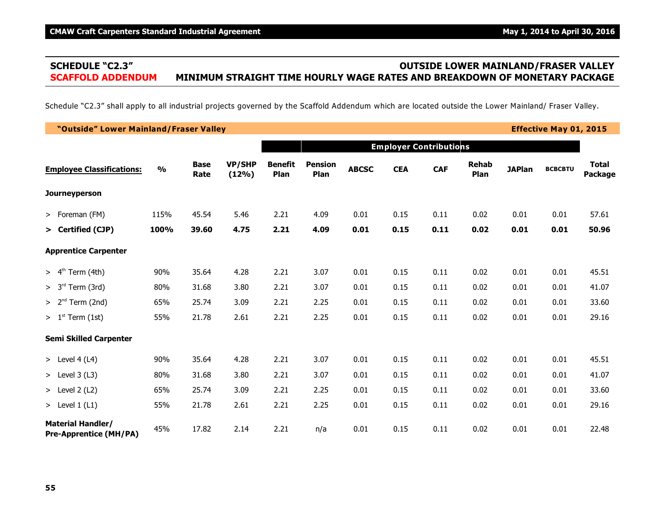# **SCHEDULE "C2.3" OUTSIDE LOWER MAINLAND/FRASER VALLEY SCAFFOLD ADDENDUM MINIMUM STRAIGHT TIME HOURLY WAGE RATES AND BREAKDOWN OF MONETARY PACKAGE**

Schedule "C2.3" shall apply to all industrial projects governed by the Scaffold Addendum which are located outside the Lower Mainland/ Fraser Valley.

| "Outside" Lower Mainland/Fraser Valley                    |               |                     |                        |                        |                        |              |            |                               |                      |               | <b>Effective May 01, 2015</b> |                         |
|-----------------------------------------------------------|---------------|---------------------|------------------------|------------------------|------------------------|--------------|------------|-------------------------------|----------------------|---------------|-------------------------------|-------------------------|
|                                                           |               |                     |                        |                        |                        |              |            | <b>Employer Contributions</b> |                      |               |                               |                         |
| <b>Employee Classifications:</b>                          | $\frac{0}{0}$ | <b>Base</b><br>Rate | <b>VP/SHP</b><br>(12%) | <b>Benefit</b><br>Plan | <b>Pension</b><br>Plan | <b>ABCSC</b> | <b>CEA</b> | <b>CAF</b>                    | <b>Rehab</b><br>Plan | <b>JAPlan</b> | <b>BCBCBTU</b>                | <b>Total</b><br>Package |
| <b>Journeyperson</b>                                      |               |                     |                        |                        |                        |              |            |                               |                      |               |                               |                         |
| > Foreman (FM)                                            | 115%          | 45.54               | 5.46                   | 2.21                   | 4.09                   | 0.01         | 0.15       | 0.11                          | 0.02                 | 0.01          | 0.01                          | 57.61                   |
| > Certified (CJP)                                         | 100%          | 39.60               | 4.75                   | 2.21                   | 4.09                   | 0.01         | 0.15       | 0.11                          | 0.02                 | 0.01          | 0.01                          | 50.96                   |
| <b>Apprentice Carpenter</b>                               |               |                     |                        |                        |                        |              |            |                               |                      |               |                               |                         |
| $> 4th$ Term (4th)                                        | 90%           | 35.64               | 4.28                   | 2.21                   | 3.07                   | 0.01         | 0.15       | 0.11                          | 0.02                 | 0.01          | 0.01                          | 45.51                   |
| $> 3rd$ Term (3rd)                                        | 80%           | 31.68               | 3.80                   | 2.21                   | 3.07                   | 0.01         | 0.15       | 0.11                          | 0.02                 | 0.01          | 0.01                          | 41.07                   |
| $> 2nd$ Term (2nd)                                        | 65%           | 25.74               | 3.09                   | 2.21                   | 2.25                   | 0.01         | 0.15       | 0.11                          | 0.02                 | 0.01          | 0.01                          | 33.60                   |
| $> 1st$ Term (1st)                                        | 55%           | 21.78               | 2.61                   | 2.21                   | 2.25                   | 0.01         | 0.15       | 0.11                          | 0.02                 | 0.01          | 0.01                          | 29.16                   |
| <b>Semi Skilled Carpenter</b>                             |               |                     |                        |                        |                        |              |            |                               |                      |               |                               |                         |
| > Level $4(L4)$                                           | 90%           | 35.64               | 4.28                   | 2.21                   | 3.07                   | 0.01         | 0.15       | 0.11                          | 0.02                 | 0.01          | 0.01                          | 45.51                   |
| > Level $3(L3)$                                           | 80%           | 31.68               | 3.80                   | 2.21                   | 3.07                   | 0.01         | 0.15       | 0.11                          | 0.02                 | 0.01          | 0.01                          | 41.07                   |
| > Level $2(L2)$                                           | 65%           | 25.74               | 3.09                   | 2.21                   | 2.25                   | 0.01         | 0.15       | 0.11                          | 0.02                 | 0.01          | 0.01                          | 33.60                   |
| > Level $1(L1)$                                           | 55%           | 21.78               | 2.61                   | 2.21                   | 2.25                   | 0.01         | 0.15       | 0.11                          | 0.02                 | 0.01          | 0.01                          | 29.16                   |
| <b>Material Handler/</b><br><b>Pre-Apprentice (MH/PA)</b> | 45%           | 17.82               | 2.14                   | 2.21                   | n/a                    | 0.01         | 0.15       | 0.11                          | 0.02                 | 0.01          | 0.01                          | 22.48                   |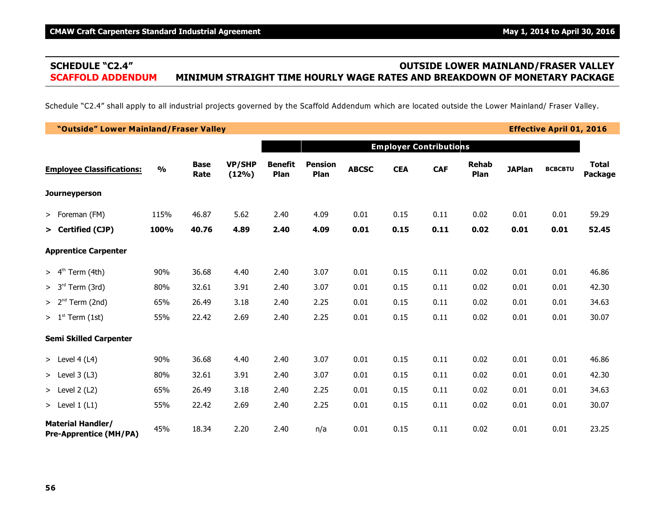# **SCHEDULE "C2.4" OUTSIDE LOWER MAINLAND/FRASER VALLEY SCAFFOLD ADDENDUM MINIMUM STRAIGHT TIME HOURLY WAGE RATES AND BREAKDOWN OF MONETARY PACKAGE**

Schedule "C2.4" shall apply to all industrial projects governed by the Scaffold Addendum which are located outside the Lower Mainland/ Fraser Valley.

| "Outside" Lower Mainland/Fraser Valley                    |               |                     |                        |                        |                        |              |            |                               |                      |               | <b>Effective April 01, 2016</b> |                                |
|-----------------------------------------------------------|---------------|---------------------|------------------------|------------------------|------------------------|--------------|------------|-------------------------------|----------------------|---------------|---------------------------------|--------------------------------|
|                                                           |               |                     |                        |                        |                        |              |            | <b>Employer Contributions</b> |                      |               |                                 |                                |
| <b>Employee Classifications:</b>                          | $\frac{1}{2}$ | <b>Base</b><br>Rate | <b>VP/SHP</b><br>(12%) | <b>Benefit</b><br>Plan | <b>Pension</b><br>Plan | <b>ABCSC</b> | <b>CEA</b> | <b>CAF</b>                    | <b>Rehab</b><br>Plan | <b>JAPlan</b> | <b>BCBCBTU</b>                  | <b>Total</b><br><b>Package</b> |
| <b>Journeyperson</b>                                      |               |                     |                        |                        |                        |              |            |                               |                      |               |                                 |                                |
| > Foreman (FM)                                            | 115%          | 46.87               | 5.62                   | 2.40                   | 4.09                   | 0.01         | 0.15       | 0.11                          | 0.02                 | 0.01          | 0.01                            | 59.29                          |
| > Certified (CJP)                                         | 100%          | 40.76               | 4.89                   | 2.40                   | 4.09                   | 0.01         | 0.15       | 0.11                          | 0.02                 | 0.01          | 0.01                            | 52.45                          |
| <b>Apprentice Carpenter</b>                               |               |                     |                        |                        |                        |              |            |                               |                      |               |                                 |                                |
| $> 4th$ Term (4th)                                        | 90%           | 36.68               | 4.40                   | 2.40                   | 3.07                   | 0.01         | 0.15       | 0.11                          | 0.02                 | 0.01          | 0.01                            | 46.86                          |
| $> 3rd$ Term (3rd)                                        | 80%           | 32.61               | 3.91                   | 2.40                   | 3.07                   | 0.01         | 0.15       | 0.11                          | 0.02                 | 0.01          | 0.01                            | 42.30                          |
| $> 2nd$ Term (2nd)                                        | 65%           | 26.49               | 3.18                   | 2.40                   | 2.25                   | 0.01         | 0.15       | 0.11                          | 0.02                 | 0.01          | 0.01                            | 34.63                          |
| $> 1st$ Term (1st)                                        | 55%           | 22.42               | 2.69                   | 2.40                   | 2.25                   | 0.01         | 0.15       | 0.11                          | 0.02                 | 0.01          | 0.01                            | 30.07                          |
| <b>Semi Skilled Carpenter</b>                             |               |                     |                        |                        |                        |              |            |                               |                      |               |                                 |                                |
| > Level $4(L4)$                                           | 90%           | 36.68               | 4.40                   | 2.40                   | 3.07                   | 0.01         | 0.15       | 0.11                          | 0.02                 | 0.01          | 0.01                            | 46.86                          |
| > Level $3(L3)$                                           | 80%           | 32.61               | 3.91                   | 2.40                   | 3.07                   | 0.01         | 0.15       | 0.11                          | 0.02                 | 0.01          | 0.01                            | 42.30                          |
| > Level $2(L2)$                                           | 65%           | 26.49               | 3.18                   | 2.40                   | 2.25                   | 0.01         | 0.15       | 0.11                          | 0.02                 | 0.01          | 0.01                            | 34.63                          |
| > Level $1(L1)$                                           | 55%           | 22.42               | 2.69                   | 2.40                   | 2.25                   | 0.01         | 0.15       | 0.11                          | 0.02                 | 0.01          | 0.01                            | 30.07                          |
| <b>Material Handler/</b><br><b>Pre-Apprentice (MH/PA)</b> | 45%           | 18.34               | 2.20                   | 2.40                   | n/a                    | 0.01         | 0.15       | 0.11                          | 0.02                 | 0.01          | 0.01                            | 23.25                          |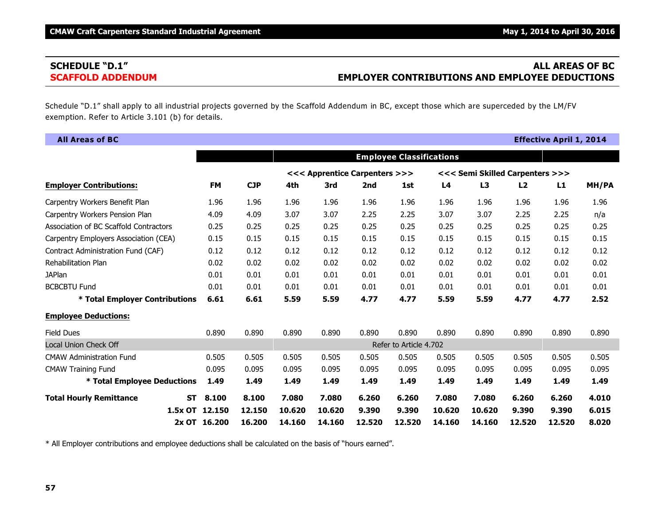# **SCHEDULE "D.1" ALL AREAS OF BC SCAFFOLD ADDENDUM EMPLOYER CONTRIBUTIONS AND EMPLOYEE DEDUCTIONS**

Schedule "D.1" shall apply to all industrial projects governed by the Scaffold Addendum in BC, except those which are superceded by the LM/FV exemption. Refer to Article 3.101 (b) for details.

| <b>All Areas of BC</b>                      |              |            |        |                               |        |                                 |        |        |                                 | <b>Effective April 1, 2014</b> |       |
|---------------------------------------------|--------------|------------|--------|-------------------------------|--------|---------------------------------|--------|--------|---------------------------------|--------------------------------|-------|
|                                             |              |            |        |                               |        | <b>Employee Classifications</b> |        |        |                                 |                                |       |
|                                             |              |            |        | <<< Apprentice Carpenters >>> |        |                                 |        |        | <<< Semi Skilled Carpenters >>> |                                |       |
| <b>Employer Contributions:</b>              | <b>FM</b>    | <b>CJP</b> | 4th    | 3rd                           | 2nd    | 1st                             | L4     | L3     | L2                              | L1                             | MH/PA |
| Carpentry Workers Benefit Plan              | 1.96         | 1.96       | 1.96   | 1.96                          | 1.96   | 1.96                            | 1.96   | 1.96   | 1.96                            | 1.96                           | 1.96  |
| Carpentry Workers Pension Plan              | 4.09         | 4.09       | 3.07   | 3.07                          | 2.25   | 2.25                            | 3.07   | 3.07   | 2.25                            | 2.25                           | n/a   |
| Association of BC Scaffold Contractors      | 0.25         | 0.25       | 0.25   | 0.25                          | 0.25   | 0.25                            | 0.25   | 0.25   | 0.25                            | 0.25                           | 0.25  |
| Carpentry Employers Association (CEA)       | 0.15         | 0.15       | 0.15   | 0.15                          | 0.15   | 0.15                            | 0.15   | 0.15   | 0.15                            | 0.15                           | 0.15  |
| Contract Administration Fund (CAF)          | 0.12         | 0.12       | 0.12   | 0.12                          | 0.12   | 0.12                            | 0.12   | 0.12   | 0.12                            | 0.12                           | 0.12  |
| Rehabilitation Plan                         | 0.02         | 0.02       | 0.02   | 0.02                          | 0.02   | 0.02                            | 0.02   | 0.02   | 0.02                            | 0.02                           | 0.02  |
| <b>JAPlan</b>                               | 0.01         | 0.01       | 0.01   | 0.01                          | 0.01   | 0.01                            | 0.01   | 0.01   | 0.01                            | 0.01                           | 0.01  |
| <b>BCBCBTU Fund</b>                         | 0.01         | 0.01       | 0.01   | 0.01                          | 0.01   | 0.01                            | 0.01   | 0.01   | 0.01                            | 0.01                           | 0.01  |
| * Total Employer Contributions              | 6.61         | 6.61       | 5.59   | 5.59                          | 4.77   | 4.77                            | 5.59   | 5.59   | 4.77                            | 4.77                           | 2.52  |
| <b>Employee Deductions:</b>                 |              |            |        |                               |        |                                 |        |        |                                 |                                |       |
| <b>Field Dues</b>                           | 0.890        | 0.890      | 0.890  | 0.890                         | 0.890  | 0.890                           | 0.890  | 0.890  | 0.890                           | 0.890                          | 0.890 |
| Local Union Check Off                       |              |            |        |                               |        | Refer to Article 4.702          |        |        |                                 |                                |       |
| <b>CMAW Administration Fund</b>             | 0.505        | 0.505      | 0.505  | 0.505                         | 0.505  | 0.505                           | 0.505  | 0.505  | 0.505                           | 0.505                          | 0.505 |
| <b>CMAW Training Fund</b>                   | 0.095        | 0.095      | 0.095  | 0.095                         | 0.095  | 0.095                           | 0.095  | 0.095  | 0.095                           | 0.095                          | 0.095 |
| * Total Employee Deductions                 | 1.49         | 1.49       | 1.49   | 1.49                          | 1.49   | 1.49                            | 1.49   | 1.49   | 1.49                            | 1.49                           | 1.49  |
| <b>Total Hourly Remittance</b><br><b>ST</b> | 8.100        | 8.100      | 7.080  | 7.080                         | 6.260  | 6.260                           | 7.080  | 7.080  | 6.260                           | 6.260                          | 4.010 |
| 1.5x OT                                     | 12.150       | 12.150     | 10.620 | 10.620                        | 9.390  | 9.390                           | 10.620 | 10.620 | 9.390                           | 9.390                          | 6.015 |
|                                             | 2x OT 16,200 | 16.200     | 14.160 | 14.160                        | 12.520 | 12.520                          | 14.160 | 14.160 | 12.520                          | 12.520                         | 8.020 |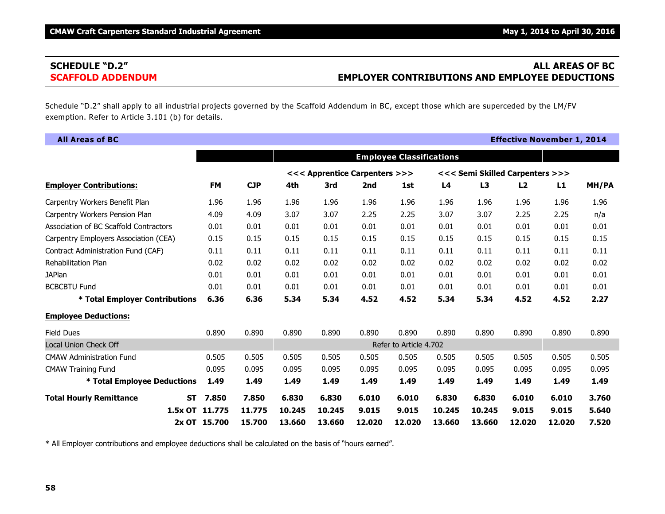# **SCHEDULE "D.2" ALL AREAS OF BC SCAFFOLD ADDENDUM EMPLOYER CONTRIBUTIONS AND EMPLOYEE DEDUCTIONS**

Schedule "D.2" shall apply to all industrial projects governed by the Scaffold Addendum in BC, except those which are superceded by the LM/FV exemption. Refer to Article 3.101 (b) for details.

| <b>All Areas of BC</b>                      |              |            |        |                               |        |                                 |        |        | <b>Effective November 1, 2014</b> |        |       |
|---------------------------------------------|--------------|------------|--------|-------------------------------|--------|---------------------------------|--------|--------|-----------------------------------|--------|-------|
|                                             |              |            |        |                               |        | <b>Employee Classifications</b> |        |        |                                   |        |       |
|                                             |              |            |        | <<< Apprentice Carpenters >>> |        |                                 |        |        | <<< Semi Skilled Carpenters >>>   |        |       |
| <b>Employer Contributions:</b>              | <b>FM</b>    | <b>CJP</b> | 4th    | 3rd                           | 2nd    | 1st                             | L4     | L3     | L2                                | L1     | MH/PA |
| Carpentry Workers Benefit Plan              | 1.96         | 1.96       | 1.96   | 1.96                          | 1.96   | 1.96                            | 1.96   | 1.96   | 1.96                              | 1.96   | 1.96  |
| Carpentry Workers Pension Plan              | 4.09         | 4.09       | 3.07   | 3.07                          | 2.25   | 2.25                            | 3.07   | 3.07   | 2.25                              | 2.25   | n/a   |
| Association of BC Scaffold Contractors      | 0.01         | 0.01       | 0.01   | 0.01                          | 0.01   | 0.01                            | 0.01   | 0.01   | 0.01                              | 0.01   | 0.01  |
| Carpentry Employers Association (CEA)       | 0.15         | 0.15       | 0.15   | 0.15                          | 0.15   | 0.15                            | 0.15   | 0.15   | 0.15                              | 0.15   | 0.15  |
| Contract Administration Fund (CAF)          | 0.11         | 0.11       | 0.11   | 0.11                          | 0.11   | 0.11                            | 0.11   | 0.11   | 0.11                              | 0.11   | 0.11  |
| Rehabilitation Plan                         | 0.02         | 0.02       | 0.02   | 0.02                          | 0.02   | 0.02                            | 0.02   | 0.02   | 0.02                              | 0.02   | 0.02  |
| <b>JAPlan</b>                               | 0.01         | 0.01       | 0.01   | 0.01                          | 0.01   | 0.01                            | 0.01   | 0.01   | 0.01                              | 0.01   | 0.01  |
| <b>BCBCBTU Fund</b>                         | 0.01         | 0.01       | 0.01   | 0.01                          | 0.01   | 0.01                            | 0.01   | 0.01   | 0.01                              | 0.01   | 0.01  |
| * Total Employer Contributions              | 6.36         | 6.36       | 5.34   | 5.34                          | 4.52   | 4.52                            | 5.34   | 5.34   | 4.52                              | 4.52   | 2.27  |
| <b>Employee Deductions:</b>                 |              |            |        |                               |        |                                 |        |        |                                   |        |       |
| <b>Field Dues</b>                           | 0.890        | 0.890      | 0.890  | 0.890                         | 0.890  | 0.890                           | 0.890  | 0.890  | 0.890                             | 0.890  | 0.890 |
| Local Union Check Off                       |              |            |        |                               |        | Refer to Article 4.702          |        |        |                                   |        |       |
| <b>CMAW Administration Fund</b>             | 0.505        | 0.505      | 0.505  | 0.505                         | 0.505  | 0.505                           | 0.505  | 0.505  | 0.505                             | 0.505  | 0.505 |
| <b>CMAW Training Fund</b>                   | 0.095        | 0.095      | 0.095  | 0.095                         | 0.095  | 0.095                           | 0.095  | 0.095  | 0.095                             | 0.095  | 0.095 |
| * Total Employee Deductions                 | 1.49         | 1.49       | 1.49   | 1.49                          | 1.49   | 1.49                            | 1.49   | 1.49   | 1.49                              | 1.49   | 1.49  |
| <b>Total Hourly Remittance</b><br><b>ST</b> | 7.850        | 7.850      | 6.830  | 6.830                         | 6.010  | 6.010                           | 6.830  | 6.830  | 6.010                             | 6.010  | 3.760 |
| 1.5x OT                                     | 11.775       | 11.775     | 10.245 | 10.245                        | 9.015  | 9.015                           | 10.245 | 10.245 | 9.015                             | 9.015  | 5.640 |
|                                             | 2x OT 15.700 | 15.700     | 13.660 | 13.660                        | 12,020 | 12.020                          | 13.660 | 13.660 | 12.020                            | 12.020 | 7.520 |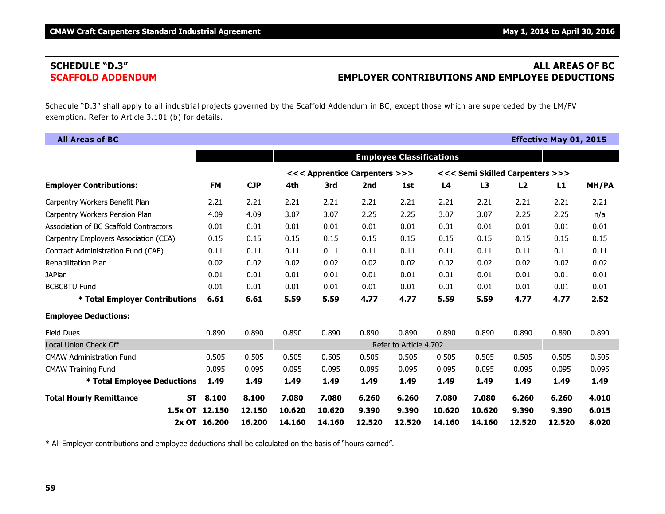# **SCHEDULE "D.3" ALL AREAS OF BC SCAFFOLD ADDENDUM EMPLOYER CONTRIBUTIONS AND EMPLOYEE DEDUCTIONS**

Schedule "D.3" shall apply to all industrial projects governed by the Scaffold Addendum in BC, except those which are superceded by the LM/FV exemption. Refer to Article 3.101 (b) for details.

| <b>All Areas of BC</b>                      |              |            |        |                               |        |                                 |                |        |                                 | <b>Effective May 01, 2015</b> |       |
|---------------------------------------------|--------------|------------|--------|-------------------------------|--------|---------------------------------|----------------|--------|---------------------------------|-------------------------------|-------|
|                                             |              |            |        |                               |        | <b>Employee Classifications</b> |                |        |                                 |                               |       |
|                                             |              |            |        | <<< Apprentice Carpenters >>> |        |                                 |                |        | <<< Semi Skilled Carpenters >>> |                               |       |
| <b>Employer Contributions:</b>              | <b>FM</b>    | <b>CJP</b> | 4th    | 3rd                           | 2nd    | 1st                             | L <sub>4</sub> | L3     | L2                              | L1                            | MH/PA |
| Carpentry Workers Benefit Plan              | 2.21         | 2.21       | 2.21   | 2.21                          | 2.21   | 2.21                            | 2.21           | 2.21   | 2.21                            | 2.21                          | 2.21  |
| Carpentry Workers Pension Plan              | 4.09         | 4.09       | 3.07   | 3.07                          | 2.25   | 2.25                            | 3.07           | 3.07   | 2.25                            | 2.25                          | n/a   |
| Association of BC Scaffold Contractors      | 0.01         | 0.01       | 0.01   | 0.01                          | 0.01   | 0.01                            | 0.01           | 0.01   | 0.01                            | 0.01                          | 0.01  |
| Carpentry Employers Association (CEA)       | 0.15         | 0.15       | 0.15   | 0.15                          | 0.15   | 0.15                            | 0.15           | 0.15   | 0.15                            | 0.15                          | 0.15  |
| Contract Administration Fund (CAF)          | 0.11         | 0.11       | 0.11   | 0.11                          | 0.11   | 0.11                            | 0.11           | 0.11   | 0.11                            | 0.11                          | 0.11  |
| Rehabilitation Plan                         | 0.02         | 0.02       | 0.02   | 0.02                          | 0.02   | 0.02                            | 0.02           | 0.02   | 0.02                            | 0.02                          | 0.02  |
| <b>JAPlan</b>                               | 0.01         | 0.01       | 0.01   | 0.01                          | 0.01   | 0.01                            | 0.01           | 0.01   | 0.01                            | 0.01                          | 0.01  |
| <b>BCBCBTU Fund</b>                         | 0.01         | 0.01       | 0.01   | 0.01                          | 0.01   | 0.01                            | 0.01           | 0.01   | 0.01                            | 0.01                          | 0.01  |
| * Total Employer Contributions              | 6.61         | 6.61       | 5.59   | 5.59                          | 4.77   | 4.77                            | 5.59           | 5.59   | 4.77                            | 4.77                          | 2.52  |
| <b>Employee Deductions:</b>                 |              |            |        |                               |        |                                 |                |        |                                 |                               |       |
| <b>Field Dues</b>                           | 0.890        | 0.890      | 0.890  | 0.890                         | 0.890  | 0.890                           | 0.890          | 0.890  | 0.890                           | 0.890                         | 0.890 |
| Local Union Check Off                       |              |            |        |                               |        | Refer to Article 4.702          |                |        |                                 |                               |       |
| <b>CMAW Administration Fund</b>             | 0.505        | 0.505      | 0.505  | 0.505                         | 0.505  | 0.505                           | 0.505          | 0.505  | 0.505                           | 0.505                         | 0.505 |
| <b>CMAW Training Fund</b>                   | 0.095        | 0.095      | 0.095  | 0.095                         | 0.095  | 0.095                           | 0.095          | 0.095  | 0.095                           | 0.095                         | 0.095 |
| * Total Employee Deductions                 | 1.49         | 1.49       | 1.49   | 1.49                          | 1.49   | 1.49                            | 1.49           | 1.49   | 1.49                            | 1.49                          | 1.49  |
| <b>Total Hourly Remittance</b><br><b>ST</b> | 8.100        | 8.100      | 7.080  | 7.080                         | 6.260  | 6.260                           | 7.080          | 7.080  | 6.260                           | 6.260                         | 4.010 |
| 1.5x OT                                     | 12.150       | 12.150     | 10.620 | 10.620                        | 9.390  | 9.390                           | 10.620         | 10.620 | 9.390                           | 9.390                         | 6.015 |
|                                             | 2x OT 16,200 | 16.200     | 14.160 | 14.160                        | 12.520 | 12.520                          | 14.160         | 14.160 | 12.520                          | 12.520                        | 8.020 |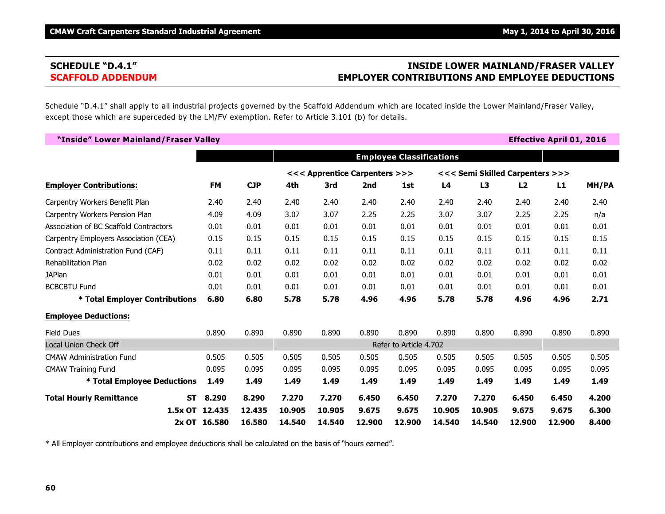# **SCHEDULE "D.4.1" INSIDE LOWER MAINLAND/FRASER VALLEY SCAFFOLD ADDENDUM EMPLOYER CONTRIBUTIONS AND EMPLOYEE DEDUCTIONS**

Schedule "D.4.1" shall apply to all industrial projects governed by the Scaffold Addendum which are located inside the Lower Mainland/Fraser Valley, except those which are superceded by the LM/FV exemption. Refer to Article 3.101 (b) for details.

| "Inside" Lower Mainland/Fraser Valley  |                |            |                                 |        |        |        |                                 |                |        | <b>Effective April 01, 2016</b> |       |
|----------------------------------------|----------------|------------|---------------------------------|--------|--------|--------|---------------------------------|----------------|--------|---------------------------------|-------|
|                                        |                |            | <b>Employee Classifications</b> |        |        |        |                                 |                |        |                                 |       |
|                                        |                |            | <<< Apprentice Carpenters >>>   |        |        |        | <<< Semi Skilled Carpenters >>> |                |        |                                 |       |
| <b>Employer Contributions:</b>         | <b>FM</b>      | <b>CJP</b> | 4th                             | 3rd    | 2nd    | 1st    | L4                              | L <sub>3</sub> | L2     | L1                              | MH/PA |
| Carpentry Workers Benefit Plan         | 2.40           | 2.40       | 2.40                            | 2.40   | 2.40   | 2.40   | 2.40                            | 2.40           | 2.40   | 2.40                            | 2.40  |
| Carpentry Workers Pension Plan         | 4.09           | 4.09       | 3.07                            | 3.07   | 2.25   | 2.25   | 3.07                            | 3.07           | 2.25   | 2.25                            | n/a   |
| Association of BC Scaffold Contractors | 0.01           | 0.01       | 0.01                            | 0.01   | 0.01   | 0.01   | 0.01                            | 0.01           | 0.01   | 0.01                            | 0.01  |
| Carpentry Employers Association (CEA)  | 0.15           | 0.15       | 0.15                            | 0.15   | 0.15   | 0.15   | 0.15                            | 0.15           | 0.15   | 0.15                            | 0.15  |
| Contract Administration Fund (CAF)     | 0.11           | 0.11       | 0.11                            | 0.11   | 0.11   | 0.11   | 0.11                            | 0.11           | 0.11   | 0.11                            | 0.11  |
| Rehabilitation Plan                    | 0.02           | 0.02       | 0.02                            | 0.02   | 0.02   | 0.02   | 0.02                            | 0.02           | 0.02   | 0.02                            | 0.02  |
| <b>JAPlan</b>                          | 0.01           | 0.01       | 0.01                            | 0.01   | 0.01   | 0.01   | 0.01                            | 0.01           | 0.01   | 0.01                            | 0.01  |
| <b>BCBCBTU Fund</b>                    | 0.01           | 0.01       | 0.01                            | 0.01   | 0.01   | 0.01   | 0.01                            | 0.01           | 0.01   | 0.01                            | 0.01  |
| * Total Employer Contributions         | 6.80           | 6.80       | 5.78                            | 5.78   | 4.96   | 4.96   | 5.78                            | 5.78           | 4.96   | 4.96                            | 2.71  |
| <b>Employee Deductions:</b>            |                |            |                                 |        |        |        |                                 |                |        |                                 |       |
| <b>Field Dues</b>                      | 0.890          | 0.890      | 0.890                           | 0.890  | 0.890  | 0.890  | 0.890                           | 0.890          | 0.890  | 0.890                           | 0.890 |
| Local Union Check Off                  |                |            | Refer to Article 4.702          |        |        |        |                                 |                |        |                                 |       |
| <b>CMAW Administration Fund</b>        | 0.505          | 0.505      | 0.505                           | 0.505  | 0.505  | 0.505  | 0.505                           | 0.505          | 0.505  | 0.505                           | 0.505 |
| <b>CMAW Training Fund</b>              | 0.095          | 0.095      | 0.095                           | 0.095  | 0.095  | 0.095  | 0.095                           | 0.095          | 0.095  | 0.095                           | 0.095 |
| * Total Employee Deductions            | 1.49           | 1.49       | 1.49                            | 1.49   | 1.49   | 1.49   | 1.49                            | 1.49           | 1.49   | 1.49                            | 1.49  |
| <b>Total Hourly Remittance</b><br>ST.  | 8.290          | 8.290      | 7.270                           | 7.270  | 6.450  | 6.450  | 7.270                           | 7.270          | 6.450  | 6.450                           | 4.200 |
|                                        | 1.5x OT 12.435 | 12.435     | 10.905                          | 10.905 | 9.675  | 9.675  | 10.905                          | 10.905         | 9.675  | 9.675                           | 6.300 |
|                                        | 2x OT 16.580   | 16.580     | 14.540                          | 14.540 | 12.900 | 12.900 | 14.540                          | 14.540         | 12.900 | 12.900                          | 8.400 |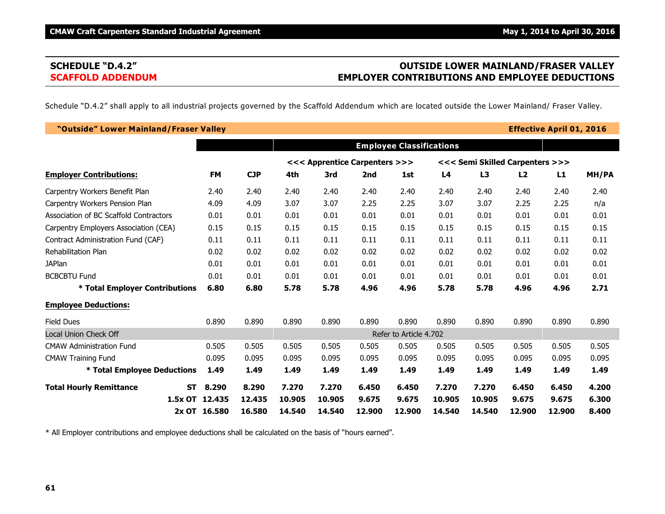# **SCHEDULE "D.4.2" OUTSIDE LOWER MAINLAND/FRASER VALLEY SCAFFOLD ADDENDUM EMPLOYER CONTRIBUTIONS AND EMPLOYEE DEDUCTIONS**

Schedule "D.4.2" shall apply to all industrial projects governed by the Scaffold Addendum which are located outside the Lower Mainland/ Fraser Valley.

| "Outside" Lower Mainland/Fraser Valley      |                                 |            |                               |        |        |        |                                 |        |        | <b>Effective April 01, 2016</b> |       |
|---------------------------------------------|---------------------------------|------------|-------------------------------|--------|--------|--------|---------------------------------|--------|--------|---------------------------------|-------|
|                                             | <b>Employee Classifications</b> |            |                               |        |        |        |                                 |        |        |                                 |       |
|                                             |                                 |            | <<< Apprentice Carpenters >>> |        |        |        | <<< Semi Skilled Carpenters >>> |        |        |                                 |       |
| <b>Employer Contributions:</b>              | <b>FM</b>                       | <b>CJP</b> | 4th                           | 3rd    | 2nd    | 1st    | L <sub>4</sub>                  | L3     | L2     | L1                              | MH/PA |
| Carpentry Workers Benefit Plan              | 2.40                            | 2.40       | 2.40                          | 2.40   | 2.40   | 2.40   | 2.40                            | 2.40   | 2.40   | 2.40                            | 2.40  |
| Carpentry Workers Pension Plan              | 4.09                            | 4.09       | 3.07                          | 3.07   | 2.25   | 2.25   | 3.07                            | 3.07   | 2.25   | 2.25                            | n/a   |
| Association of BC Scaffold Contractors      | 0.01                            | 0.01       | 0.01                          | 0.01   | 0.01   | 0.01   | 0.01                            | 0.01   | 0.01   | 0.01                            | 0.01  |
| Carpentry Employers Association (CEA)       | 0.15                            | 0.15       | 0.15                          | 0.15   | 0.15   | 0.15   | 0.15                            | 0.15   | 0.15   | 0.15                            | 0.15  |
| Contract Administration Fund (CAF)          | 0.11                            | 0.11       | 0.11                          | 0.11   | 0.11   | 0.11   | 0.11                            | 0.11   | 0.11   | 0.11                            | 0.11  |
| <b>Rehabilitation Plan</b>                  | 0.02                            | 0.02       | 0.02                          | 0.02   | 0.02   | 0.02   | 0.02                            | 0.02   | 0.02   | 0.02                            | 0.02  |
| <b>JAPlan</b>                               | 0.01                            | 0.01       | 0.01                          | 0.01   | 0.01   | 0.01   | 0.01                            | 0.01   | 0.01   | 0.01                            | 0.01  |
| <b>BCBCBTU Fund</b>                         | 0.01                            | 0.01       | 0.01                          | 0.01   | 0.01   | 0.01   | 0.01                            | 0.01   | 0.01   | 0.01                            | 0.01  |
| * Total Employer Contributions              | 6.80                            | 6.80       | 5.78                          | 5.78   | 4.96   | 4.96   | 5.78                            | 5.78   | 4.96   | 4.96                            | 2.71  |
| <b>Employee Deductions:</b>                 |                                 |            |                               |        |        |        |                                 |        |        |                                 |       |
| <b>Field Dues</b>                           | 0.890                           | 0.890      | 0.890                         | 0.890  | 0.890  | 0.890  | 0.890                           | 0.890  | 0.890  | 0.890                           | 0.890 |
| <b>Local Union Check Off</b>                |                                 |            | Refer to Article 4.702        |        |        |        |                                 |        |        |                                 |       |
| <b>CMAW Administration Fund</b>             | 0.505                           | 0.505      | 0.505                         | 0.505  | 0.505  | 0.505  | 0.505                           | 0.505  | 0.505  | 0.505                           | 0.505 |
| <b>CMAW Training Fund</b>                   | 0.095                           | 0.095      | 0.095                         | 0.095  | 0.095  | 0.095  | 0.095                           | 0.095  | 0.095  | 0.095                           | 0.095 |
| * Total Employee Deductions                 | 1.49                            | 1.49       | 1.49                          | 1.49   | 1.49   | 1.49   | 1.49                            | 1.49   | 1.49   | 1.49                            | 1.49  |
| <b>Total Hourly Remittance</b><br><b>ST</b> | 8.290                           | 8.290      | 7.270                         | 7.270  | 6.450  | 6.450  | 7.270                           | 7.270  | 6.450  | 6.450                           | 4.200 |
| $1.5x$ OT                                   | 12.435                          | 12.435     | 10.905                        | 10.905 | 9.675  | 9.675  | 10.905                          | 10.905 | 9.675  | 9.675                           | 6.300 |
|                                             | 2x OT 16.580                    | 16.580     | 14.540                        | 14.540 | 12.900 | 12,900 | 14.540                          | 14.540 | 12,900 | 12.900                          | 8,400 |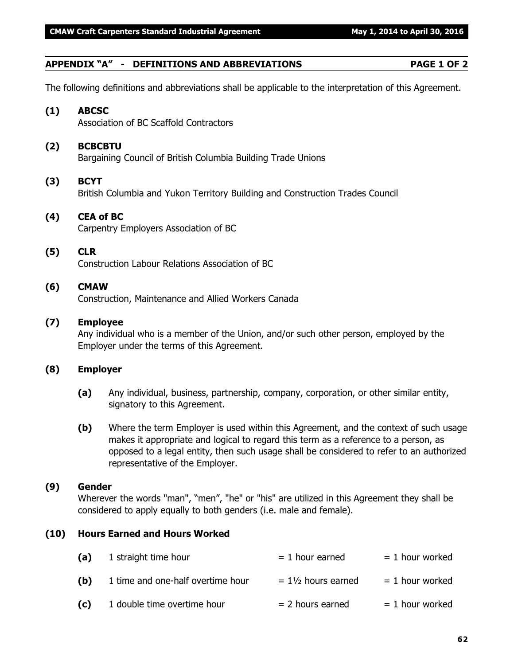# **APPENDIX "A" - DEFINITIONS AND ABBREVIATIONS PAGE 1 OF 2**

The following definitions and abbreviations shall be applicable to the interpretation of this Agreement.

# **(1) ABCSC**

Association of BC Scaffold Contractors

# **(2) BCBCBTU**

Bargaining Council of British Columbia Building Trade Unions

# **(3) BCYT**

British Columbia and Yukon Territory Building and Construction Trades Council

# **(4) CEA of BC**

Carpentry Employers Association of BC

### **(5) CLR**

Construction Labour Relations Association of BC

### **(6) CMAW**

Construction, Maintenance and Allied Workers Canada

### **(7) Employee**

Any individual who is a member of the Union, and/or such other person, employed by the Employer under the terms of this Agreement.

### **(8) Employer**

- **(a)** Any individual, business, partnership, company, corporation, or other similar entity, signatory to this Agreement.
- **(b)** Where the term Employer is used within this Agreement, and the context of such usage makes it appropriate and logical to regard this term as a reference to a person, as opposed to a legal entity, then such usage shall be considered to refer to an authorized representative of the Employer.

#### **(9) Gender**

Wherever the words "man", "men", "he" or "his" are utilized in this Agreement they shall be considered to apply equally to both genders (i.e. male and female).

### **(10) Hours Earned and Hours Worked**

| (a) | 1 straight time hour              | $= 1$ hour earned             | $= 1$ hour worked |
|-----|-----------------------------------|-------------------------------|-------------------|
| (b) | 1 time and one-half overtime hour | $= 1\frac{1}{2}$ hours earned | $= 1$ hour worked |
| (c) | 1 double time overtime hour       | $= 2$ hours earned            | $= 1$ hour worked |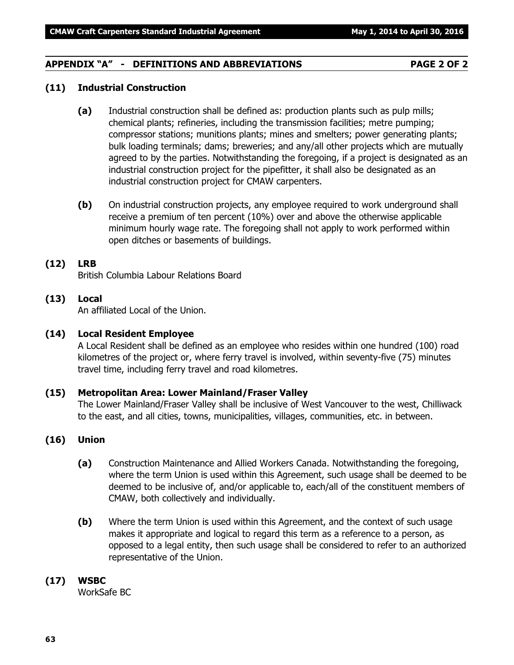### **APPENDIX "A" - DEFINITIONS AND ABBREVIATIONS PAGE 2 OF 2**

#### **(11) Industrial Construction**

- **(a)** Industrial construction shall be defined as: production plants such as pulp mills; chemical plants; refineries, including the transmission facilities; metre pumping; compressor stations; munitions plants; mines and smelters; power generating plants; bulk loading terminals; dams; breweries; and any/all other projects which are mutually agreed to by the parties. Notwithstanding the foregoing, if a project is designated as an industrial construction project for the pipefitter, it shall also be designated as an industrial construction project for CMAW carpenters.
- **(b)** On industrial construction projects, any employee required to work underground shall receive a premium of ten percent (10%) over and above the otherwise applicable minimum hourly wage rate. The foregoing shall not apply to work performed within open ditches or basements of buildings.

#### **(12) LRB**

British Columbia Labour Relations Board

# **(13) Local**

An affiliated Local of the Union.

#### **(14) Local Resident Employee**

A Local Resident shall be defined as an employee who resides within one hundred (100) road kilometres of the project or, where ferry travel is involved, within seventy-five (75) minutes travel time, including ferry travel and road kilometres.

#### **(15) Metropolitan Area: Lower Mainland/Fraser Valley**

The Lower Mainland/Fraser Valley shall be inclusive of West Vancouver to the west, Chilliwack to the east, and all cities, towns, municipalities, villages, communities, etc. in between.

### **(16) Union**

- **(a)** Construction Maintenance and Allied Workers Canada. Notwithstanding the foregoing, where the term Union is used within this Agreement, such usage shall be deemed to be deemed to be inclusive of, and/or applicable to, each/all of the constituent members of CMAW, both collectively and individually.
- **(b)** Where the term Union is used within this Agreement, and the context of such usage makes it appropriate and logical to regard this term as a reference to a person, as opposed to a legal entity, then such usage shall be considered to refer to an authorized representative of the Union.

#### **(17) WSBC**

WorkSafe BC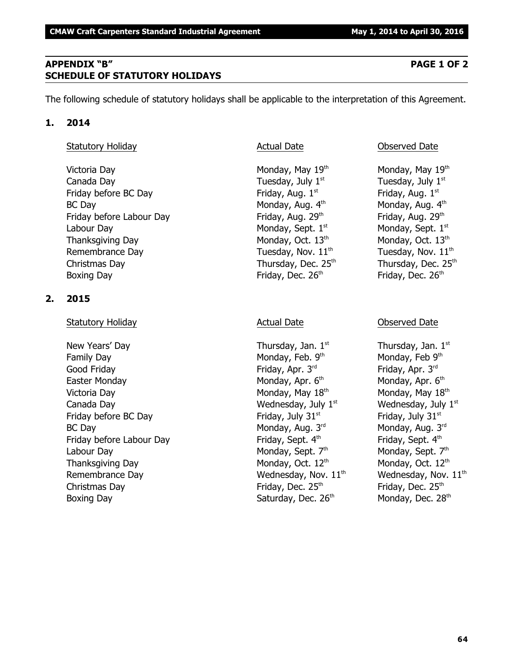# **APPENDIX "B" PAGE 1 OF 2 SCHEDULE OF STATUTORY HOLIDAYS**

The following schedule of statutory holidays shall be applicable to the interpretation of this Agreement.

# **1. 2014**

# Statutory Holiday **Actual Date Conserved Date** Observed Date

Victoria Day **Monday, May 19th Monday, May 19th** Monday, May 19th Canada Day  $\qquad \qquad$  Tuesday, July  $1^{st}$  Tuesday, July  $1^{st}$ Friday before BC Day **Friday, Aug. 1**<sup>st</sup> Friday, Aug. 1<sup>st</sup> Friday, Aug. 1<sup>st</sup> BC Day **Monday, Aug. 4th Monday, Aug. 4th** Monday, Aug. 4th Friday before Labour Day Friday, Aug. 29th Friday, Aug. 29th Labour Day Monday, Sept.  $1<sup>st</sup>$  Monday, Sept.  $1<sup>st</sup>$  Monday, Sept.  $1<sup>st</sup>$ Thanksgiving Day Monday, Oct. 13<sup>th</sup> Monday, Oct. 13<sup>th</sup> Monday, Oct. 13<sup>th</sup> Remembrance Day  $\qquad \qquad$  Tuesday, Nov.  $11<sup>th</sup>$  Tuesday, Nov.  $11<sup>th</sup>$ Christmas Day  $\mu$  Thursday, Dec. 25<sup>th</sup> Thursday, Dec. 25<sup>th</sup> Boxing Day **Friday**, Dec. 26<sup>th</sup>

# **2. 2015**

# Statutory Holiday **Actual Date Actual Date Consumersi** Observed Date

New Years' Day  $\qquad \qquad$  Thursday, Jan.  $1^{st}$  Thursday, Jan.  $1^{st}$ Family Day Monday, Feb. 9th Good Friday **Friday, Apr. 3**<sup>rd</sup> Friday, Apr. 3<sup>rd</sup> Friday, Apr. 3<sup>rd</sup> Easter Monday **Monday, Apr. 6<sup>th</sup> Monday, Apr. 6<sup>th</sup> Monday, Apr. 6<sup>th</sup>** Victoria Day **Monday, May 18<sup>th</sup> Monday, May 18<sup>th</sup> Monday, May 18<sup>th</sup> Monday, May 18<sup>th</sup>** Canada Day Wednesday, July 1 Wednesday, July 1 st st Friday before BC Day Friday, July 31<sup>st</sup> Friday, July 31<sup>st</sup> Friday, July 31<sup>st</sup> BC Day Monday, Aug. 3<sup>rd</sup> Friday before Labour Day Friday, Sept. 4th Labour Day Monday, Sept.  $7<sup>th</sup>$  Monday, Sept.  $7<sup>th</sup>$  Monday, Sept.  $7<sup>th</sup>$ Thanksgiving Day Monday, Oct.  $12<sup>th</sup>$  Monday, Oct.  $12<sup>th</sup>$  Monday, Oct.  $12<sup>th</sup>$ Remembrance Day  $\qquad \qquad \qquad \qquad \qquad \qquad \qquad \qquad \qquad \qquad \text{Wednesday, Nov. 11}^{\text{th}} \qquad \qquad \qquad \qquad \text{Wednesday, Nov. 11}^{\text{th}}$ Christmas Day **Friday**, Dec.  $25<sup>th</sup>$ Boxing Day Gaturday, Dec. 26<sup>th</sup> Monday, Dec. 28<sup>th</sup>

Friday, Dec. 26th

Monday, Feb 9th Monday, Aug. 3rd Friday, Sept. 4th Friday, Dec. 25<sup>th</sup>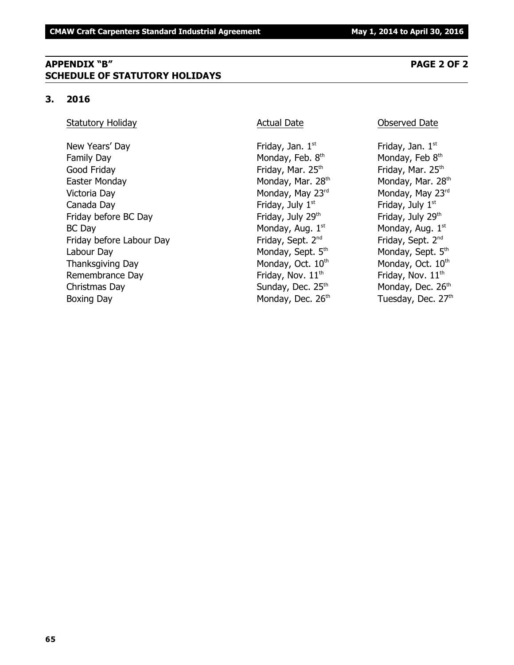# **APPENDIX "B" PAGE 2 OF 2 SCHEDULE OF STATUTORY HOLIDAYS**

### **3. 2016**

### Statutory Holiday **Actual Date Conserved Date** Observed Date

New Years' Day  $Friday$ , Jan.  $1<sup>st</sup>$ Family Day **Monday, Feb. 8th** Monday, Feb. 8th Good Friday **Friday**, Mar. 25<sup>th</sup> Friday, Mar. 25<sup>th</sup> Friday, Mar. 25<sup>th</sup> Easter Monday **Monday, Mar. 28**<sup>th</sup> Monday, Mar. 28<sup>th</sup> Monday, Mar. 28<sup>th</sup> Victoria Day **Monday, May 23<sup>rd</sup>** Monday, May 23<sup>rd</sup> Monday, May 23<sup>rd</sup> Canada Day **Friday, July 1**<sup>st</sup> Friday, July 1<sup>st</sup> Friday, July 1<sup>st</sup> Friday before BC Day **Friday, July 29<sup>th</sup>** Friday, July 29<sup>th</sup> Friday, July 29<sup>th</sup>  $BC$  Day Monday, Aug.  $1<sup>st</sup>$ Friday before Labour Day Friday, Sept. 2<sup>nd</sup> Labour Day Monday, Sept. 5<sup>th</sup> Monday, Sept. 5<sup>th</sup> Monday, Sept. 5<sup>th</sup> Thanksgiving Day  $M$ onday, Oct.  $10<sup>th</sup>$  Monday, Oct.  $10<sup>th</sup>$ Remembrance Day **Friday, Nov.** 11<sup>th</sup> Friday, Nov. 11<sup>th</sup> Friday, Nov. 11<sup>th</sup> Christmas Day **Sunday, Dec. 25<sup>th</sup> Monday, Dec. 26<sup>th</sup>** Monday, Dec. 26<sup>th</sup> Boxing Day **Monday, Dec. 26<sup>th</sup> Tuesday, Dec. 27<sup>th</sup>** 

Friday, Jan.  $1<sup>st</sup>$ Monday, Feb 8th Monday, Aug. 1st Friday, Sept. 2<sup>nd</sup>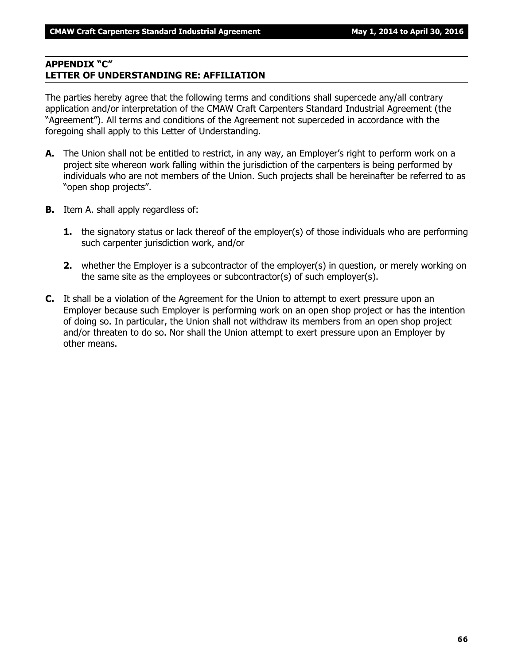### **APPENDIX "C" LETTER OF UNDERSTANDING RE: AFFILIATION**

The parties hereby agree that the following terms and conditions shall supercede any/all contrary application and/or interpretation of the CMAW Craft Carpenters Standard Industrial Agreement (the "Agreement"). All terms and conditions of the Agreement not superceded in accordance with the foregoing shall apply to this Letter of Understanding.

- **A.** The Union shall not be entitled to restrict, in any way, an Employer's right to perform work on a project site whereon work falling within the jurisdiction of the carpenters is being performed by individuals who are not members of the Union. Such projects shall be hereinafter be referred to as "open shop projects".
- **B.** Item A. shall apply regardless of:
	- **1.** the signatory status or lack thereof of the employer(s) of those individuals who are performing such carpenter jurisdiction work, and/or
	- **2.** whether the Employer is a subcontractor of the employer(s) in question, or merely working on the same site as the employees or subcontractor(s) of such employer(s).
- **C.** It shall be a violation of the Agreement for the Union to attempt to exert pressure upon an Employer because such Employer is performing work on an open shop project or has the intention of doing so. In particular, the Union shall not withdraw its members from an open shop project and/or threaten to do so. Nor shall the Union attempt to exert pressure upon an Employer by other means.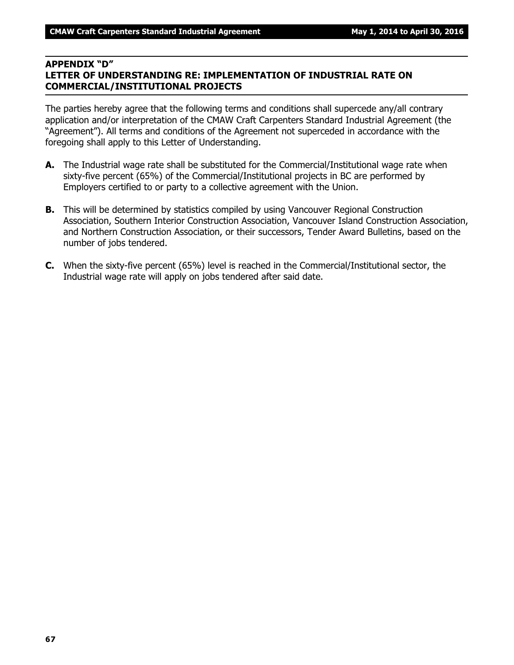#### **APPENDIX "D"**

# **LETTER OF UNDERSTANDING RE: IMPLEMENTATION OF INDUSTRIAL RATE ON COMMERCIAL/INSTITUTIONAL PROJECTS**

The parties hereby agree that the following terms and conditions shall supercede any/all contrary application and/or interpretation of the CMAW Craft Carpenters Standard Industrial Agreement (the "Agreement"). All terms and conditions of the Agreement not superceded in accordance with the foregoing shall apply to this Letter of Understanding.

- **A.** The Industrial wage rate shall be substituted for the Commercial/Institutional wage rate when sixty-five percent (65%) of the Commercial/Institutional projects in BC are performed by Employers certified to or party to a collective agreement with the Union.
- **B.** This will be determined by statistics compiled by using Vancouver Regional Construction Association, Southern Interior Construction Association, Vancouver Island Construction Association, and Northern Construction Association, or their successors, Tender Award Bulletins, based on the number of jobs tendered.
- **C.** When the sixty-five percent (65%) level is reached in the Commercial/Institutional sector, the Industrial wage rate will apply on jobs tendered after said date.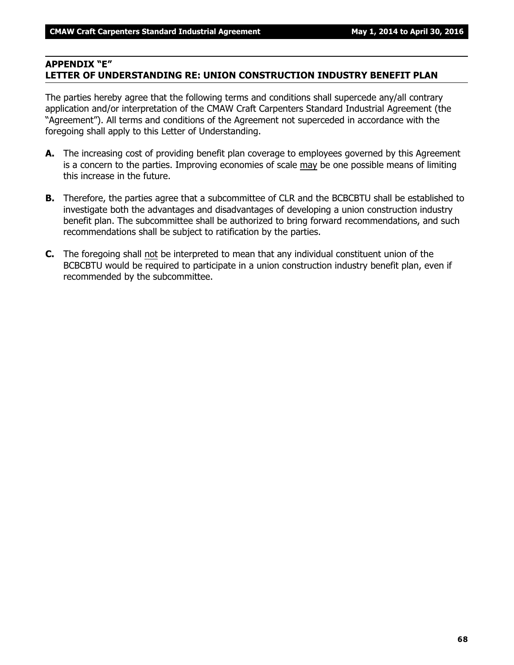### **APPENDIX "E" LETTER OF UNDERSTANDING RE: UNION CONSTRUCTION INDUSTRY BENEFIT PLAN**

The parties hereby agree that the following terms and conditions shall supercede any/all contrary application and/or interpretation of the CMAW Craft Carpenters Standard Industrial Agreement (the "Agreement"). All terms and conditions of the Agreement not superceded in accordance with the foregoing shall apply to this Letter of Understanding.

- **A.** The increasing cost of providing benefit plan coverage to employees governed by this Agreement is a concern to the parties. Improving economies of scale may be one possible means of limiting this increase in the future.
- **B.** Therefore, the parties agree that a subcommittee of CLR and the BCBCBTU shall be established to investigate both the advantages and disadvantages of developing a union construction industry benefit plan. The subcommittee shall be authorized to bring forward recommendations, and such recommendations shall be subject to ratification by the parties.
- **C.** The foregoing shall not be interpreted to mean that any individual constituent union of the BCBCBTU would be required to participate in a union construction industry benefit plan, even if recommended by the subcommittee.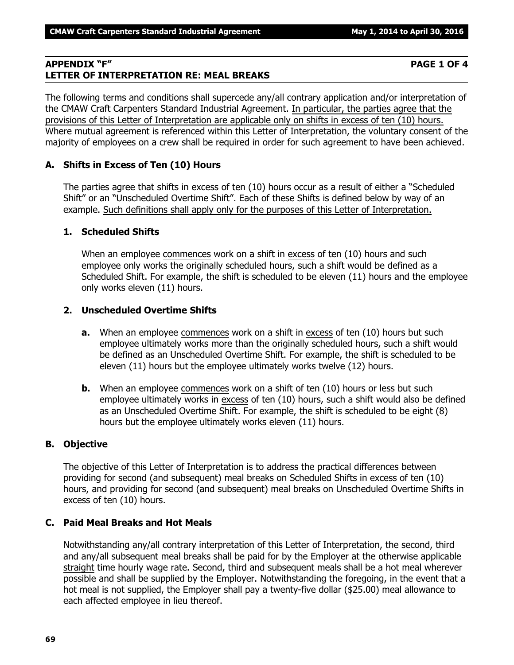### **APPENDIX "F" PAGE 1 OF 4 LETTER OF INTERPRETATION RE: MEAL BREAKS**

The following terms and conditions shall supercede any/all contrary application and/or interpretation of the CMAW Craft Carpenters Standard Industrial Agreement. In particular, the parties agree that the provisions of this Letter of Interpretation are applicable only on shifts in excess of ten (10) hours. Where mutual agreement is referenced within this Letter of Interpretation, the voluntary consent of the majority of employees on a crew shall be required in order for such agreement to have been achieved.

### **A. Shifts in Excess of Ten (10) Hours**

The parties agree that shifts in excess of ten (10) hours occur as a result of either a "Scheduled Shift" or an "Unscheduled Overtime Shift". Each of these Shifts is defined below by way of an example. Such definitions shall apply only for the purposes of this Letter of Interpretation.

### **1. Scheduled Shifts**

When an employee commences work on a shift in excess of ten (10) hours and such employee only works the originally scheduled hours, such a shift would be defined as a Scheduled Shift. For example, the shift is scheduled to be eleven (11) hours and the employee only works eleven (11) hours.

### **2. Unscheduled Overtime Shifts**

- **a.** When an employee commences work on a shift in excess of ten (10) hours but such employee ultimately works more than the originally scheduled hours, such a shift would be defined as an Unscheduled Overtime Shift. For example, the shift is scheduled to be eleven (11) hours but the employee ultimately works twelve (12) hours.
- **b.** When an employee commences work on a shift of ten (10) hours or less but such employee ultimately works in excess of ten (10) hours, such a shift would also be defined as an Unscheduled Overtime Shift. For example, the shift is scheduled to be eight (8) hours but the employee ultimately works eleven (11) hours.

### **B. Objective**

The objective of this Letter of Interpretation is to address the practical differences between providing for second (and subsequent) meal breaks on Scheduled Shifts in excess of ten (10) hours, and providing for second (and subsequent) meal breaks on Unscheduled Overtime Shifts in excess of ten (10) hours.

### **C. Paid Meal Breaks and Hot Meals**

Notwithstanding any/all contrary interpretation of this Letter of Interpretation, the second, third and any/all subsequent meal breaks shall be paid for by the Employer at the otherwise applicable straight time hourly wage rate. Second, third and subsequent meals shall be a hot meal wherever possible and shall be supplied by the Employer. Notwithstanding the foregoing, in the event that a hot meal is not supplied, the Employer shall pay a twenty-five dollar (\$25.00) meal allowance to each affected employee in lieu thereof.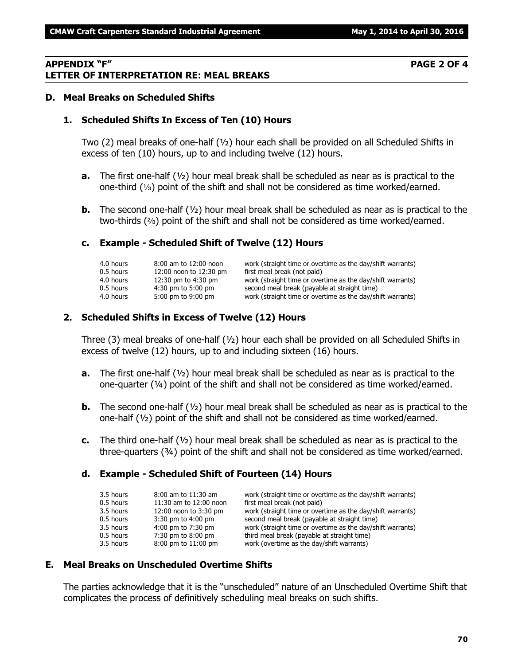#### **APPENDIX "F" PAGE 2 OF 4 LETTER OF INTERPRETATION RE: MEAL BREAKS**

#### **D. Meal Breaks on Scheduled Shifts**

#### **1. Scheduled Shifts In Excess of Ten (10) Hours**

Two (2) meal breaks of one-half (½) hour each shall be provided on all Scheduled Shifts in excess of ten (10) hours, up to and including twelve (12) hours.

- **a.** The first one-half (½) hour meal break shall be scheduled as near as is practical to the one-third  $(1/3)$  point of the shift and shall not be considered as time worked/earned.
- **b.** The second one-half ( $\frac{1}{2}$ ) hour meal break shall be scheduled as near as is practical to the two-thirds  $(3)$  point of the shift and shall not be considered as time worked/earned.

#### **c. Example - Scheduled Shift of Twelve (12) Hours**

| 8:00 am to 12:00 noon  | work (straight time or overtime as the day/shift warrants) |
|------------------------|------------------------------------------------------------|
| 12:00 noon to 12:30 pm | first meal break (not paid)                                |
| 12:30 pm to 4:30 pm    | work (straight time or overtime as the day/shift warrants) |
| $4:30$ pm to 5:00 pm   | second meal break (payable at straight time)               |
| 5:00 pm to 9:00 pm     | work (straight time or overtime as the day/shift warrants) |
|                        |                                                            |

#### **2. Scheduled Shifts in Excess of Twelve (12) Hours**

Three (3) meal breaks of one-half  $(y_2)$  hour each shall be provided on all Scheduled Shifts in excess of twelve (12) hours, up to and including sixteen (16) hours.

- **a.** The first one-half ( $\frac{1}{2}$ ) hour meal break shall be scheduled as near as is practical to the one-quarter  $(4)$  point of the shift and shall not be considered as time worked/earned.
- **b.** The second one-half ( $\frac{1}{2}$ ) hour meal break shall be scheduled as near as is practical to the one-half (½) point of the shift and shall not be considered as time worked/earned.
- **c.** The third one-half (½) hour meal break shall be scheduled as near as is practical to the three-quarters (¾) point of the shift and shall not be considered as time worked/earned.

#### **d. Example - Scheduled Shift of Fourteen (14) Hours**

| 3.5 hours | $8:00$ am to $11:30$ am | work (straight time or overtime as the day/shift warrants) |
|-----------|-------------------------|------------------------------------------------------------|
| 0.5 hours | 11:30 am to 12:00 noon  | first meal break (not paid)                                |
| 3.5 hours | 12:00 noon to 3:30 pm   | work (straight time or overtime as the day/shift warrants) |
| 0.5 hours | 3:30 pm to 4:00 pm      | second meal break (payable at straight time)               |
| 3.5 hours | 4:00 pm to 7:30 pm      | work (straight time or overtime as the day/shift warrants) |
| 0.5 hours | 7:30 pm to 8:00 pm      | third meal break (payable at straight time)                |
| 3.5 hours | 8:00 pm to 11:00 pm     | work (overtime as the day/shift warrants)                  |

#### **E. Meal Breaks on Unscheduled Overtime Shifts**

The parties acknowledge that it is the "unscheduled" nature of an Unscheduled Overtime Shift that complicates the process of definitively scheduling meal breaks on such shifts.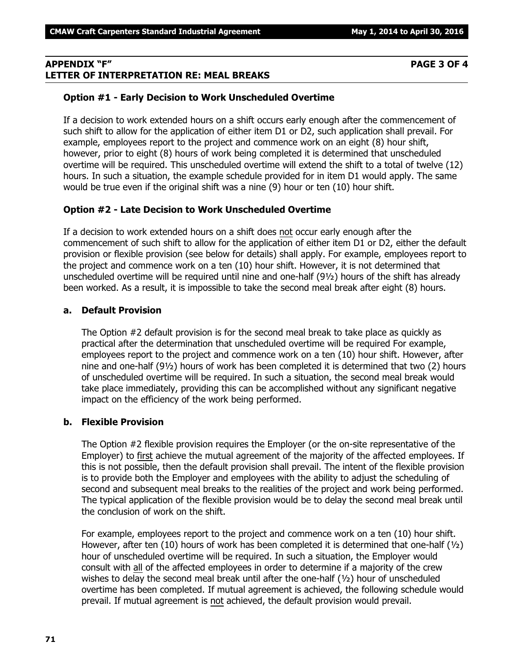# **APPENDIX "F" PAGE 3 OF 4 LETTER OF INTERPRETATION RE: MEAL BREAKS**

# **Option #1 - Early Decision to Work Unscheduled Overtime**

If a decision to work extended hours on a shift occurs early enough after the commencement of such shift to allow for the application of either item D1 or D2, such application shall prevail. For example, employees report to the project and commence work on an eight (8) hour shift, however, prior to eight (8) hours of work being completed it is determined that unscheduled overtime will be required. This unscheduled overtime will extend the shift to a total of twelve (12) hours. In such a situation, the example schedule provided for in item D1 would apply. The same would be true even if the original shift was a nine (9) hour or ten (10) hour shift.

# **Option #2 - Late Decision to Work Unscheduled Overtime**

If a decision to work extended hours on a shift does not occur early enough after the commencement of such shift to allow for the application of either item D1 or D2, either the default provision or flexible provision (see below for details) shall apply. For example, employees report to the project and commence work on a ten (10) hour shift. However, it is not determined that unscheduled overtime will be required until nine and one-half (9½) hours of the shift has already been worked. As a result, it is impossible to take the second meal break after eight (8) hours.

### **a. Default Provision**

The Option #2 default provision is for the second meal break to take place as quickly as practical after the determination that unscheduled overtime will be required For example, employees report to the project and commence work on a ten (10) hour shift. However, after nine and one-half (9½) hours of work has been completed it is determined that two (2) hours of unscheduled overtime will be required. In such a situation, the second meal break would take place immediately, providing this can be accomplished without any significant negative impact on the efficiency of the work being performed.

# **b. Flexible Provision**

The Option #2 flexible provision requires the Employer (or the on-site representative of the Employer) to first achieve the mutual agreement of the majority of the affected employees. If this is not possible, then the default provision shall prevail. The intent of the flexible provision is to provide both the Employer and employees with the ability to adjust the scheduling of second and subsequent meal breaks to the realities of the project and work being performed. The typical application of the flexible provision would be to delay the second meal break until the conclusion of work on the shift.

For example, employees report to the project and commence work on a ten (10) hour shift. However, after ten (10) hours of work has been completed it is determined that one-half ( $\frac{1}{2}$ ) hour of unscheduled overtime will be required. In such a situation, the Employer would consult with all of the affected employees in order to determine if a majority of the crew wishes to delay the second meal break until after the one-half  $(y_2)$  hour of unscheduled overtime has been completed. If mutual agreement is achieved, the following schedule would prevail. If mutual agreement is not achieved, the default provision would prevail.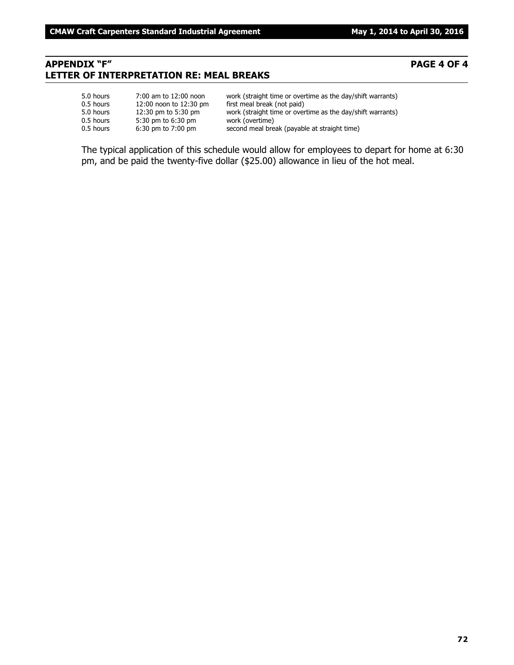# **APPENDIX "F" PAGE 4 OF 4 LETTER OF INTERPRETATION RE: MEAL BREAKS**

#### 5.0 hours 7:00 am to 12:00 noon work (straight time or overtime as the day/shift warrants) 0.5 hours 12:00 noon to 12:30 pm first meal break (not paid) 5.0 hours 12:30 pm to 5:30 pm work (straight time or overtime as the day/shift warrants)<br>0.5 hours 5:30 pm to 6:30 pm work (overtime) 0.5 hours 5:30 pm to 6:30 pm<br>0.5 hours 6:30 pm to 7:00 pm second meal break (payable at straight time)

The typical application of this schedule would allow for employees to depart for home at 6:30 pm, and be paid the twenty-five dollar (\$25.00) allowance in lieu of the hot meal.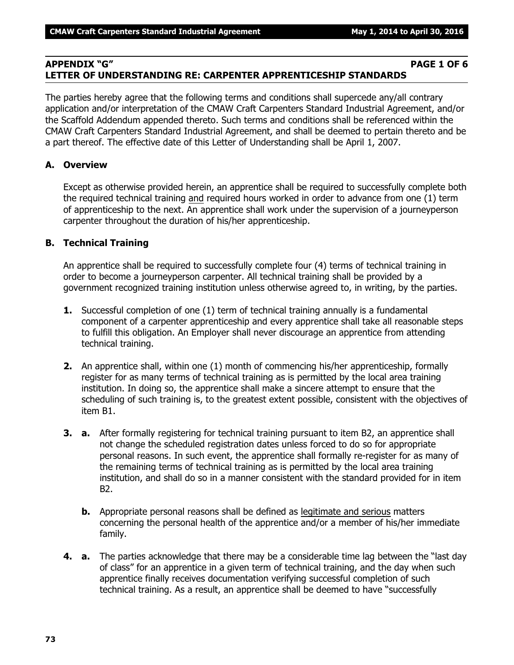# **APPENDIX "G" PAGE 1 OF 6 LETTER OF UNDERSTANDING RE: CARPENTER APPRENTICESHIP STANDARDS**

The parties hereby agree that the following terms and conditions shall supercede any/all contrary application and/or interpretation of the CMAW Craft Carpenters Standard Industrial Agreement, and/or the Scaffold Addendum appended thereto. Such terms and conditions shall be referenced within the CMAW Craft Carpenters Standard Industrial Agreement, and shall be deemed to pertain thereto and be a part thereof. The effective date of this Letter of Understanding shall be April 1, 2007.

# **A. Overview**

Except as otherwise provided herein, an apprentice shall be required to successfully complete both the required technical training and required hours worked in order to advance from one (1) term of apprenticeship to the next. An apprentice shall work under the supervision of a journeyperson carpenter throughout the duration of his/her apprenticeship.

# **B. Technical Training**

An apprentice shall be required to successfully complete four (4) terms of technical training in order to become a journeyperson carpenter. All technical training shall be provided by a government recognized training institution unless otherwise agreed to, in writing, by the parties.

- **1.** Successful completion of one (1) term of technical training annually is a fundamental component of a carpenter apprenticeship and every apprentice shall take all reasonable steps to fulfill this obligation. An Employer shall never discourage an apprentice from attending technical training.
- **2.** An apprentice shall, within one (1) month of commencing his/her apprenticeship, formally register for as many terms of technical training as is permitted by the local area training institution. In doing so, the apprentice shall make a sincere attempt to ensure that the scheduling of such training is, to the greatest extent possible, consistent with the objectives of item B1.
- **3. a.** After formally registering for technical training pursuant to item B2, an apprentice shall not change the scheduled registration dates unless forced to do so for appropriate personal reasons. In such event, the apprentice shall formally re-register for as many of the remaining terms of technical training as is permitted by the local area training institution, and shall do so in a manner consistent with the standard provided for in item B2.
	- **b.** Appropriate personal reasons shall be defined as legitimate and serious matters concerning the personal health of the apprentice and/or a member of his/her immediate family.
- **4. a.** The parties acknowledge that there may be a considerable time lag between the "last day of class" for an apprentice in a given term of technical training, and the day when such apprentice finally receives documentation verifying successful completion of such technical training. As a result, an apprentice shall be deemed to have "successfully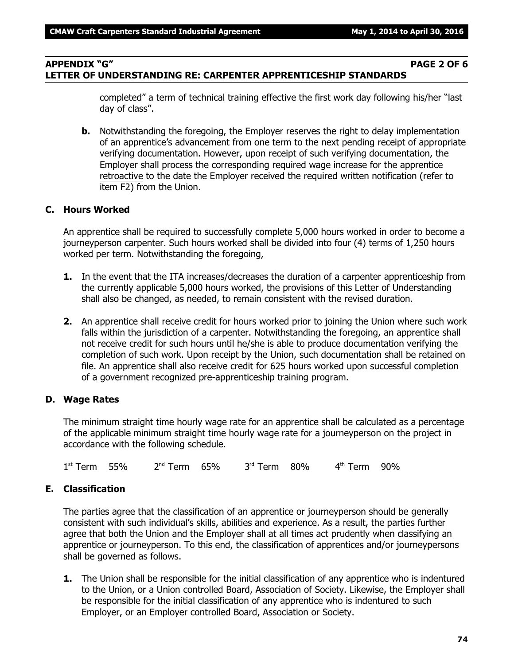### **APPENDIX "G" PAGE 2 OF 6 LETTER OF UNDERSTANDING RE: CARPENTER APPRENTICESHIP STANDARDS**

completed" a term of technical training effective the first work day following his/her "last day of class".

**b.** Notwithstanding the foregoing, the Employer reserves the right to delay implementation of an apprentice's advancement from one term to the next pending receipt of appropriate verifying documentation. However, upon receipt of such verifying documentation, the Employer shall process the corresponding required wage increase for the apprentice retroactive to the date the Employer received the required written notification (refer to item F2) from the Union.

## **C. Hours Worked**

An apprentice shall be required to successfully complete 5,000 hours worked in order to become a journeyperson carpenter. Such hours worked shall be divided into four (4) terms of 1,250 hours worked per term. Notwithstanding the foregoing,

- **1.** In the event that the ITA increases/decreases the duration of a carpenter apprenticeship from the currently applicable 5,000 hours worked, the provisions of this Letter of Understanding shall also be changed, as needed, to remain consistent with the revised duration.
- **2.** An apprentice shall receive credit for hours worked prior to joining the Union where such work falls within the jurisdiction of a carpenter. Notwithstanding the foregoing, an apprentice shall not receive credit for such hours until he/she is able to produce documentation verifying the completion of such work. Upon receipt by the Union, such documentation shall be retained on file. An apprentice shall also receive credit for 625 hours worked upon successful completion of a government recognized pre-apprenticeship training program.

#### **D. Wage Rates**

The minimum straight time hourly wage rate for an apprentice shall be calculated as a percentage of the applicable minimum straight time hourly wage rate for a journeyperson on the project in accordance with the following schedule.

1 st Term 55% 2 <sup>nd</sup> Term 65% 3 rd Term 80% 4 th Term 90%

# **E. Classification**

The parties agree that the classification of an apprentice or journeyperson should be generally consistent with such individual's skills, abilities and experience. As a result, the parties further agree that both the Union and the Employer shall at all times act prudently when classifying an apprentice or journeyperson. To this end, the classification of apprentices and/or journeypersons shall be governed as follows.

**1.** The Union shall be responsible for the initial classification of any apprentice who is indentured to the Union, or a Union controlled Board, Association of Society. Likewise, the Employer shall be responsible for the initial classification of any apprentice who is indentured to such Employer, or an Employer controlled Board, Association or Society.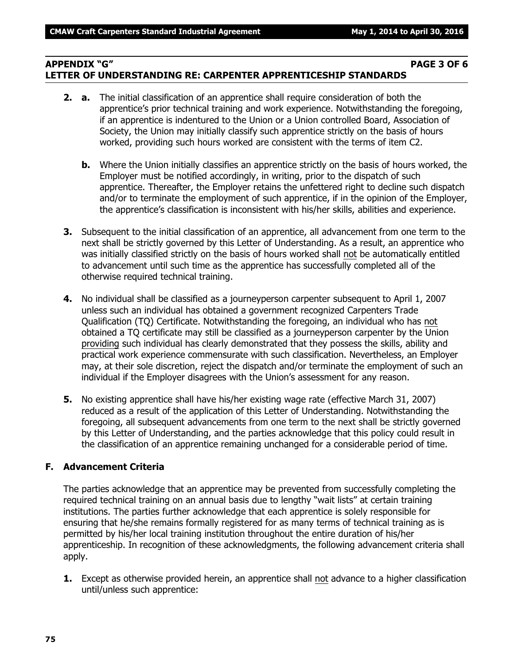# **APPENDIX "G" PAGE 3 OF 6 LETTER OF UNDERSTANDING RE: CARPENTER APPRENTICESHIP STANDARDS**

- **2. a.** The initial classification of an apprentice shall require consideration of both the apprentice's prior technical training and work experience. Notwithstanding the foregoing, if an apprentice is indentured to the Union or a Union controlled Board, Association of Society, the Union may initially classify such apprentice strictly on the basis of hours worked, providing such hours worked are consistent with the terms of item C2.
	- **b.** Where the Union initially classifies an apprentice strictly on the basis of hours worked, the Employer must be notified accordingly, in writing, prior to the dispatch of such apprentice. Thereafter, the Employer retains the unfettered right to decline such dispatch and/or to terminate the employment of such apprentice, if in the opinion of the Employer, the apprentice's classification is inconsistent with his/her skills, abilities and experience.
- **3.** Subsequent to the initial classification of an apprentice, all advancement from one term to the next shall be strictly governed by this Letter of Understanding. As a result, an apprentice who was initially classified strictly on the basis of hours worked shall not be automatically entitled to advancement until such time as the apprentice has successfully completed all of the otherwise required technical training.
- **4.** No individual shall be classified as a journeyperson carpenter subsequent to April 1, 2007 unless such an individual has obtained a government recognized Carpenters Trade Qualification (TQ) Certificate. Notwithstanding the foregoing, an individual who has not obtained a TQ certificate may still be classified as a journeyperson carpenter by the Union providing such individual has clearly demonstrated that they possess the skills, ability and practical work experience commensurate with such classification. Nevertheless, an Employer may, at their sole discretion, reject the dispatch and/or terminate the employment of such an individual if the Employer disagrees with the Union's assessment for any reason.
- **5.** No existing apprentice shall have his/her existing wage rate (effective March 31, 2007) reduced as a result of the application of this Letter of Understanding. Notwithstanding the foregoing, all subsequent advancements from one term to the next shall be strictly governed by this Letter of Understanding, and the parties acknowledge that this policy could result in the classification of an apprentice remaining unchanged for a considerable period of time.

# **F. Advancement Criteria**

The parties acknowledge that an apprentice may be prevented from successfully completing the required technical training on an annual basis due to lengthy "wait lists" at certain training institutions. The parties further acknowledge that each apprentice is solely responsible for ensuring that he/she remains formally registered for as many terms of technical training as is permitted by his/her local training institution throughout the entire duration of his/her apprenticeship. In recognition of these acknowledgments, the following advancement criteria shall apply.

**1.** Except as otherwise provided herein, an apprentice shall not advance to a higher classification until/unless such apprentice: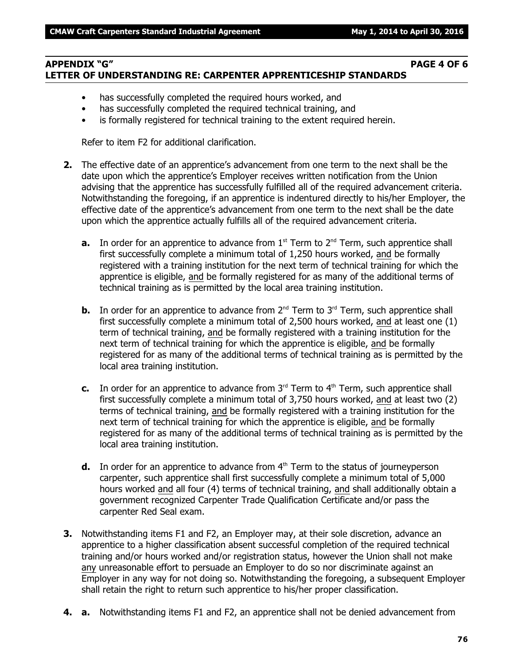# **APPENDIX "G" PAGE 4 OF 6 LETTER OF UNDERSTANDING RE: CARPENTER APPRENTICESHIP STANDARDS**

- has successfully completed the required hours worked, and
- has successfully completed the required technical training, and
- is formally registered for technical training to the extent required herein.

Refer to item F2 for additional clarification.

- **2.** The effective date of an apprentice's advancement from one term to the next shall be the date upon which the apprentice's Employer receives written notification from the Union advising that the apprentice has successfully fulfilled all of the required advancement criteria. Notwithstanding the foregoing, if an apprentice is indentured directly to his/her Employer, the effective date of the apprentice's advancement from one term to the next shall be the date upon which the apprentice actually fulfills all of the required advancement criteria.
	- **a.** In order for an apprentice to advance from  $1<sup>st</sup>$  Term to  $2<sup>nd</sup>$  Term, such apprentice shall first successfully complete a minimum total of 1,250 hours worked, and be formally registered with a training institution for the next term of technical training for which the apprentice is eligible, and be formally registered for as many of the additional terms of technical training as is permitted by the local area training institution.
	- **b.** In order for an apprentice to advance from  $2^{nd}$  Term to  $3^{rd}$  Term, such apprentice shall first successfully complete a minimum total of 2,500 hours worked, and at least one (1) term of technical training, and be formally registered with a training institution for the next term of technical training for which the apprentice is eligible, and be formally registered for as many of the additional terms of technical training as is permitted by the local area training institution.
	- **c.** In order for an apprentice to advance from  $3<sup>rd</sup>$  Term to  $4<sup>th</sup>$  Term, such apprentice shall first successfully complete a minimum total of 3,750 hours worked, and at least two (2) terms of technical training, and be formally registered with a training institution for the next term of technical training for which the apprentice is eligible, and be formally registered for as many of the additional terms of technical training as is permitted by the local area training institution.
	- **d.** In order for an apprentice to advance from 4<sup>th</sup> Term to the status of journeyperson carpenter, such apprentice shall first successfully complete a minimum total of 5,000 hours worked and all four (4) terms of technical training, and shall additionally obtain a government recognized Carpenter Trade Qualification Certificate and/or pass the carpenter Red Seal exam.
- **3.** Notwithstanding items F1 and F2, an Employer may, at their sole discretion, advance an apprentice to a higher classification absent successful completion of the required technical training and/or hours worked and/or registration status, however the Union shall not make any unreasonable effort to persuade an Employer to do so nor discriminate against an Employer in any way for not doing so. Notwithstanding the foregoing, a subsequent Employer shall retain the right to return such apprentice to his/her proper classification.
- **4. a.** Notwithstanding items F1 and F2, an apprentice shall not be denied advancement from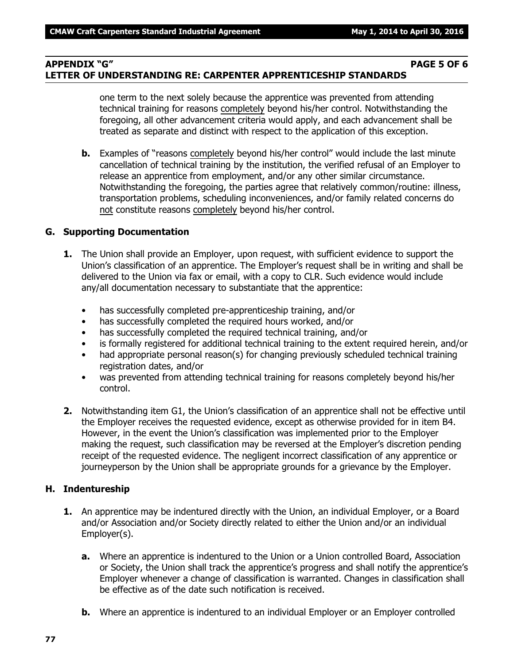# **APPENDIX "G" PAGE 5 OF 6 LETTER OF UNDERSTANDING RE: CARPENTER APPRENTICESHIP STANDARDS**

one term to the next solely because the apprentice was prevented from attending technical training for reasons completely beyond his/her control. Notwithstanding the foregoing, all other advancement criteria would apply, and each advancement shall be treated as separate and distinct with respect to the application of this exception.

**b.** Examples of "reasons completely beyond his/her control" would include the last minute cancellation of technical training by the institution, the verified refusal of an Employer to release an apprentice from employment, and/or any other similar circumstance. Notwithstanding the foregoing, the parties agree that relatively common/routine: illness, transportation problems, scheduling inconveniences, and/or family related concerns do not constitute reasons completely beyond his/her control.

### **G. Supporting Documentation**

- **1.** The Union shall provide an Employer, upon request, with sufficient evidence to support the Union's classification of an apprentice. The Employer's request shall be in writing and shall be delivered to the Union via fax or email, with a copy to CLR. Such evidence would include any/all documentation necessary to substantiate that the apprentice:
	- has successfully completed pre-apprenticeship training, and/or
	- has successfully completed the required hours worked, and/or
	- has successfully completed the required technical training, and/or
	- is formally registered for additional technical training to the extent required herein, and/or
	- had appropriate personal reason(s) for changing previously scheduled technical training registration dates, and/or
	- was prevented from attending technical training for reasons completely beyond his/her control.
- **2.** Notwithstanding item G1, the Union's classification of an apprentice shall not be effective until the Employer receives the requested evidence, except as otherwise provided for in item B4. However, in the event the Union's classification was implemented prior to the Employer making the request, such classification may be reversed at the Employer's discretion pending receipt of the requested evidence. The negligent incorrect classification of any apprentice or journeyperson by the Union shall be appropriate grounds for a grievance by the Employer.

#### **H. Indentureship**

- **1.** An apprentice may be indentured directly with the Union, an individual Employer, or a Board and/or Association and/or Society directly related to either the Union and/or an individual Employer(s).
	- **a.** Where an apprentice is indentured to the Union or a Union controlled Board, Association or Society, the Union shall track the apprentice's progress and shall notify the apprentice's Employer whenever a change of classification is warranted. Changes in classification shall be effective as of the date such notification is received.
	- **b.** Where an apprentice is indentured to an individual Employer or an Employer controlled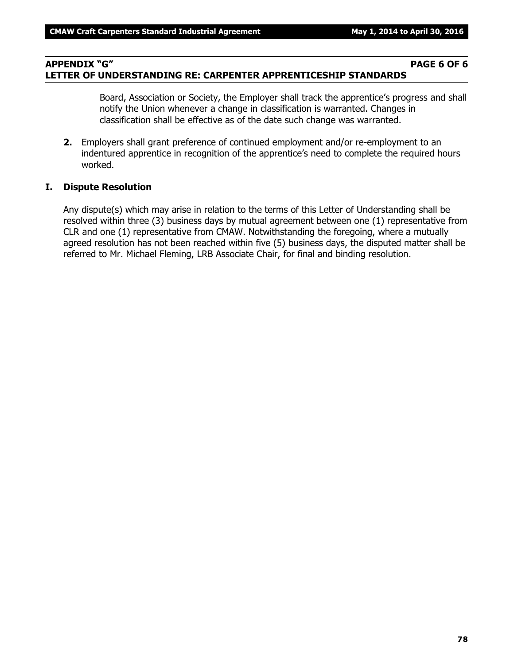#### **APPENDIX "G" PAGE 6 OF 6 LETTER OF UNDERSTANDING RE: CARPENTER APPRENTICESHIP STANDARDS**

Board, Association or Society, the Employer shall track the apprentice's progress and shall notify the Union whenever a change in classification is warranted. Changes in classification shall be effective as of the date such change was warranted.

**2.** Employers shall grant preference of continued employment and/or re-employment to an indentured apprentice in recognition of the apprentice's need to complete the required hours worked.

#### **I. Dispute Resolution**

Any dispute(s) which may arise in relation to the terms of this Letter of Understanding shall be resolved within three (3) business days by mutual agreement between one (1) representative from CLR and one (1) representative from CMAW. Notwithstanding the foregoing, where a mutually agreed resolution has not been reached within five (5) business days, the disputed matter shall be referred to Mr. Michael Fleming, LRB Associate Chair, for final and binding resolution.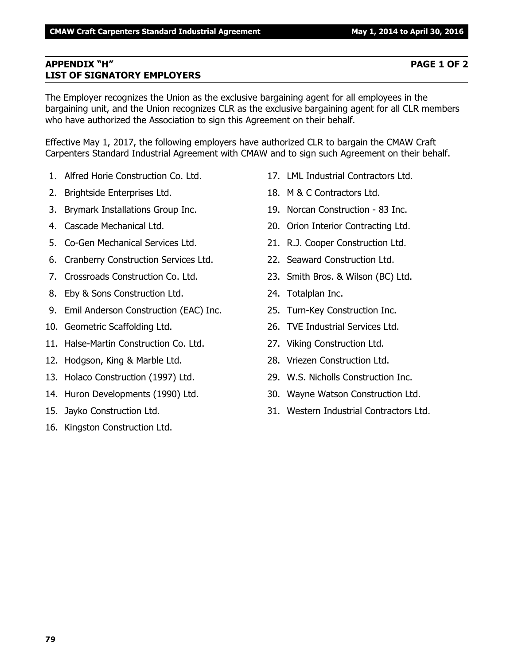# **APPENDIX "H" PAGE 1 OF 2 LIST OF SIGNATORY EMPLOYERS**

The Employer recognizes the Union as the exclusive bargaining agent for all employees in the bargaining unit, and the Union recognizes CLR as the exclusive bargaining agent for all CLR members who have authorized the Association to sign this Agreement on their behalf.

Effective May 1, 2017, the following employers have authorized CLR to bargain the CMAW Craft Carpenters Standard Industrial Agreement with CMAW and to sign such Agreement on their behalf.

- 1. Alfred Horie Construction Co. Ltd.
- 2. Brightside Enterprises Ltd.
- 3. Brymark Installations Group Inc.
- 4. Cascade Mechanical Ltd.
- 5. Co-Gen Mechanical Services Ltd.
- 6. Cranberry Construction Services Ltd.
- 7. Crossroads Construction Co. Ltd.
- 8. Eby & Sons Construction Ltd.
- 9. Emil Anderson Construction (EAC) Inc.
- 10. Geometric Scaffolding Ltd.
- 11. Halse-Martin Construction Co. Ltd.
- 12. Hodgson, King & Marble Ltd.
- 13. Holaco Construction (1997) Ltd.
- 14. Huron Developments (1990) Ltd.
- 15. Jayko Construction Ltd.
- 16. Kingston Construction Ltd.
- 17. LML Industrial Contractors Ltd.
- 18. M & C Contractors Ltd.
- 19. Norcan Construction 83 Inc.
- 20. Orion Interior Contracting Ltd.
- 21. R.J. Cooper Construction Ltd.
- 22. Seaward Construction Ltd.
- 23. Smith Bros. & Wilson (BC) Ltd.
- 24. Totalplan Inc.
- 25. Turn-Key Construction Inc.
- 26. TVE Industrial Services Ltd.
- 27. Viking Construction Ltd.
- 28. Vriezen Construction Ltd.
- 29. W.S. Nicholls Construction Inc.
- 30. Wayne Watson Construction Ltd.
- 31. Western Industrial Contractors Ltd.